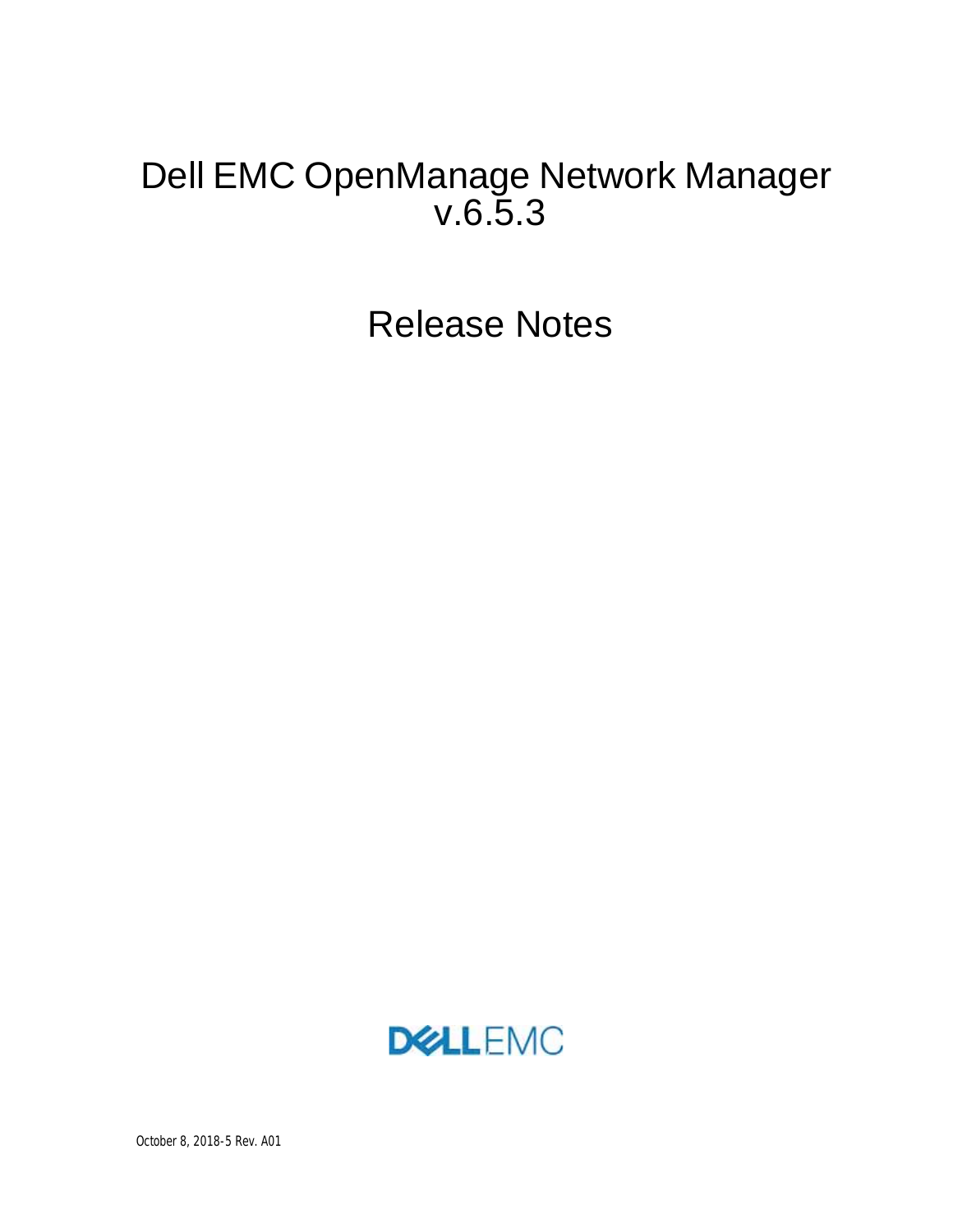# Dell EMC OpenManage Network Manager v.6.5.3

Release Notes

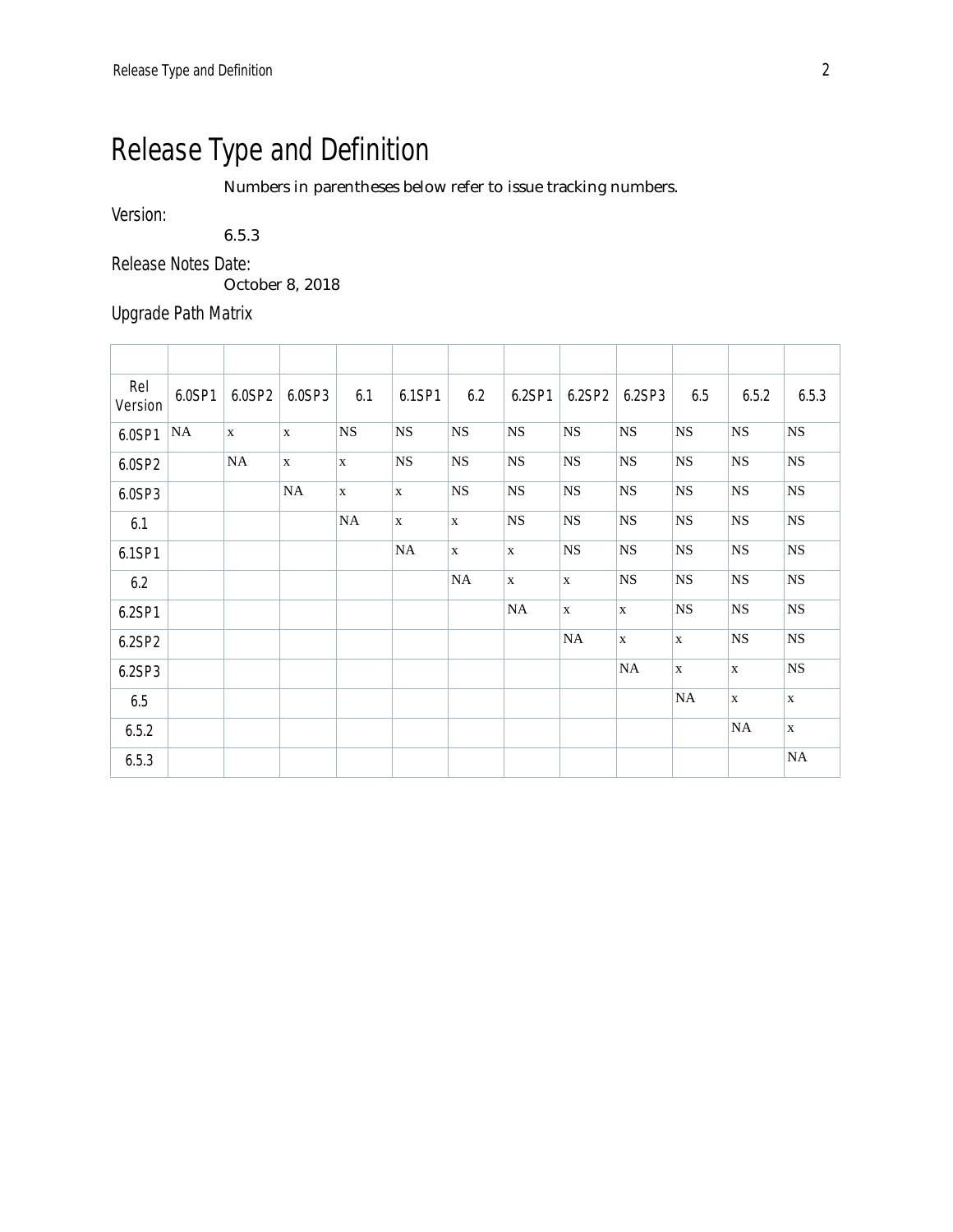# Release Type and Definition

Numbers in parentheses below refer to issue tracking numbers.

Version:

6.5.3

Release Notes Date:

October 8, 2018

Upgrade Path Matrix

| Rel<br>Version | 6.0SP1 | 6.0SP2       | 6.0SP3       | 6.1          | 6.1SP1       | 6.2          | 6.2SP1      | 6.2SP2      | 6.2SP3       | 6.5          | 6.5.2        | 6.5.3        |
|----------------|--------|--------------|--------------|--------------|--------------|--------------|-------------|-------------|--------------|--------------|--------------|--------------|
| 6.0SP1         | NA     | $\mathbf{X}$ | $\mathbf{X}$ | $_{\rm NS}$  | <b>NS</b>    | $_{\rm NS}$  | $_{\rm NS}$ | $_{\rm NS}$ | $_{\rm NS}$  | $_{\rm NS}$  | $_{\rm NS}$  | $_{\rm NS}$  |
| 6.0SP2         |        | <b>NA</b>    | $\mathbf X$  | $\mathbf{x}$ | <b>NS</b>    | $_{\rm NS}$  | $_{\rm NS}$ | <b>NS</b>   | <b>NS</b>    | <b>NS</b>    | <b>NS</b>    | $_{\rm NS}$  |
| 6.0SP3         |        |              | NA           | $\mathbf X$  | $\mathbf{x}$ | $_{\rm NS}$  | $_{\rm NS}$ | $_{\rm NS}$ | $_{\rm NS}$  | <b>NS</b>    | <b>NS</b>    | NS           |
| 6.1            |        |              |              | <b>NA</b>    | $\mathbf{x}$ | $\mathbf{X}$ | <b>NS</b>   | $_{\rm NS}$ | <b>NS</b>    | <b>NS</b>    | <b>NS</b>    | $_{\rm NS}$  |
| 6.1SP1         |        |              |              |              | <b>NA</b>    | $\mathbf X$  | $\mathbf X$ | $_{\rm NS}$ | $_{\rm NS}$  | <b>NS</b>    | <b>NS</b>    | $_{\rm NS}$  |
| 6.2            |        |              |              |              |              | NA           | $\mathbf X$ | $\mathbf X$ | $_{\rm NS}$  | <b>NS</b>    | <b>NS</b>    | $_{\rm NS}$  |
| 6.2SP1         |        |              |              |              |              |              | $\rm NA$    | X           | X            | <b>NS</b>    | <b>NS</b>    | NS           |
| 6.2SP2         |        |              |              |              |              |              |             | $_{\rm NA}$ | $\mathbf{X}$ | X            | <b>NS</b>    | $_{\rm NS}$  |
| 6.2SP3         |        |              |              |              |              |              |             |             | $\rm NA$     | $\mathbf{x}$ | $\mathbf{x}$ | $_{\rm NS}$  |
| 6.5            |        |              |              |              |              |              |             |             |              | NA           | $\mathbf{x}$ | $\mathbf{x}$ |
| 6.5.2          |        |              |              |              |              |              |             |             |              |              | NA           | $\mathbf X$  |
| 6.5.3          |        |              |              |              |              |              |             |             |              |              |              | $\rm NA$     |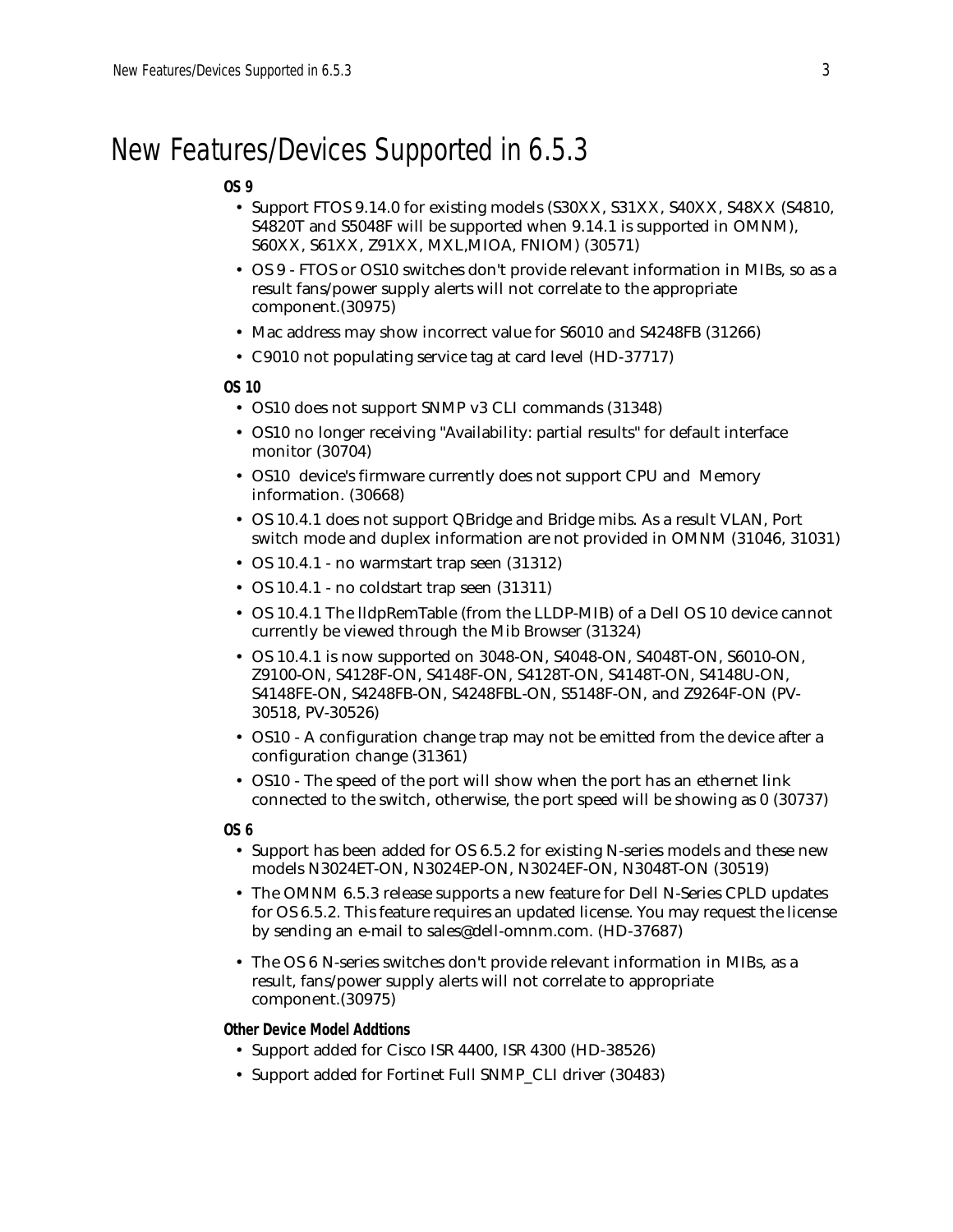# New Features/Devices Supported in 6.5.3

### **OS 9**

- Support FTOS 9.14.0 for existing models (S30XX, S31XX, S40XX, S48XX (S4810, S4820T and S5048F will be supported when 9.14.1 is supported in OMNM), S60XX, S61XX, Z91XX, MXL,MIOA, FNIOM) (30571)
- OS 9 FTOS or OS10 switches don't provide relevant information in MIBs, so as a result fans/power supply alerts will not correlate to the appropriate component.(30975)
- Mac address may show incorrect value for S6010 and S4248FB (31266)
- C9010 not populating service tag at card level (HD-37717)

#### **OS 10**

- OS10 does not support SNMP v3 CLI commands (31348)
- OS10 no longer receiving "Availability: partial results" for default interface monitor (30704)
- OS10 device's firmware currently does not support CPU and Memory information. (30668)
- OS 10.4.1 does not support QBridge and Bridge mibs. As a result VLAN, Port switch mode and duplex information are not provided in OMNM (31046, 31031)
- OS 10.4.1 no warmstart trap seen (31312)
- OS 10.4.1 no coldstart trap seen (31311)
- OS 10.4.1 The lldpRemTable (from the LLDP-MIB) of a Dell OS 10 device cannot currently be viewed through the Mib Browser (31324)
- OS 10.4.1 is now supported on 3048-ON, S4048-ON, S4048T-ON, S6010-ON, Z9100-ON, S4128F-ON, S4148F-ON, S4128T-ON, S4148T-ON, S4148U-ON, S4148FE-ON, S4248FB-ON, S4248FBL-ON, S5148F-ON, and Z9264F-ON (PV-30518, PV-30526)
- OS10 A configuration change trap may not be emitted from the device after a configuration change (31361)
- OS10 The speed of the port will show when the port has an ethernet link connected to the switch, otherwise, the port speed will be showing as 0 (30737)

**OS 6**

- Support has been added for OS 6.5.2 for existing N-series models and these new models N3024ET-ON, N3024EP-ON, N3024EF-ON, N3048T-ON (30519)
- The OMNM 6.5.3 release supports a new feature for Dell N-Series CPLD updates for OS 6.5.2. This feature requires an updated license. You may request the license by sending an e-mail to sales@dell-omnm.com. (HD-37687)
- The OS 6 N-series switches don't provide relevant information in MIBs, as a result, fans/power supply alerts will not correlate to appropriate component.(30975)

### **Other Device Model Addtions**

- Support added for Cisco ISR 4400, ISR 4300 (HD-38526)
- Support added for Fortinet Full SNMP\_CLI driver (30483)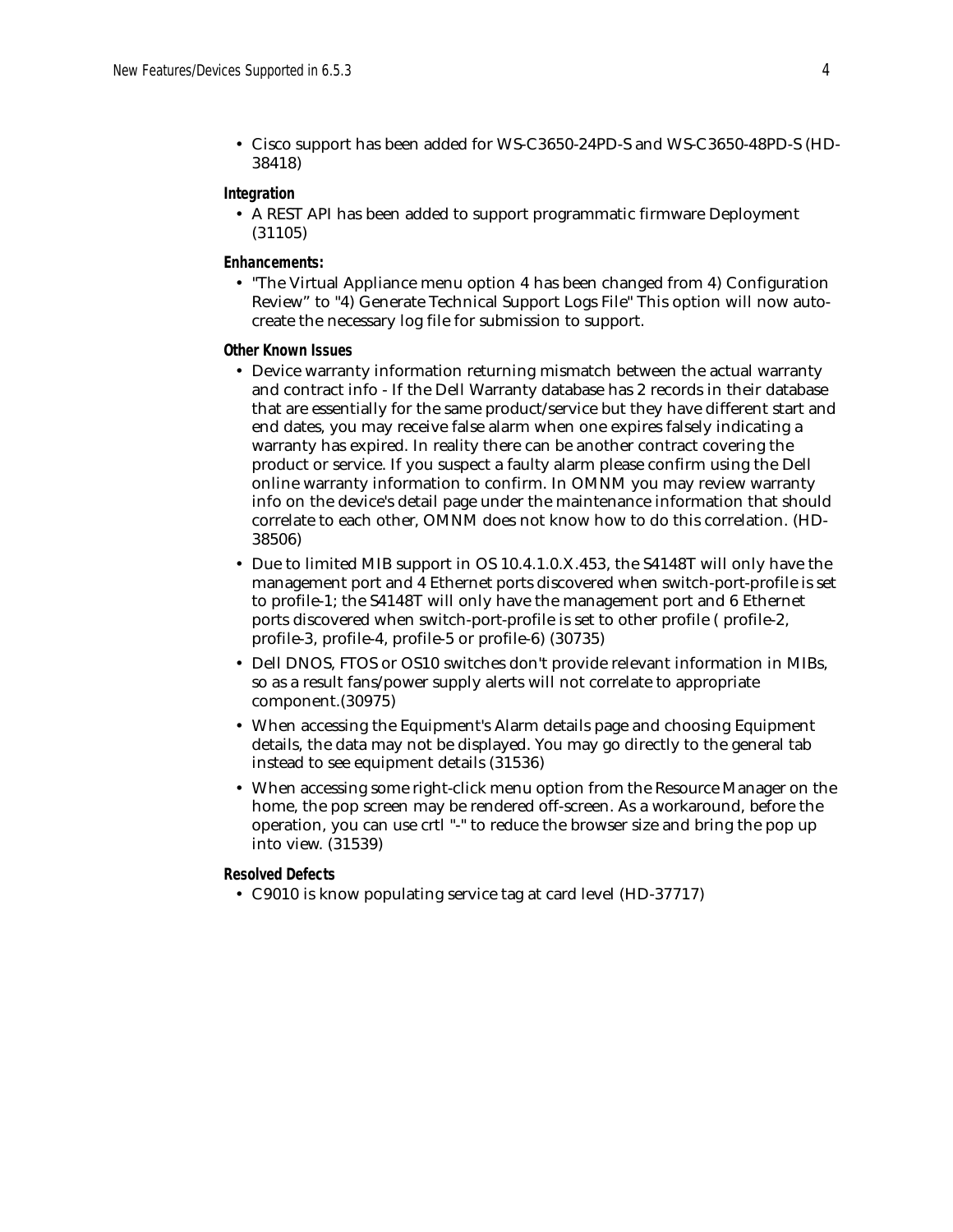• Cisco support has been added for WS-C3650-24PD-S and WS-C3650-48PD-S (HD-38418)

#### **Integration**

• A REST API has been added to support programmatic firmware Deployment (31105)

#### **Enhancements:**

• "The Virtual Appliance menu option 4 has been changed from 4) Configuration Review" to "4) Generate Technical Support Logs File" This option will now autocreate the necessary log file for submission to support.

#### **Other Known Issues**

- Device warranty information returning mismatch between the actual warranty and contract info - If the Dell Warranty database has 2 records in their database that are essentially for the same product/service but they have different start and end dates, you may receive false alarm when one expires falsely indicating a warranty has expired. In reality there can be another contract covering the product or service. If you suspect a faulty alarm please confirm using the Dell online warranty information to confirm. In OMNM you may review warranty info on the device's detail page under the maintenance information that should correlate to each other, OMNM does not know how to do this correlation. (HD-38506)
- Due to limited MIB support in OS 10.4.1.0.X.453, the S4148T will only have the management port and 4 Ethernet ports discovered when switch-port-profile is set to profile-1; the S4148T will only have the management port and 6 Ethernet ports discovered when switch-port-profile is set to other profile ( profile-2, profile-3, profile-4, profile-5 or profile-6) (30735)
- Dell DNOS, FTOS or OS10 switches don't provide relevant information in MIBs, so as a result fans/power supply alerts will not correlate to appropriate component.(30975)
- When accessing the Equipment's Alarm details page and choosing Equipment details, the data may not be displayed. You may go directly to the general tab instead to see equipment details (31536)
- When accessing some right-click menu option from the Resource Manager on the home, the pop screen may be rendered off-screen. As a workaround, before the operation, you can use crtl "-" to reduce the browser size and bring the pop up into view. (31539)

#### **Resolved Defects**

• C9010 is know populating service tag at card level (HD-37717)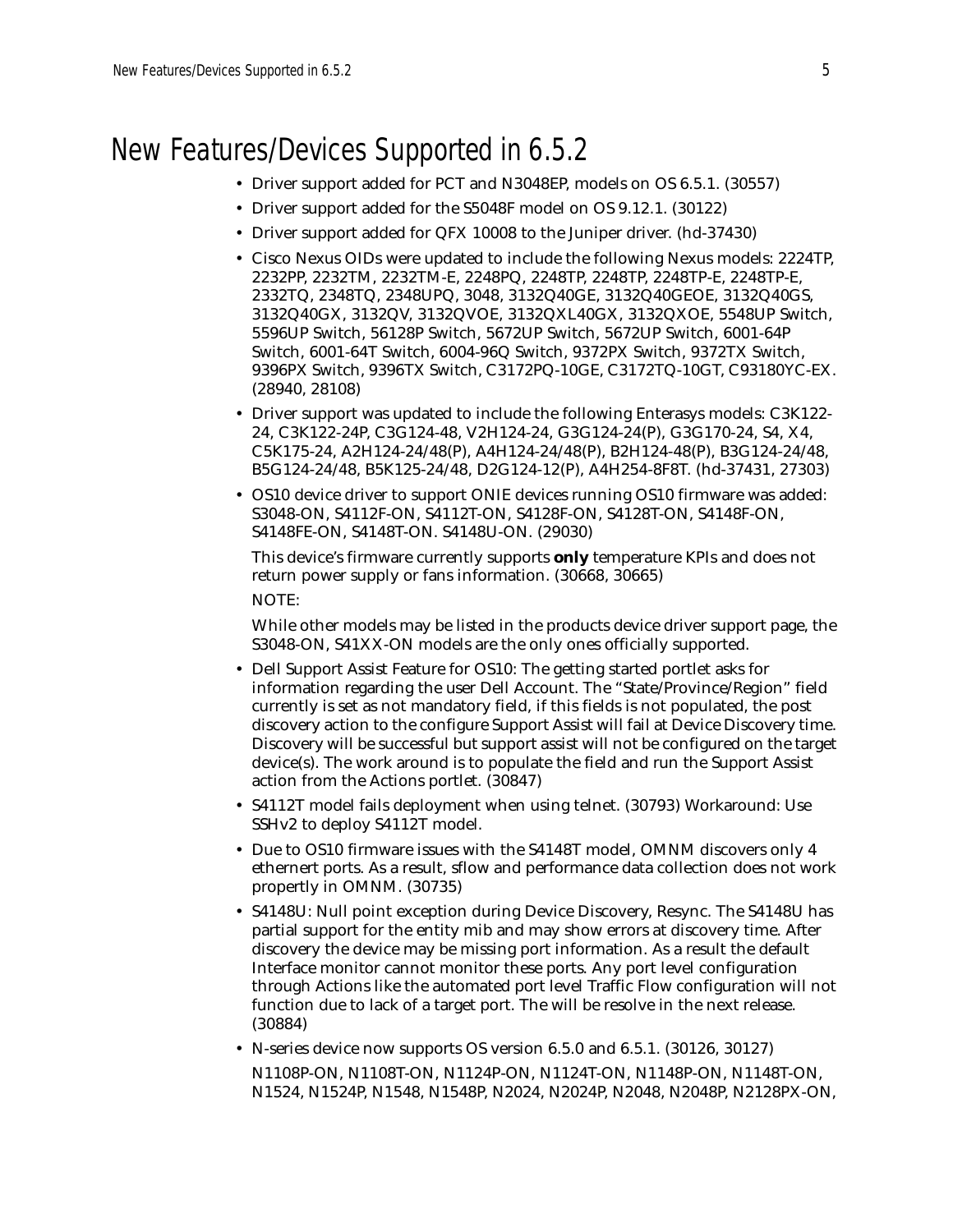## New Features/Devices Supported in 6.5.2

- Driver support added for PCT and N3048EP, models on OS 6.5.1. (30557)
- Driver support added for the S5048F model on OS 9.12.1. (30122)
- Driver support added for QFX 10008 to the Juniper driver. (hd-37430)
- Cisco Nexus OIDs were updated to include the following Nexus models: 2224TP, 2232PP, 2232TM, 2232TM-E, 2248PQ, 2248TP, 2248TP, 2248TP-E, 2248TP-E, 2332TQ, 2348TQ, 2348UPQ, 3048, 3132Q40GE, 3132Q40GEOE, 3132Q40GS, 3132Q40GX, 3132QV, 3132QVOE, 3132QXL40GX, 3132QXOE, 5548UP Switch, 5596UP Switch, 56128P Switch, 5672UP Switch, 5672UP Switch, 6001-64P Switch, 6001-64T Switch, 6004-96Q Switch, 9372PX Switch, 9372TX Switch, 9396PX Switch, 9396TX Switch, C3172PQ-10GE, C3172TQ-10GT, C93180YC-EX. (28940, 28108)
- Driver support was updated to include the following Enterasys models: C3K122- 24, C3K122-24P, C3G124-48, V2H124-24, G3G124-24(P), G3G170-24, S4, X4, C5K175-24, A2H124-24/48(P), A4H124-24/48(P), B2H124-48(P), B3G124-24/48, B5G124-24/48, B5K125-24/48, D2G124-12(P), A4H254-8F8T. (hd-37431, 27303)
- OS10 device driver to support ONIE devices running OS10 firmware was added: S3048-ON, S4112F-ON, S4112T-ON, S4128F-ON, S4128T-ON, S4148F-ON, S4148FE-ON, S4148T-ON. S4148U-ON. (29030)

This device's firmware currently supports **only** temperature KPIs and does not return power supply or fans information. (30668, 30665)

NOTE:

While other models may be listed in the products device driver support page, the S3048-ON, S41XX-ON models are the only ones officially supported.

- Dell Support Assist Feature for OS10: The getting started portlet asks for information regarding the user Dell Account. The "State/Province/Region" field currently is set as not mandatory field, if this fields is not populated, the post discovery action to the configure Support Assist will fail at Device Discovery time. Discovery will be successful but support assist will not be configured on the target device(s). The work around is to populate the field and run the Support Assist action from the Actions portlet. (30847)
- S4112T model fails deployment when using telnet. (30793) Workaround: Use SSHv2 to deploy S4112T model.
- Due to OS10 firmware issues with the S4148T model, OMNM discovers only 4 ethernert ports. As a result, sflow and performance data collection does not work propertly in OMNM. (30735)
- S4148U: Null point exception during Device Discovery, Resync. The S4148U has partial support for the entity mib and may show errors at discovery time. After discovery the device may be missing port information. As a result the default Interface monitor cannot monitor these ports. Any port level configuration through Actions like the automated port level Traffic Flow configuration will not function due to lack of a target port. The will be resolve in the next release. (30884)
- N-series device now supports OS version 6.5.0 and 6.5.1. (30126, 30127) N1108P-ON, N1108T-ON, N1124P-ON, N1124T-ON, N1148P-ON, N1148T-ON, N1524, N1524P, N1548, N1548P, N2024, N2024P, N2048, N2048P, N2128PX-ON,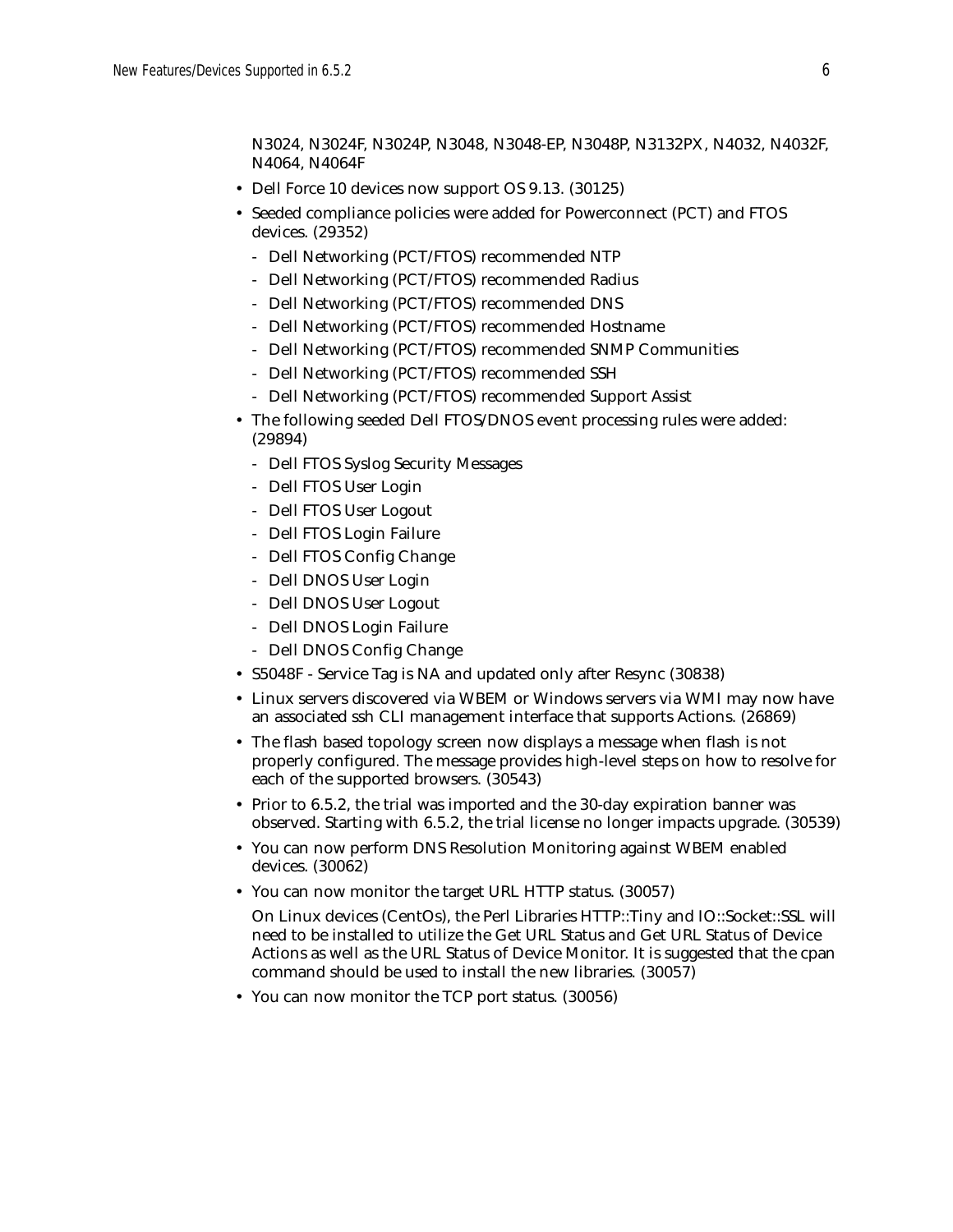N3024, N3024F, N3024P, N3048, N3048-EP, N3048P, N3132PX, N4032, N4032F, N4064, N4064F

- Dell Force 10 devices now support OS 9.13. (30125)
- Seeded compliance policies were added for Powerconnect (PCT) and FTOS devices. (29352)
	- Dell Networking (PCT/FTOS) recommended NTP
	- Dell Networking (PCT/FTOS) recommended Radius
	- Dell Networking (PCT/FTOS) recommended DNS
	- Dell Networking (PCT/FTOS) recommended Hostname
	- Dell Networking (PCT/FTOS) recommended SNMP Communities
	- Dell Networking (PCT/FTOS) recommended SSH
	- Dell Networking (PCT/FTOS) recommended Support Assist
- The following seeded Dell FTOS/DNOS event processing rules were added: (29894)
	- Dell FTOS Syslog Security Messages
	- Dell FTOS User Login
	- Dell FTOS User Logout
	- Dell FTOS Login Failure
	- Dell FTOS Config Change
	- Dell DNOS User Login
	- Dell DNOS User Logout
	- Dell DNOS Login Failure
	- Dell DNOS Config Change
- S5048F Service Tag is NA and updated only after Resync (30838)
- Linux servers discovered via WBEM or Windows servers via WMI may now have an associated ssh CLI management interface that supports Actions. (26869)
- The flash based topology screen now displays a message when flash is not properly configured. The message provides high-level steps on how to resolve for each of the supported browsers. (30543)
- Prior to 6.5.2, the trial was imported and the 30-day expiration banner was observed. Starting with 6.5.2, the trial license no longer impacts upgrade. (30539)
- You can now perform DNS Resolution Monitoring against WBEM enabled devices. (30062)
- You can now monitor the target URL HTTP status. (30057)
	- On Linux devices (CentOs), the Perl Libraries HTTP::Tiny and IO::Socket::SSL will need to be installed to utilize the Get URL Status and Get URL Status of Device Actions as well as the URL Status of Device Monitor. It is suggested that the cpan command should be used to install the new libraries. (30057)
- You can now monitor the TCP port status. (30056)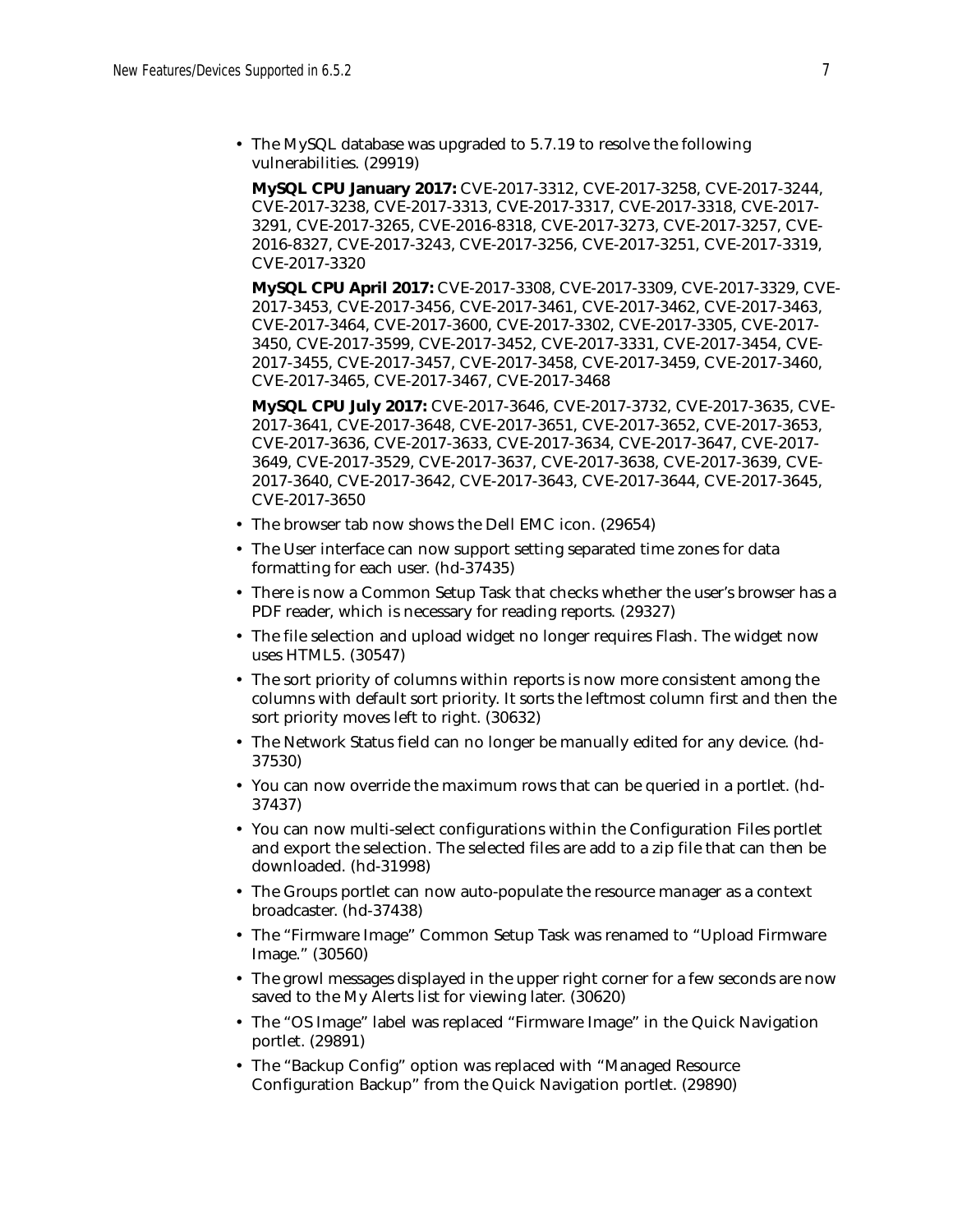• The MySQL database was upgraded to 5.7.19 to resolve the following vulnerabilities. (29919)

**MySQL CPU January 2017:** CVE-2017-3312, CVE-2017-3258, CVE-2017-3244, CVE-2017-3238, CVE-2017-3313, CVE-2017-3317, CVE-2017-3318, CVE-2017- 3291, CVE-2017-3265, CVE-2016-8318, CVE-2017-3273, CVE-2017-3257, CVE-2016-8327, CVE-2017-3243, CVE-2017-3256, CVE-2017-3251, CVE-2017-3319, CVE-2017-3320

**MySQL CPU April 2017:** CVE-2017-3308, CVE-2017-3309, CVE-2017-3329, CVE-2017-3453, CVE-2017-3456, CVE-2017-3461, CVE-2017-3462, CVE-2017-3463, CVE-2017-3464, CVE-2017-3600, CVE-2017-3302, CVE-2017-3305, CVE-2017- 3450, CVE-2017-3599, CVE-2017-3452, CVE-2017-3331, CVE-2017-3454, CVE-2017-3455, CVE-2017-3457, CVE-2017-3458, CVE-2017-3459, CVE-2017-3460, CVE-2017-3465, CVE-2017-3467, CVE-2017-3468

**MySQL CPU July 2017:** CVE-2017-3646, CVE-2017-3732, CVE-2017-3635, CVE-2017-3641, CVE-2017-3648, CVE-2017-3651, CVE-2017-3652, CVE-2017-3653, CVE-2017-3636, CVE-2017-3633, CVE-2017-3634, CVE-2017-3647, CVE-2017- 3649, CVE-2017-3529, CVE-2017-3637, CVE-2017-3638, CVE-2017-3639, CVE-2017-3640, CVE-2017-3642, CVE-2017-3643, CVE-2017-3644, CVE-2017-3645, CVE-2017-3650

- The browser tab now shows the Dell EMC icon. (29654)
- The User interface can now support setting separated time zones for data formatting for each user. (hd-37435)
- There is now a Common Setup Task that checks whether the user's browser has a PDF reader, which is necessary for reading reports. (29327)
- The file selection and upload widget no longer requires Flash. The widget now uses HTML5. (30547)
- The sort priority of columns within reports is now more consistent among the columns with default sort priority. It sorts the leftmost column first and then the sort priority moves left to right. (30632)
- The Network Status field can no longer be manually edited for any device. (hd-37530)
- You can now override the maximum rows that can be queried in a portlet. (hd-37437)
- You can now multi-select configurations within the Configuration Files portlet and export the selection. The selected files are add to a zip file that can then be downloaded. (hd-31998)
- The Groups portlet can now auto-populate the resource manager as a context broadcaster. (hd-37438)
- The "Firmware Image" Common Setup Task was renamed to "Upload Firmware Image." (30560)
- The growl messages displayed in the upper right corner for a few seconds are now saved to the My Alerts list for viewing later. (30620)
- The "OS Image" label was replaced "Firmware Image" in the Quick Navigation portlet. (29891)
- The "Backup Config" option was replaced with "Managed Resource Configuration Backup" from the Quick Navigation portlet. (29890)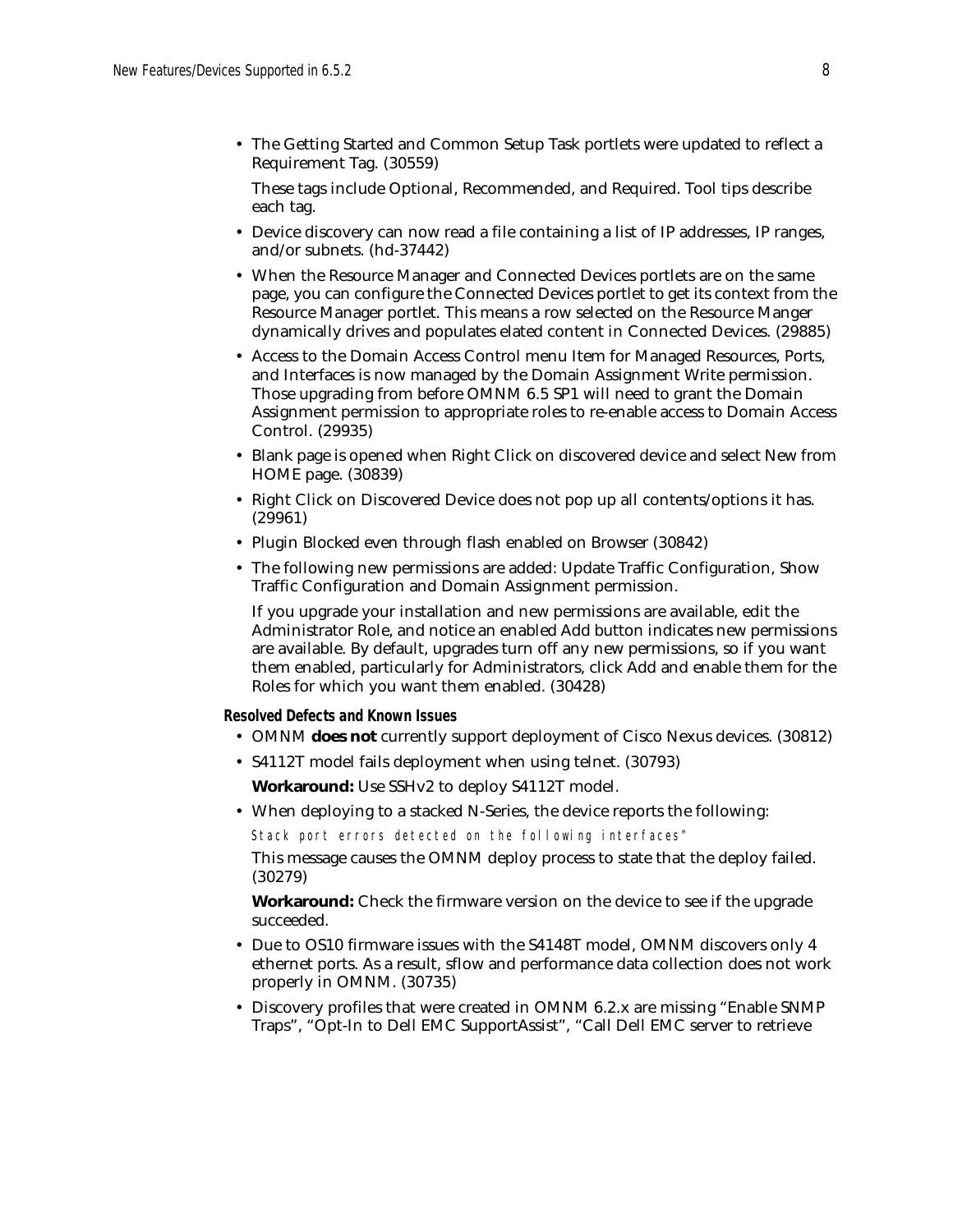• The Getting Started and Common Setup Task portlets were updated to reflect a Requirement Tag. (30559)

These tags include Optional, Recommended, and Required. Tool tips describe each tag.

- Device discovery can now read a file containing a list of IP addresses, IP ranges, and/or subnets. (hd-37442)
- When the Resource Manager and Connected Devices portlets are on the same page, you can configure the Connected Devices portlet to get its context from the Resource Manager portlet. This means a row selected on the Resource Manger dynamically drives and populates elated content in Connected Devices. (29885)
- Access to the Domain Access Control menu Item for Managed Resources, Ports, and Interfaces is now managed by the Domain Assignment Write permission. Those upgrading from before OMNM 6.5 SP1 will need to grant the Domain Assignment permission to appropriate roles to re-enable access to Domain Access Control. (29935)
- Blank page is opened when Right Click on discovered device and select New from HOME page. (30839)
- Right Click on Discovered Device does not pop up all contents/options it has. (29961)
- Plugin Blocked even through flash enabled on Browser (30842)
- The following new permissions are added: Update Traffic Configuration, Show Traffic Configuration and Domain Assignment permission.

If you upgrade your installation and new permissions are available, edit the Administrator Role, and notice an enabled Add button indicates new permissions are available. By default, upgrades turn off any new permissions, so if you want them enabled, particularly for Administrators, click Add and enable them for the Roles for which you want them enabled. (30428)

#### **Resolved Defects and Known Issues**

- OMNM **does not** currently support deployment of Cisco Nexus devices. (30812)
- S4112T model fails deployment when using telnet. (30793)

**Workaround:** Use SSHv2 to deploy S4112T model.

• When deploying to a stacked N-Series, the device reports the following:

Stack port errors detected on the following interfaces"

This message causes the OMNM deploy process to state that the deploy failed. (30279)

**Workaround:** Check the firmware version on the device to see if the upgrade succeeded.

- Due to OS10 firmware issues with the S4148T model, OMNM discovers only 4 ethernet ports. As a result, sflow and performance data collection does not work properly in OMNM. (30735)
- Discovery profiles that were created in OMNM 6.2.x are missing "Enable SNMP Traps", "Opt-In to Dell EMC SupportAssist", "Call Dell EMC server to retrieve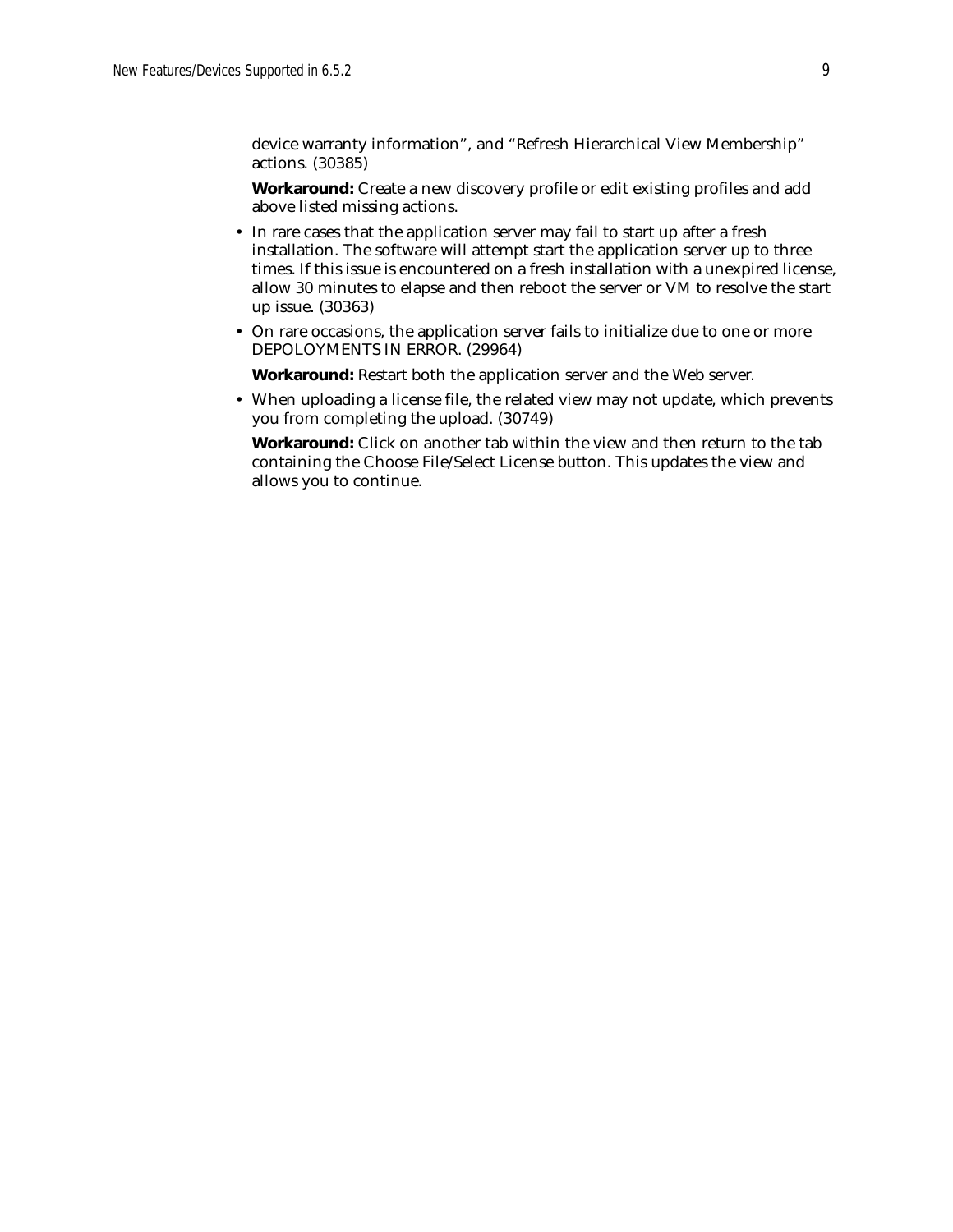device warranty information", and "Refresh Hierarchical View Membership" actions. (30385)

**Workaround:** Create a new discovery profile or edit existing profiles and add above listed missing actions.

- In rare cases that the application server may fail to start up after a fresh installation. The software will attempt start the application server up to three times. If this issue is encountered on a fresh installation with a unexpired license, allow 30 minutes to elapse and then reboot the server or VM to resolve the start up issue. (30363)
- On rare occasions, the application server fails to initialize due to one or more DEPOLOYMENTS IN ERROR. (29964)

**Workaround:** Restart both the application server and the Web server.

• When uploading a license file, the related view may not update, which prevents you from completing the upload. (30749)

**Workaround:** Click on another tab within the view and then return to the tab containing the Choose File/Select License button. This updates the view and allows you to continue.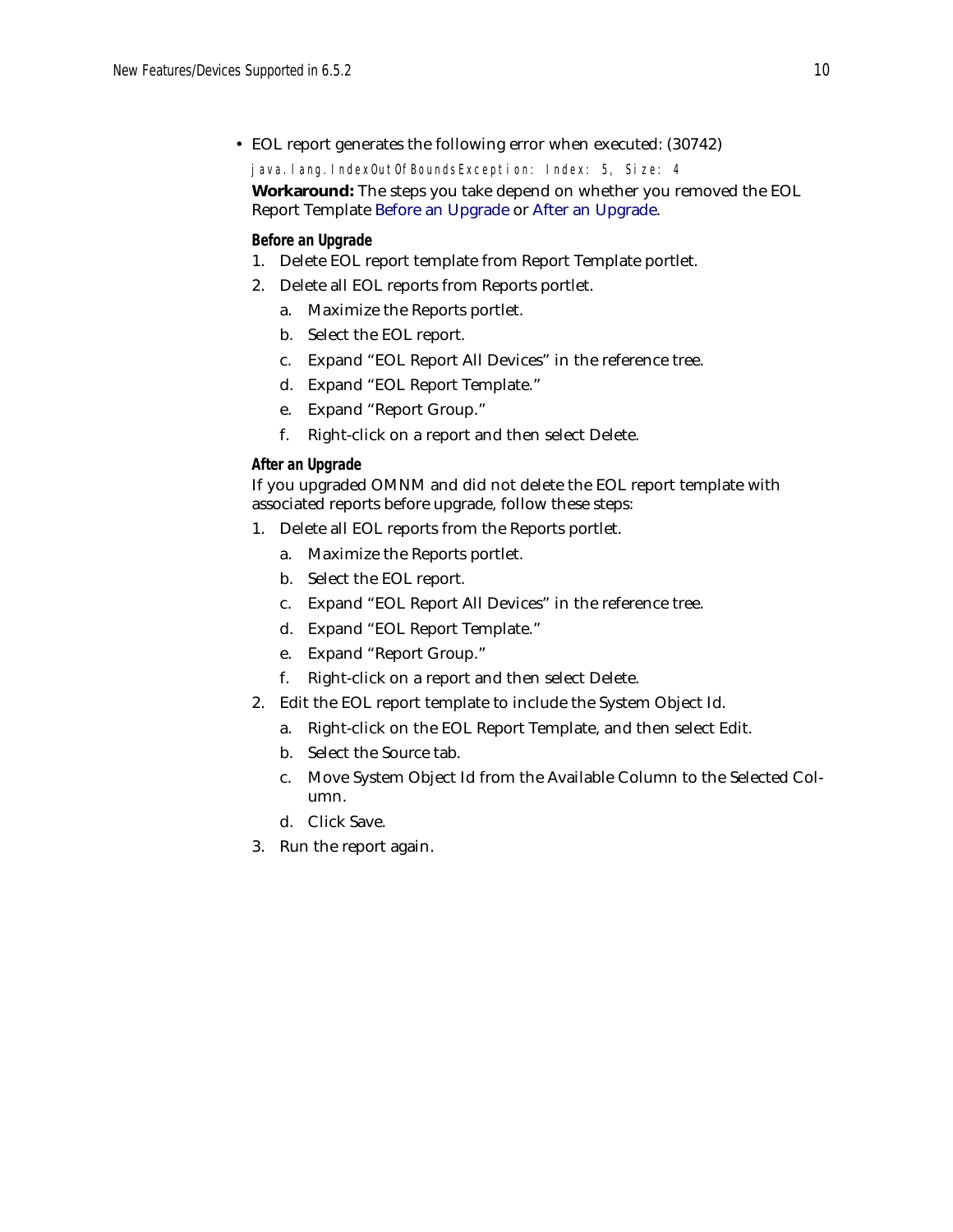• EOL report generates the following error when executed: (30742)

java.lang.IndexOutOfBoundsException: Index: 5, Size: 4

### **Workaround:** The steps you take depend on whether you removed the EOL Report Template [Before an Upgrade](#page-9-0) or [After an Upgrade.](#page-9-1)

### <span id="page-9-0"></span>**Before an Upgrade**

- 1. Delete EOL report template from Report Template portlet.
- 2. Delete all EOL reports from Reports portlet.
	- a. Maximize the Reports portlet.
	- b. Select the EOL report.
	- c. Expand "EOL Report All Devices" in the reference tree.
	- d. Expand "EOL Report Template."
	- e. Expand "Report Group."
	- f. Right-click on a report and then select Delete.

### <span id="page-9-1"></span>**After an Upgrade**

If you upgraded OMNM and did not delete the EOL report template with associated reports before upgrade, follow these steps:

- 1. Delete all EOL reports from the Reports portlet.
	- a. Maximize the Reports portlet.
	- b. Select the EOL report.
	- c. Expand "EOL Report All Devices" in the reference tree.
	- d. Expand "EOL Report Template."
	- e. Expand "Report Group."
	- f. Right-click on a report and then select Delete.
- 2. Edit the EOL report template to include the System Object Id.
	- a. Right-click on the EOL Report Template, and then select Edit.
	- b. Select the Source tab.
	- c. Move System Object Id from the Available Column to the Selected Column.
	- d. Click Save.
- 3. Run the report again.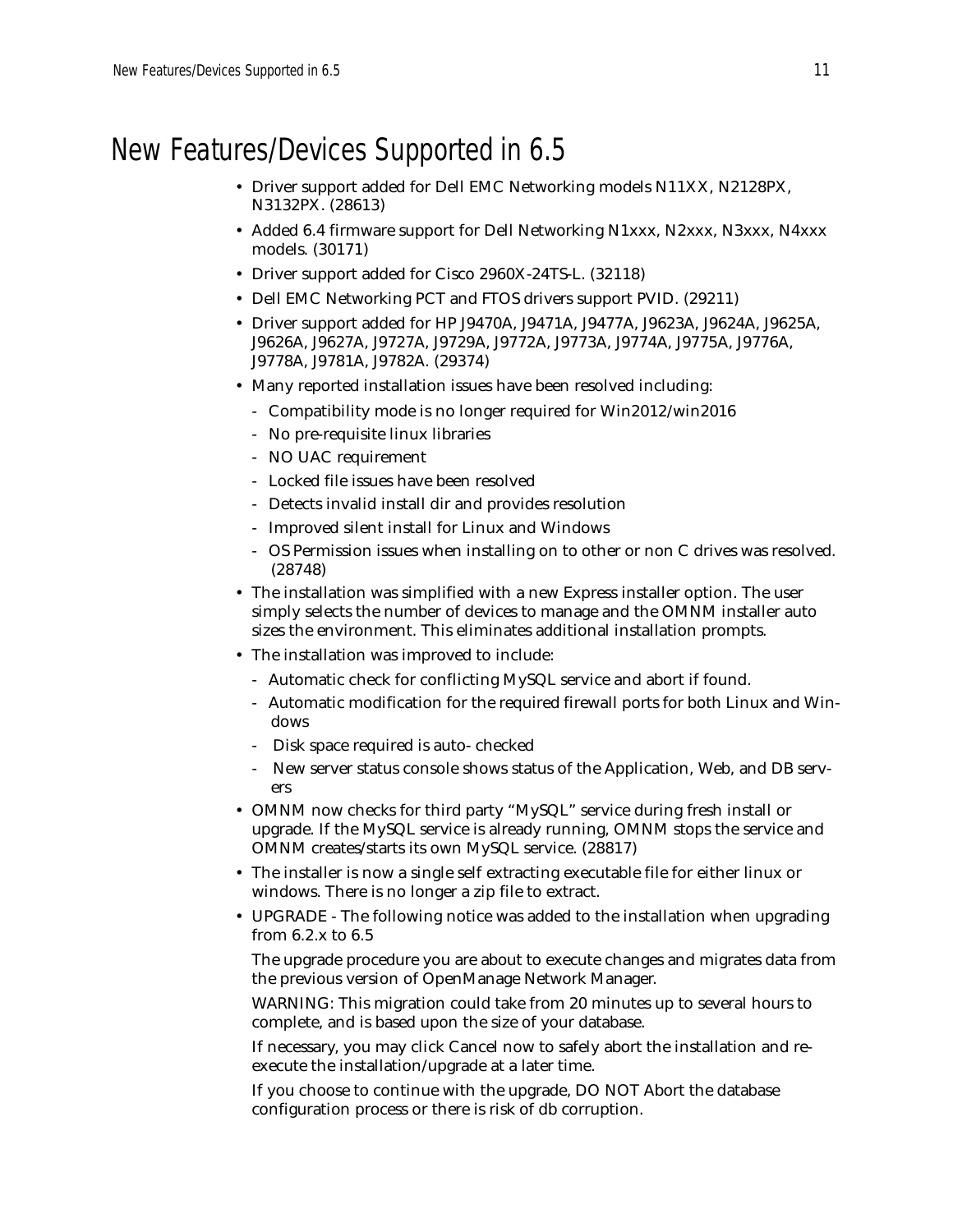# New Features/Devices Supported in 6.5

- Driver support added for Dell EMC Networking models N11XX, N2128PX, N3132PX. (28613)
- Added 6.4 firmware support for Dell Networking N1xxx, N2xxx, N3xxx, N4xxx models. (30171)
- Driver support added for Cisco 2960X-24TS-L. (32118)
- Dell EMC Networking PCT and FTOS drivers support PVID. (29211)
- Driver support added for HP J9470A, J9471A, J9477A, J9623A, J9624A, J9625A, J9626A, J9627A, J9727A, J9729A, J9772A, J9773A, J9774A, J9775A, J9776A, J9778A, J9781A, J9782A. (29374)
- Many reported installation issues have been resolved including:
	- Compatibility mode is no longer required for Win2012/win2016
	- No pre-requisite linux libraries
	- NO UAC requirement
	- Locked file issues have been resolved
	- Detects invalid install dir and provides resolution
	- Improved silent install for Linux and Windows
	- OS Permission issues when installing on to other or non C drives was resolved. (28748)
- The installation was simplified with a new Express installer option. The user simply selects the number of devices to manage and the OMNM installer auto sizes the environment. This eliminates additional installation prompts.
- The installation was improved to include:
	- Automatic check for conflicting MySQL service and abort if found.
	- Automatic modification for the required firewall ports for both Linux and Windows
	- Disk space required is auto- checked
	- New server status console shows status of the Application, Web, and DB servers
- OMNM now checks for third party "MySQL" service during fresh install or upgrade. If the MySQL service is already running, OMNM stops the service and OMNM creates/starts its own MySQL service. (28817)
- The installer is now a single self extracting executable file for either linux or windows. There is no longer a zip file to extract.
- UPGRADE The following notice was added to the installation when upgrading from 6.2.x to 6.5

The upgrade procedure you are about to execute changes and migrates data from the previous version of OpenManage Network Manager.

WARNING: This migration could take from 20 minutes up to several hours to complete, and is based upon the size of your database.

If necessary, you may click Cancel now to safely abort the installation and reexecute the installation/upgrade at a later time.

If you choose to continue with the upgrade, DO NOT Abort the database configuration process or there is risk of db corruption.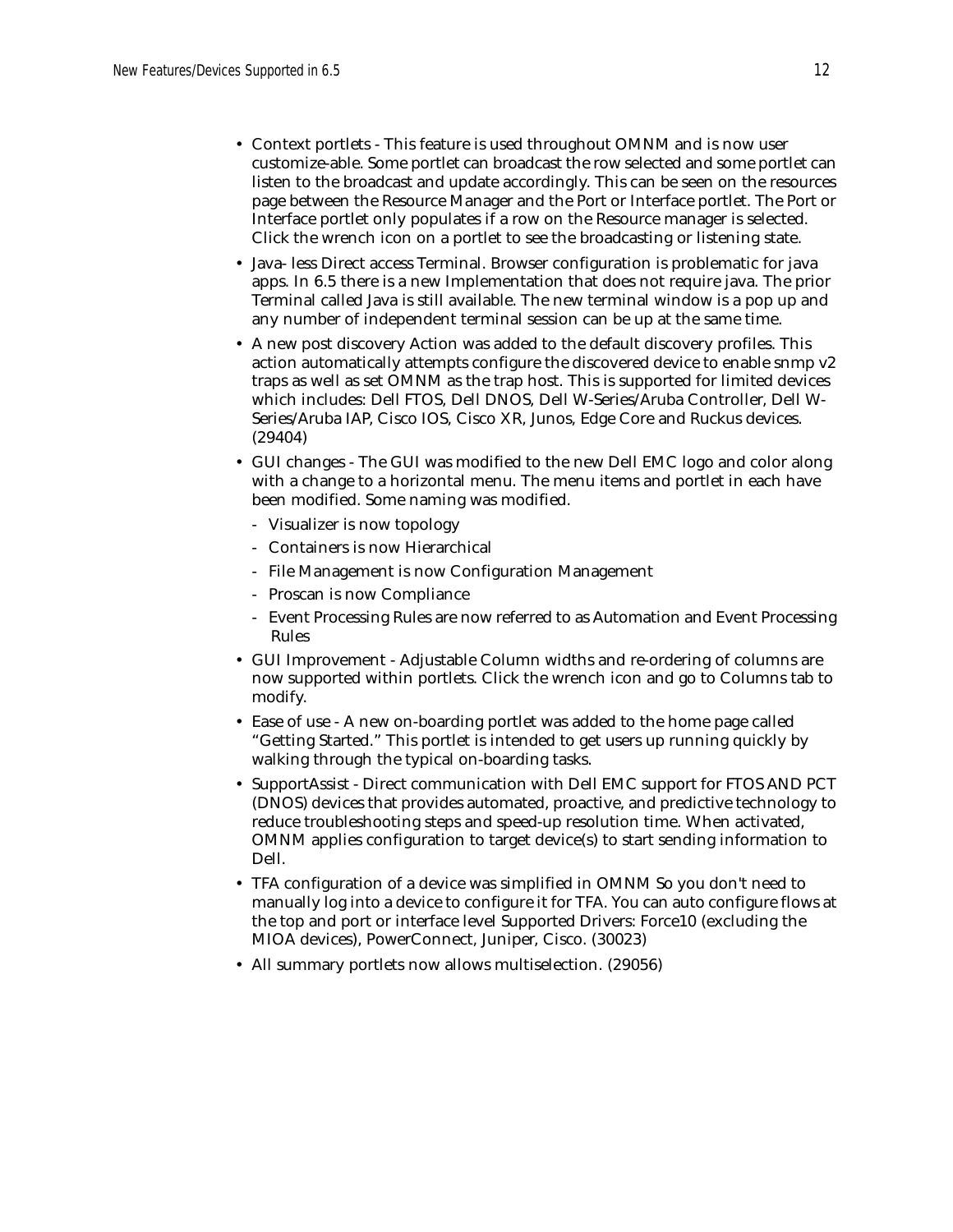- Context portlets This feature is used throughout OMNM and is now user customize-able. Some portlet can broadcast the row selected and some portlet can listen to the broadcast and update accordingly. This can be seen on the resources page between the Resource Manager and the Port or Interface portlet. The Port or Interface portlet only populates if a row on the Resource manager is selected. Click the wrench icon on a portlet to see the broadcasting or listening state.
- Java- less Direct access Terminal. Browser configuration is problematic for java apps. In 6.5 there is a new Implementation that does not require java. The prior Terminal called Java is still available. The new terminal window is a pop up and any number of independent terminal session can be up at the same time.
- A new post discovery Action was added to the default discovery profiles. This action automatically attempts configure the discovered device to enable snmp v2 traps as well as set OMNM as the trap host. This is supported for limited devices which includes: Dell FTOS, Dell DNOS, Dell W-Series/Aruba Controller, Dell W-Series/Aruba IAP, Cisco IOS, Cisco XR, Junos, Edge Core and Ruckus devices. (29404)
- GUI changes The GUI was modified to the new Dell EMC logo and color along with a change to a horizontal menu. The menu items and portlet in each have been modified. Some naming was modified.
	- Visualizer is now topology
	- Containers is now Hierarchical
	- File Management is now Configuration Management
	- Proscan is now Compliance
	- Event Processing Rules are now referred to as Automation and Event Processing Rules
- GUI Improvement Adjustable Column widths and re-ordering of columns are now supported within portlets. Click the wrench icon and go to Columns tab to modify.
- Ease of use A new on-boarding portlet was added to the home page called "Getting Started." This portlet is intended to get users up running quickly by walking through the typical on-boarding tasks.
- SupportAssist Direct communication with Dell EMC support for FTOS AND PCT (DNOS) devices that provides automated, proactive, and predictive technology to reduce troubleshooting steps and speed-up resolution time. When activated, OMNM applies configuration to target device(s) to start sending information to Dell.
- TFA configuration of a device was simplified in OMNM So you don't need to manually log into a device to configure it for TFA. You can auto configure flows at the top and port or interface level Supported Drivers: Force10 (excluding the MIOA devices), PowerConnect, Juniper, Cisco. (30023)
- All summary portlets now allows multiselection. (29056)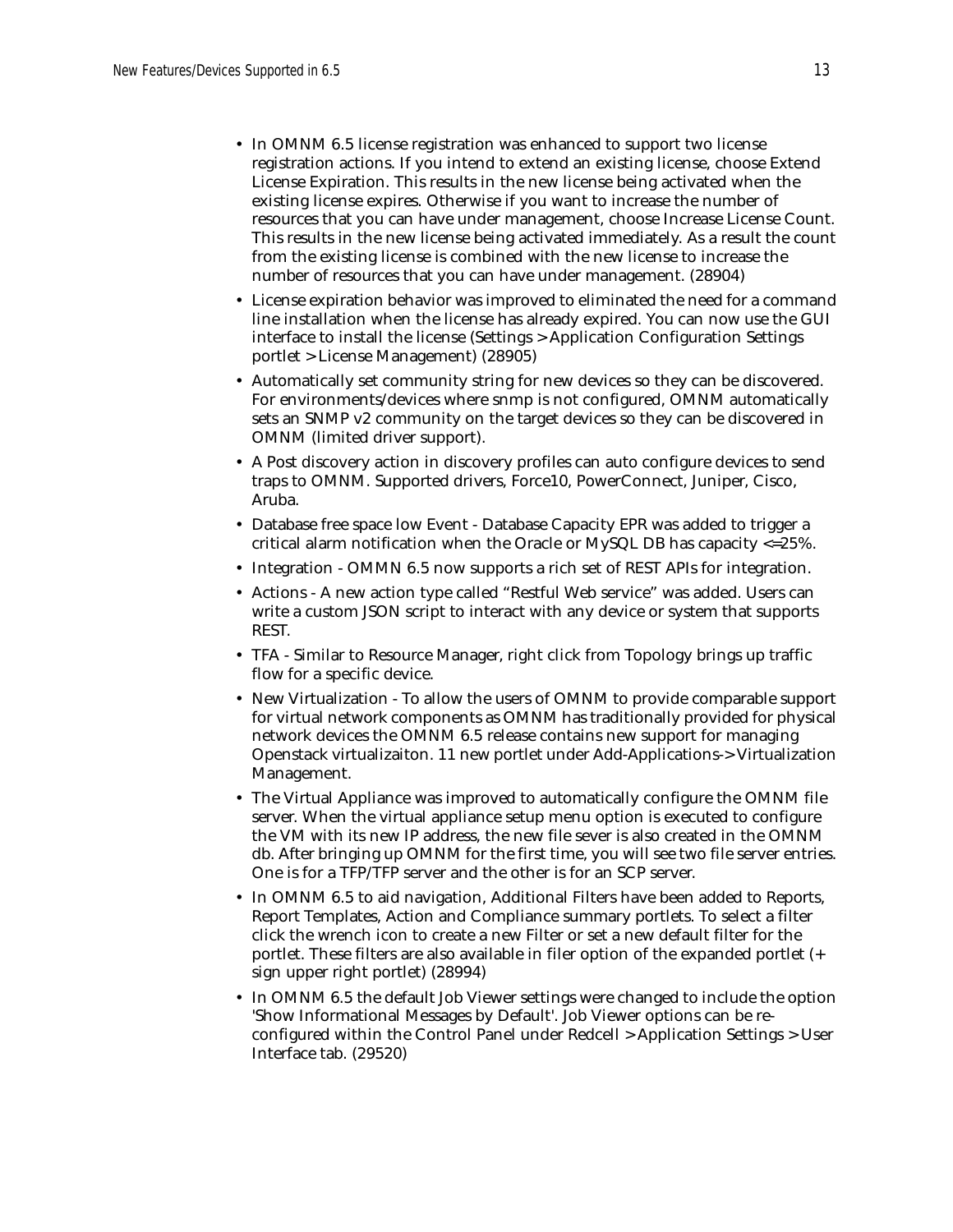- In OMNM 6.5 license registration was enhanced to support two license registration actions. If you intend to extend an existing license, choose Extend License Expiration. This results in the new license being activated when the existing license expires. Otherwise if you want to increase the number of resources that you can have under management, choose Increase License Count. This results in the new license being activated immediately. As a result the count from the existing license is combined with the new license to increase the number of resources that you can have under management. (28904)
- License expiration behavior was improved to eliminated the need for a command line installation when the license has already expired. You can now use the GUI interface to install the license (Settings > Application Configuration Settings portlet > License Management) (28905)
- Automatically set community string for new devices so they can be discovered. For environments/devices where snmp is not configured, OMNM automatically sets an SNMP v2 community on the target devices so they can be discovered in OMNM (limited driver support).
- A Post discovery action in discovery profiles can auto configure devices to send traps to OMNM. Supported drivers, Force10, PowerConnect, Juniper, Cisco, Aruba.
- Database free space low Event Database Capacity EPR was added to trigger a critical alarm notification when the Oracle or MySQL DB has capacity <=25%.
- Integration OMMN 6.5 now supports a rich set of REST APIs for integration.
- Actions A new action type called "Restful Web service" was added. Users can write a custom JSON script to interact with any device or system that supports REST.
- TFA Similar to Resource Manager, right click from Topology brings up traffic flow for a specific device.
- New Virtualization To allow the users of OMNM to provide comparable support for virtual network components as OMNM has traditionally provided for physical network devices the OMNM 6.5 release contains new support for managing Openstack virtualizaiton. 11 new portlet under Add-Applications-> Virtualization Management.
- The Virtual Appliance was improved to automatically configure the OMNM file server. When the virtual appliance setup menu option is executed to configure the VM with its new IP address, the new file sever is also created in the OMNM db. After bringing up OMNM for the first time, you will see two file server entries. One is for a TFP/TFP server and the other is for an SCP server.
- In OMNM 6.5 to aid navigation, Additional Filters have been added to Reports, Report Templates, Action and Compliance summary portlets. To select a filter click the wrench icon to create a new Filter or set a new default filter for the portlet. These filters are also available in filer option of the expanded portlet (+ sign upper right portlet) (28994)
- In OMNM 6.5 the default Job Viewer settings were changed to include the option 'Show Informational Messages by Default'. Job Viewer options can be reconfigured within the Control Panel under Redcell > Application Settings > User Interface tab. (29520)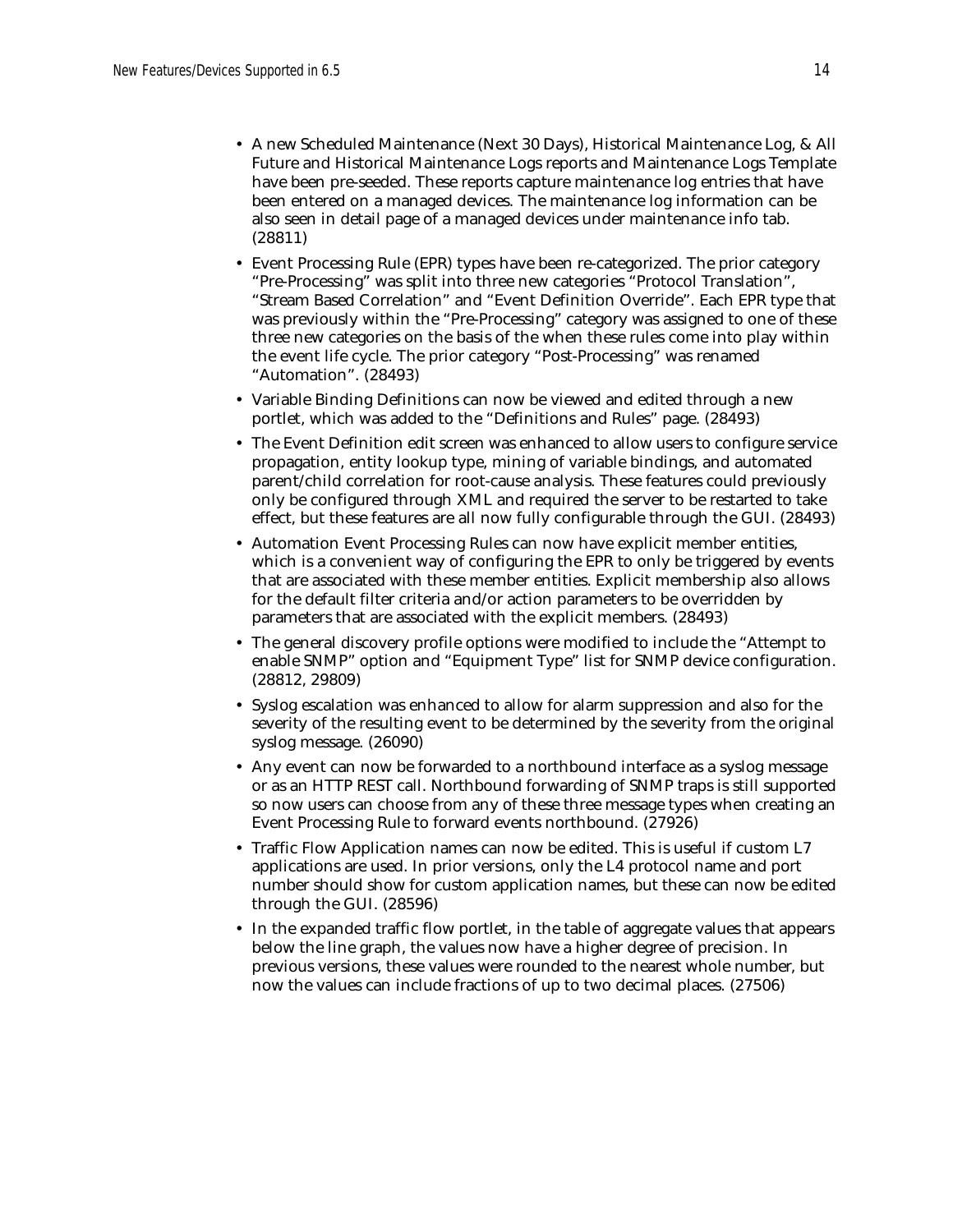- A new Scheduled Maintenance (Next 30 Days), Historical Maintenance Log, & All Future and Historical Maintenance Logs reports and Maintenance Logs Template have been pre-seeded. These reports capture maintenance log entries that have been entered on a managed devices. The maintenance log information can be also seen in detail page of a managed devices under maintenance info tab. (28811)
- Event Processing Rule (EPR) types have been re-categorized. The prior category "Pre-Processing" was split into three new categories "Protocol Translation", "Stream Based Correlation" and "Event Definition Override". Each EPR type that was previously within the "Pre-Processing" category was assigned to one of these three new categories on the basis of the when these rules come into play within the event life cycle. The prior category "Post-Processing" was renamed "Automation". (28493)
- Variable Binding Definitions can now be viewed and edited through a new portlet, which was added to the "Definitions and Rules" page. (28493)
- The Event Definition edit screen was enhanced to allow users to configure service propagation, entity lookup type, mining of variable bindings, and automated parent/child correlation for root-cause analysis. These features could previously only be configured through XML and required the server to be restarted to take effect, but these features are all now fully configurable through the GUI. (28493)
- Automation Event Processing Rules can now have explicit member entities, which is a convenient way of configuring the EPR to only be triggered by events that are associated with these member entities. Explicit membership also allows for the default filter criteria and/or action parameters to be overridden by parameters that are associated with the explicit members. (28493)
- The general discovery profile options were modified to include the "Attempt to enable SNMP" option and "Equipment Type" list for SNMP device configuration. (28812, 29809)
- Syslog escalation was enhanced to allow for alarm suppression and also for the severity of the resulting event to be determined by the severity from the original syslog message. (26090)
- Any event can now be forwarded to a northbound interface as a syslog message or as an HTTP REST call. Northbound forwarding of SNMP traps is still supported so now users can choose from any of these three message types when creating an Event Processing Rule to forward events northbound. (27926)
- Traffic Flow Application names can now be edited. This is useful if custom L7 applications are used. In prior versions, only the L4 protocol name and port number should show for custom application names, but these can now be edited through the GUI. (28596)
- In the expanded traffic flow portlet, in the table of aggregate values that appears below the line graph, the values now have a higher degree of precision. In previous versions, these values were rounded to the nearest whole number, but now the values can include fractions of up to two decimal places. (27506)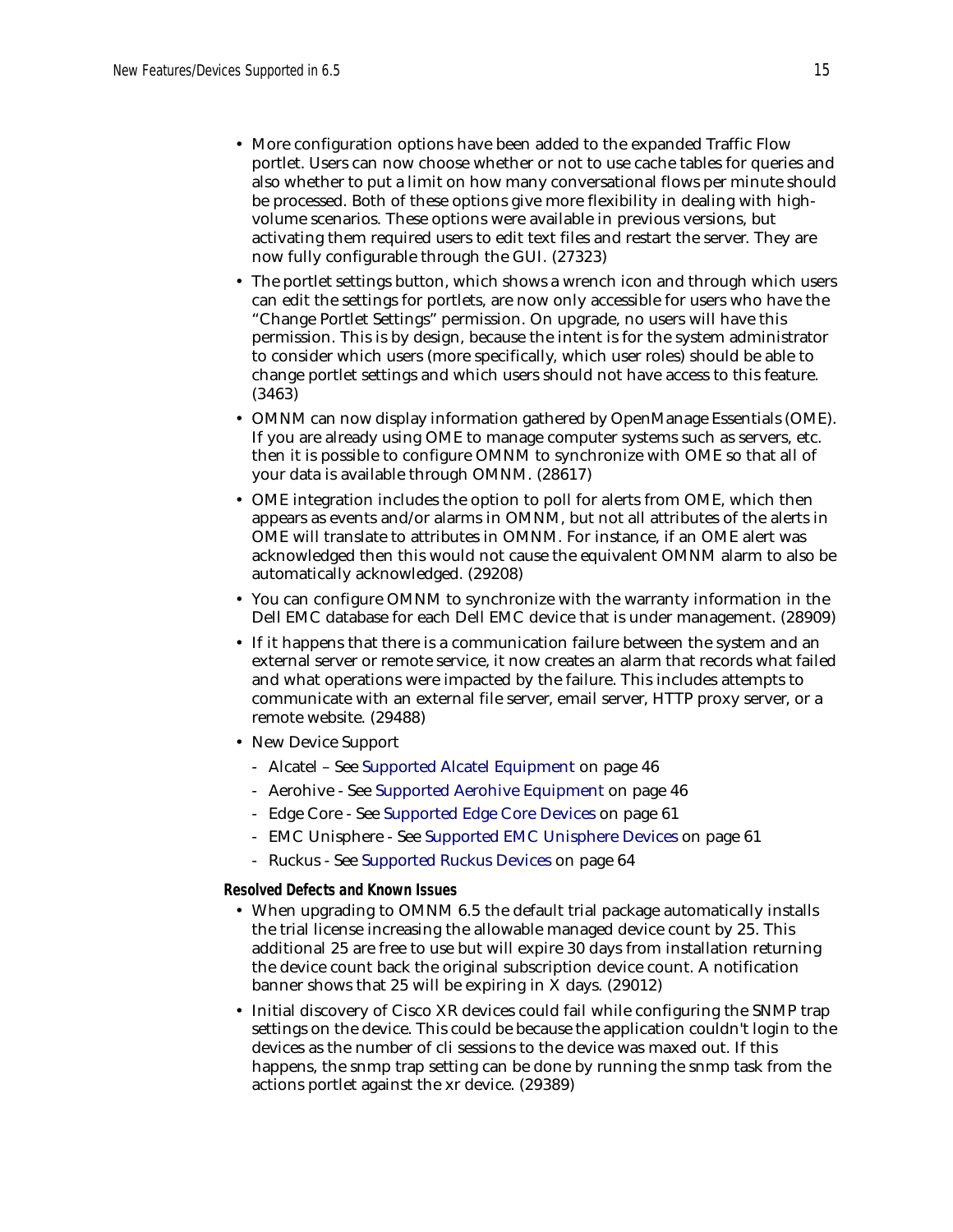- More configuration options have been added to the expanded Traffic Flow portlet. Users can now choose whether or not to use cache tables for queries and also whether to put a limit on how many conversational flows per minute should be processed. Both of these options give more flexibility in dealing with highvolume scenarios. These options were available in previous versions, but activating them required users to edit text files and restart the server. They are now fully configurable through the GUI. (27323)
- The portlet settings button, which shows a wrench icon and through which users can edit the settings for portlets, are now only accessible for users who have the "Change Portlet Settings" permission. On upgrade, no users will have this permission. This is by design, because the intent is for the system administrator to consider which users (more specifically, which user roles) should be able to change portlet settings and which users should not have access to this feature. (3463)
- OMNM can now display information gathered by OpenManage Essentials (OME). If you are already using OME to manage computer systems such as servers, etc. then it is possible to configure OMNM to synchronize with OME so that all of your data is available through OMNM. (28617)
- OME integration includes the option to poll for alerts from OME, which then appears as events and/or alarms in OMNM, but not all attributes of the alerts in OME will translate to attributes in OMNM. For instance, if an OME alert was acknowledged then this would not cause the equivalent OMNM alarm to also be automatically acknowledged. (29208)
- You can configure OMNM to synchronize with the warranty information in the Dell EMC database for each Dell EMC device that is under management. (28909)
- If it happens that there is a communication failure between the system and an external server or remote service, it now creates an alarm that records what failed and what operations were impacted by the failure. This includes attempts to communicate with an external file server, email server, HTTP proxy server, or a remote website. (29488)
- New Device Support
	- Alcatel See [Supported Alcatel Equipment on page 46](#page-45-0)
	- Aerohive See [Supported Aerohive Equipment on page 46](#page-45-1)
	- Edge Core See [Supported Edge Core Devices on page 61](#page-60-1)
	- EMC Unisphere See [Supported EMC Unisphere Devices on page 61](#page-60-0)
	- Ruckus See [Supported Ruckus Devices on page 64](#page-63-0)

**Resolved Defects and Known Issues**

- When upgrading to OMNM 6.5 the default trial package automatically installs the trial license increasing the allowable managed device count by 25. This additional 25 are free to use but will expire 30 days from installation returning the device count back the original subscription device count. A notification banner shows that 25 will be expiring in X days. (29012)
- Initial discovery of Cisco XR devices could fail while configuring the SNMP trap settings on the device. This could be because the application couldn't login to the devices as the number of cli sessions to the device was maxed out. If this happens, the snmp trap setting can be done by running the snmp task from the actions portlet against the xr device. (29389)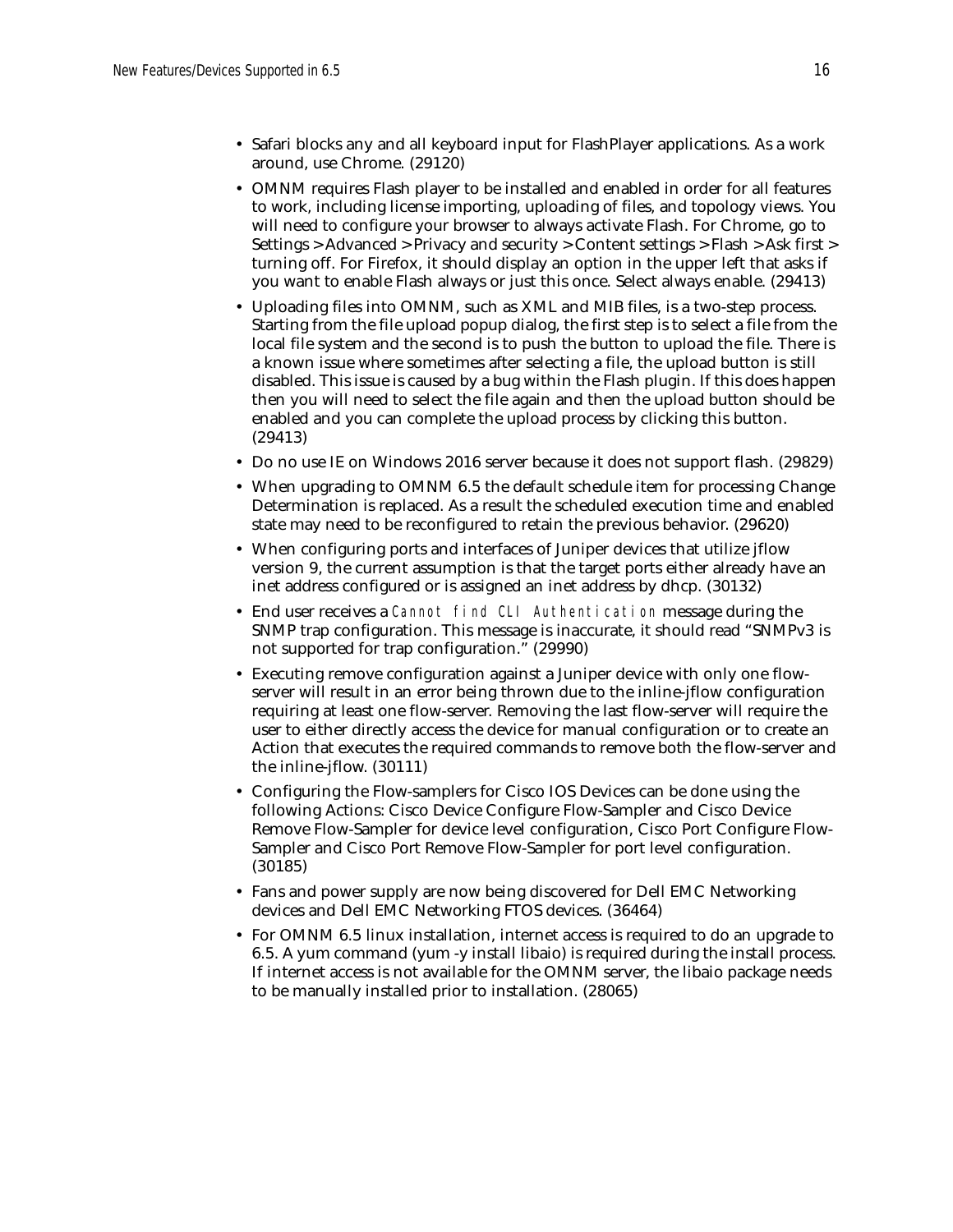- Safari blocks any and all keyboard input for FlashPlayer applications. As a work around, use Chrome. (29120)
- OMNM requires Flash player to be installed and enabled in order for all features to work, including license importing, uploading of files, and topology views. You will need to configure your browser to always activate Flash. For Chrome, go to Settings > Advanced > Privacy and security > Content settings > Flash > Ask first > turning off. For Firefox, it should display an option in the upper left that asks if you want to enable Flash always or just this once. Select always enable. (29413)
- Uploading files into OMNM, such as XML and MIB files, is a two-step process. Starting from the file upload popup dialog, the first step is to select a file from the local file system and the second is to push the button to upload the file. There is a known issue where sometimes after selecting a file, the upload button is still disabled. This issue is caused by a bug within the Flash plugin. If this does happen then you will need to select the file again and then the upload button should be enabled and you can complete the upload process by clicking this button. (29413)
- Do no use IE on Windows 2016 server because it does not support flash. (29829)
- When upgrading to OMNM 6.5 the default schedule item for processing Change Determination is replaced. As a result the scheduled execution time and enabled state may need to be reconfigured to retain the previous behavior. (29620)
- When configuring ports and interfaces of Juniper devices that utilize jflow version 9, the current assumption is that the target ports either already have an inet address configured or is assigned an inet address by dhcp. (30132)
- End user receives a Cannot find CLI Authentication message during the SNMP trap configuration. This message is inaccurate, it should read "SNMPv3 is not supported for trap configuration." (29990)
- Executing remove configuration against a Juniper device with only one flowserver will result in an error being thrown due to the inline-jflow configuration requiring at least one flow-server. Removing the last flow-server will require the user to either directly access the device for manual configuration or to create an Action that executes the required commands to remove both the flow-server and the inline-jflow. (30111)
- Configuring the Flow-samplers for Cisco IOS Devices can be done using the following Actions: Cisco Device Configure Flow-Sampler and Cisco Device Remove Flow-Sampler for device level configuration, Cisco Port Configure Flow-Sampler and Cisco Port Remove Flow-Sampler for port level configuration. (30185)
- Fans and power supply are now being discovered for Dell EMC Networking devices and Dell EMC Networking FTOS devices. (36464)
- For OMNM 6.5 linux installation, internet access is required to do an upgrade to 6.5. A yum command (yum -y install libaio) is required during the install process. If internet access is not available for the OMNM server, the libaio package needs to be manually installed prior to installation. (28065)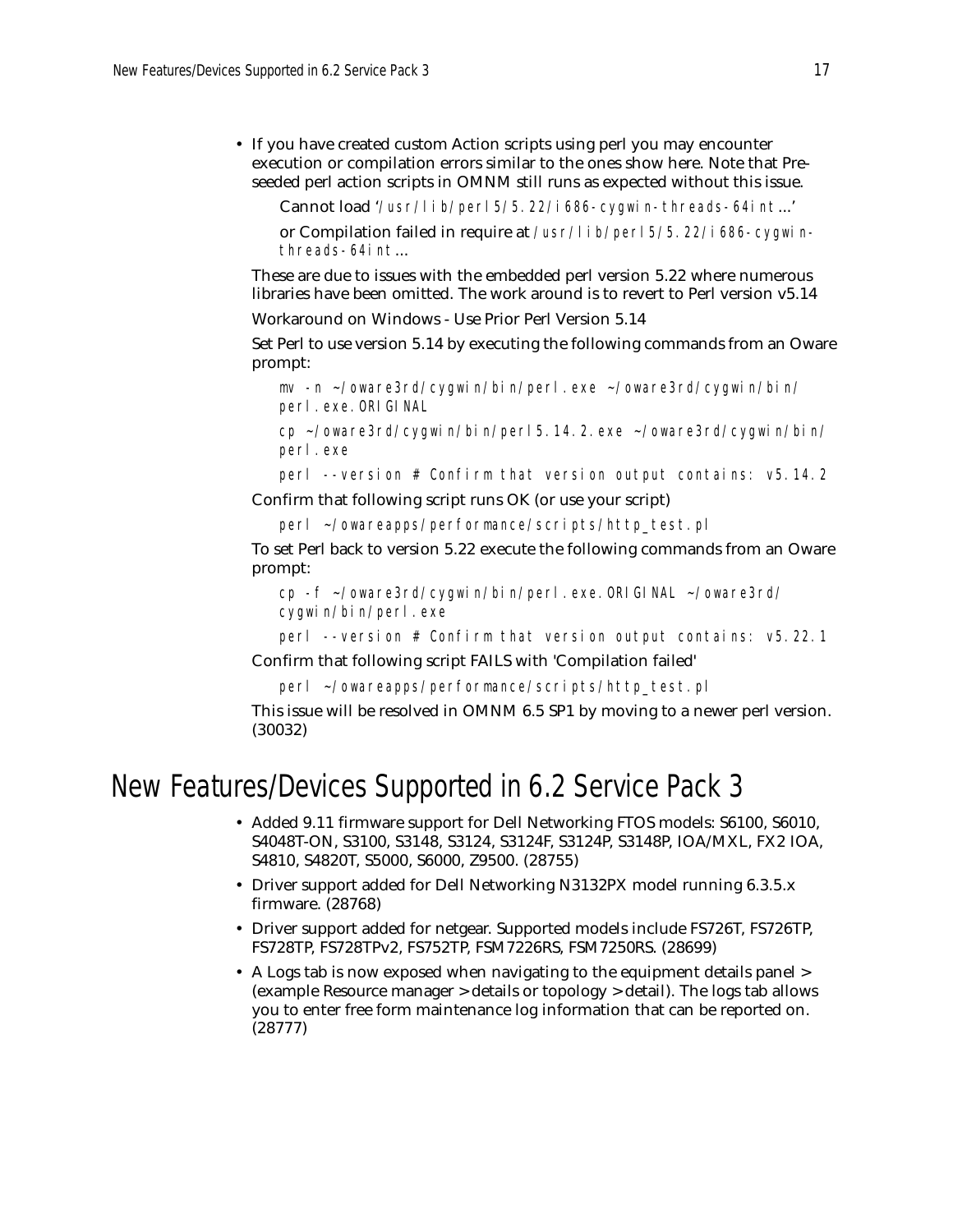• If you have created custom Action scripts using perl you may encounter execution or compilation errors similar to the ones show here. Note that Preseeded perl action scripts in OMNM still runs as expected without this issue.

Cannot load '/usr/lib/perl5/5.22/i686-cygwin-threads-64int...'

or Compilation failed in require at /usr/lib/perl5/5.22/i686-cygwinthreads-64int...

These are due to issues with the embedded perl version 5.22 where numerous libraries have been omitted. The work around is to revert to Perl version v5.14

Workaround on Windows - Use Prior Perl Version 5.14

Set Perl to use version 5.14 by executing the following commands from an Oware prompt:

```
mv -n ~/oware3rd/cygwin/bin/perl.exe ~/oware3rd/cygwin/bin/
perl.exe.ORIGINAL
```

```
cp ~/oware3rd/cygwin/bin/perl5.14.2.exe ~/oware3rd/cygwin/bin/
perl.exe
```
perl --version # Confirm that version output contains: v5.14.2

Confirm that following script runs OK (or use your script)

```
perl ~/owareapps/performance/scripts/http_test.pl
```
To set Perl back to version 5.22 execute the following commands from an Oware prompt:

```
cp -f ~/oware3rd/cygwin/bin/perl.exe.ORIGINAL ~/oware3rd/
cygwin/bin/perl.exe
```
perl --version # Confirm that version output contains: v5.22.1

Confirm that following script FAILS with 'Compilation failed'

perl ~/owareapps/performance/scripts/http\_test.pl

This issue will be resolved in OMNM 6.5 SP1 by moving to a newer perl version. (30032)

## New Features/Devices Supported in 6.2 Service Pack 3

- Added 9.11 firmware support for Dell Networking FTOS models: S6100, S6010, S4048T-ON, S3100, S3148, S3124, S3124F, S3124P, S3148P, IOA/MXL, FX2 IOA, S4810, S4820T, S5000, S6000, Z9500. (28755)
- Driver support added for Dell Networking N3132PX model running 6.3.5.x firmware. (28768)
- Driver support added for netgear. Supported models include FS726T, FS726TP, FS728TP, FS728TPv2, FS752TP, FSM7226RS, FSM7250RS. (28699)
- A Logs tab is now exposed when navigating to the equipment details panel > (example Resource manager > details or topology > detail). The logs tab allows you to enter free form maintenance log information that can be reported on. (28777)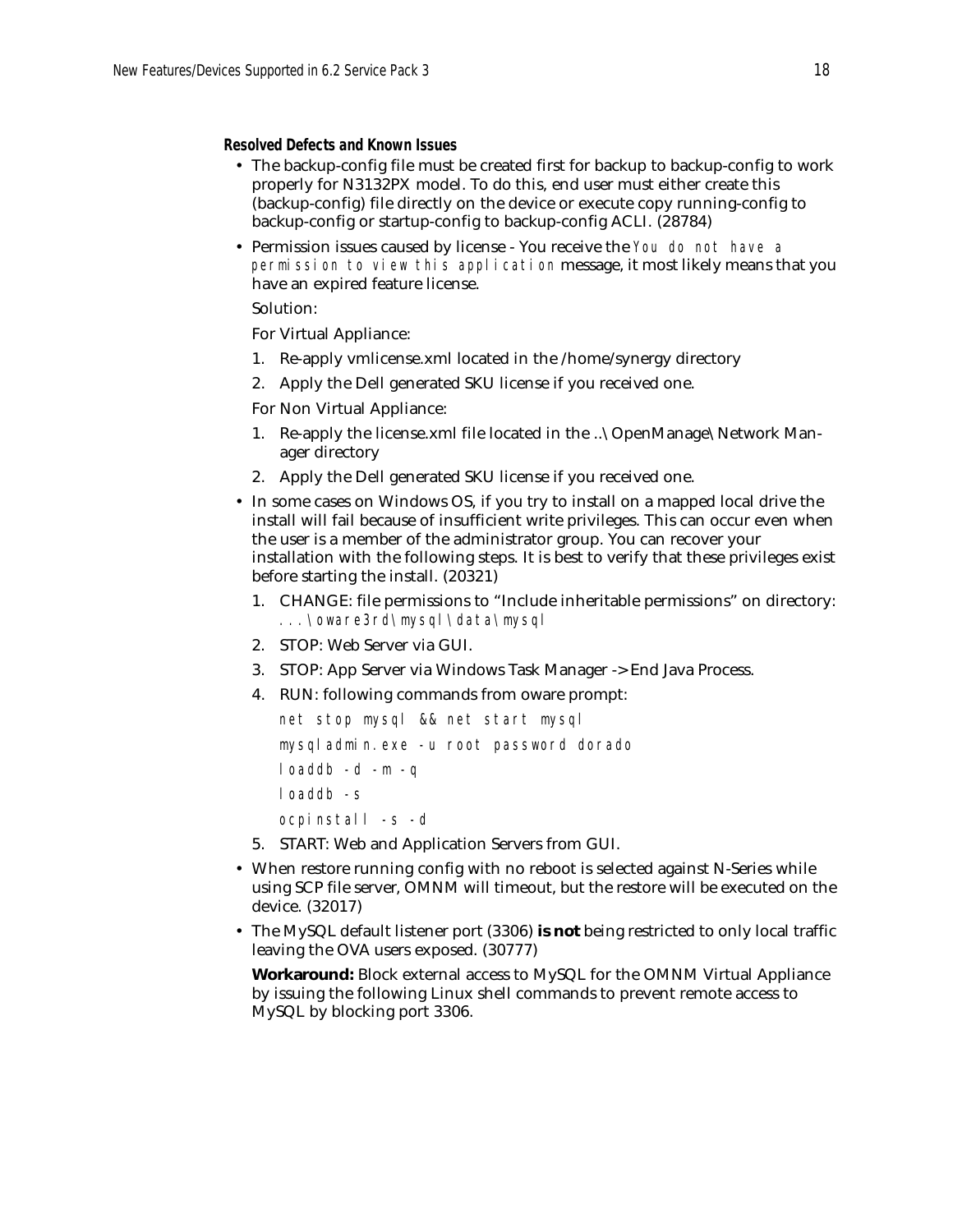#### **Resolved Defects and Known Issues**

- The backup-config file must be created first for backup to backup-config to work properly for N3132PX model. To do this, end user must either create this (backup-config) file directly on the device or execute copy running-config to backup-config or startup-config to backup-config ACLI. (28784)
- Permission issues caused by license You receive the You do not have a permission to view this application message, it most likely means that you have an expired feature license.

### Solution:

For Virtual Appliance:

- 1. Re-apply vmlicense.xml located in the /home/synergy directory
- 2. Apply the Dell generated SKU license if you received one.

For Non Virtual Appliance:

- 1. Re-apply the license.xml file located in the ..\OpenManage\Network Manager directory
- 2. Apply the Dell generated SKU license if you received one.
- In some cases on Windows OS, if you try to install on a mapped local drive the install will fail because of insufficient write privileges. This can occur even when the user is a member of the administrator group. You can recover your installation with the following steps. It is best to verify that these privileges exist before starting the install. (20321)
	- 1. CHANGE: file permissions to "Include inheritable permissions" on directory: *...\oware3rd\mysql\data\mysql*
	- 2. STOP: Web Server via GUI.
	- 3. STOP: App Server via Windows Task Manager -> End Java Process.
	- 4. RUN: following commands from oware prompt:

```
net stop mysql && net start mysql
mysqladmin.exe -u root password dorado
loaddb -d -m -q
loaddb -s
ocpinstall -s -d
```
- 5. START: Web and Application Servers from GUI.
- When restore running config with no reboot is selected against N-Series while using SCP file server, OMNM will timeout, but the restore will be executed on the device. (32017)
- The MySQL default listener port (3306) **is not** being restricted to only local traffic leaving the OVA users exposed. (30777)

**Workaround:** Block external access to MySQL for the OMNM Virtual Appliance by issuing the following Linux shell commands to prevent remote access to MySQL by blocking port 3306.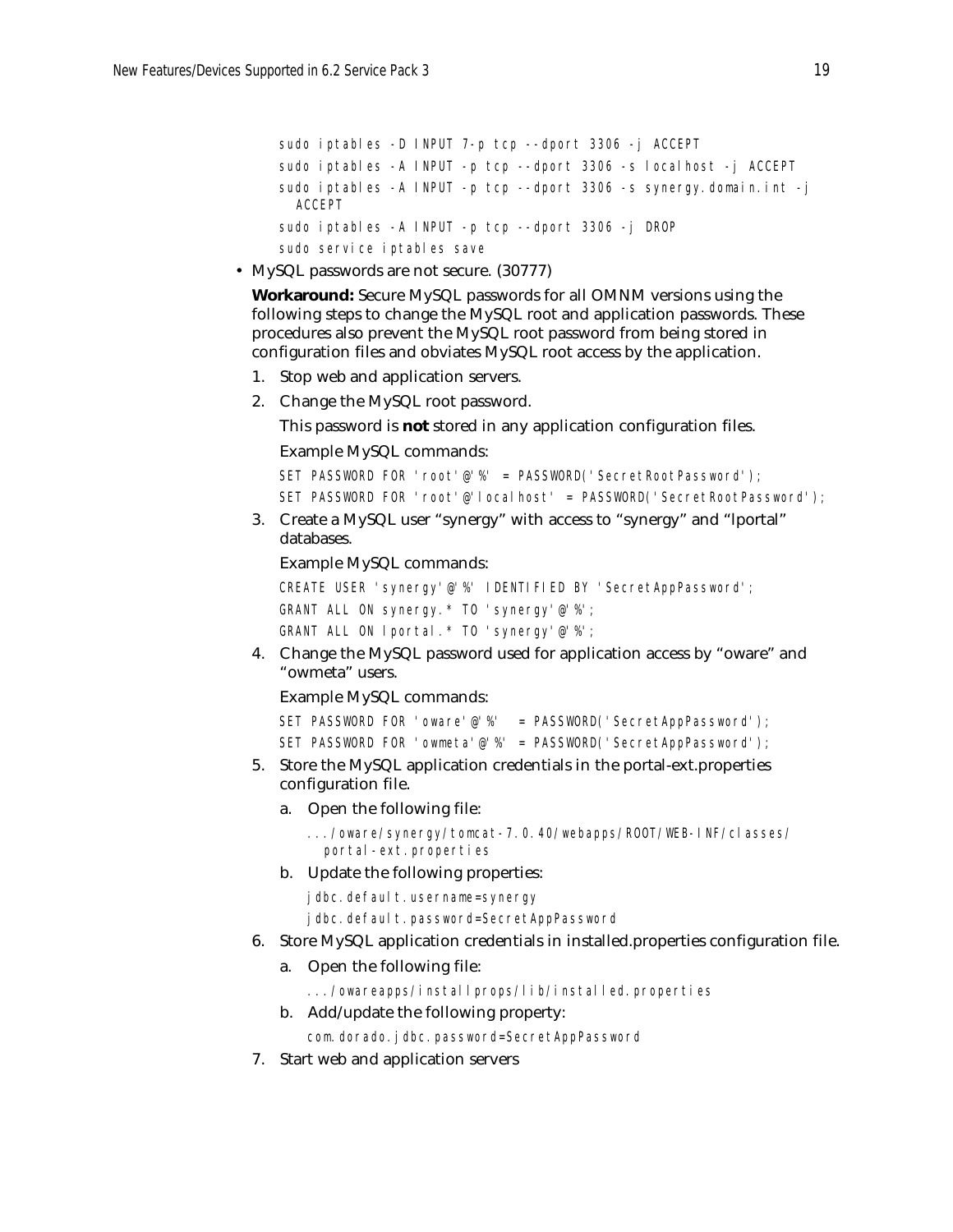```
sudo iptables -D INPUT 7-p tcp --dport 3306 -j ACCEPT
sudo iptables -A INPUT -p tcp --dport 3306 -s localhost -j ACCEPT
sudo iptables -A INPUT -p tcp --dport 3306 -s synergy.domain.int -j 
 ACCEPT
sudo iptables -A INPUT -p tcp --dport 3306 -j DROP
sudo service iptables save
```
• MySQL passwords are not secure. (30777)

**Workaround:** Secure MySQL passwords for all OMNM versions using the following steps to change the MySQL root and application passwords. These procedures also prevent the MySQL root password from being stored in configuration files and obviates MySQL root access by the application.

- 1. Stop web and application servers.
- 2. Change the MySQL root password.

This password is **not** stored in any application configuration files.

Example MySQL commands:

```
SET PASSWORD FOR 'root'@'%' = PASSWORD('SecretRootPassword');
SET PASSWORD FOR 'root'@'localhost' = PASSWORD('SecretRootPassword');
```
3. Create a MySQL user "synergy" with access to "synergy" and "lportal" databases.

Example MySQL commands:

```
CREATE USER 'synergy'@'%' IDENTIFIED BY 'SecretAppPassword';
GRANT ALL ON synergy.* TO 'synergy'@'%';
GRANT ALL ON lportal.* TO 'synergy'@'%';
```
4. Change the MySQL password used for application access by "oware" and "owmeta" users.

Example MySQL commands:

```
SET PASSWORD FOR 'oware'@'%' = PASSWORD('SecretAppPassword');
SET PASSWORD FOR 'owmeta'@'%' = PASSWORD('SecretAppPassword');
```
- 5. Store the MySQL application credentials in the portal-ext.properties configuration file.
	- a. Open the following file:

```
.../oware/synergy/tomcat-7.0.40/webapps/ROOT/WEB-INF/classes/
 portal-ext.properties
```
b. Update the following properties:

jdbc.default.username=synergy

jdbc.default.password=SecretAppPassword

- 6. Store MySQL application credentials in installed.properties configuration file.
	- a. Open the following file:

.../owareapps/installprops/lib/installed.properties

b. Add/update the following property:

com.dorado.jdbc.password=SecretAppPassword

7. Start web and application servers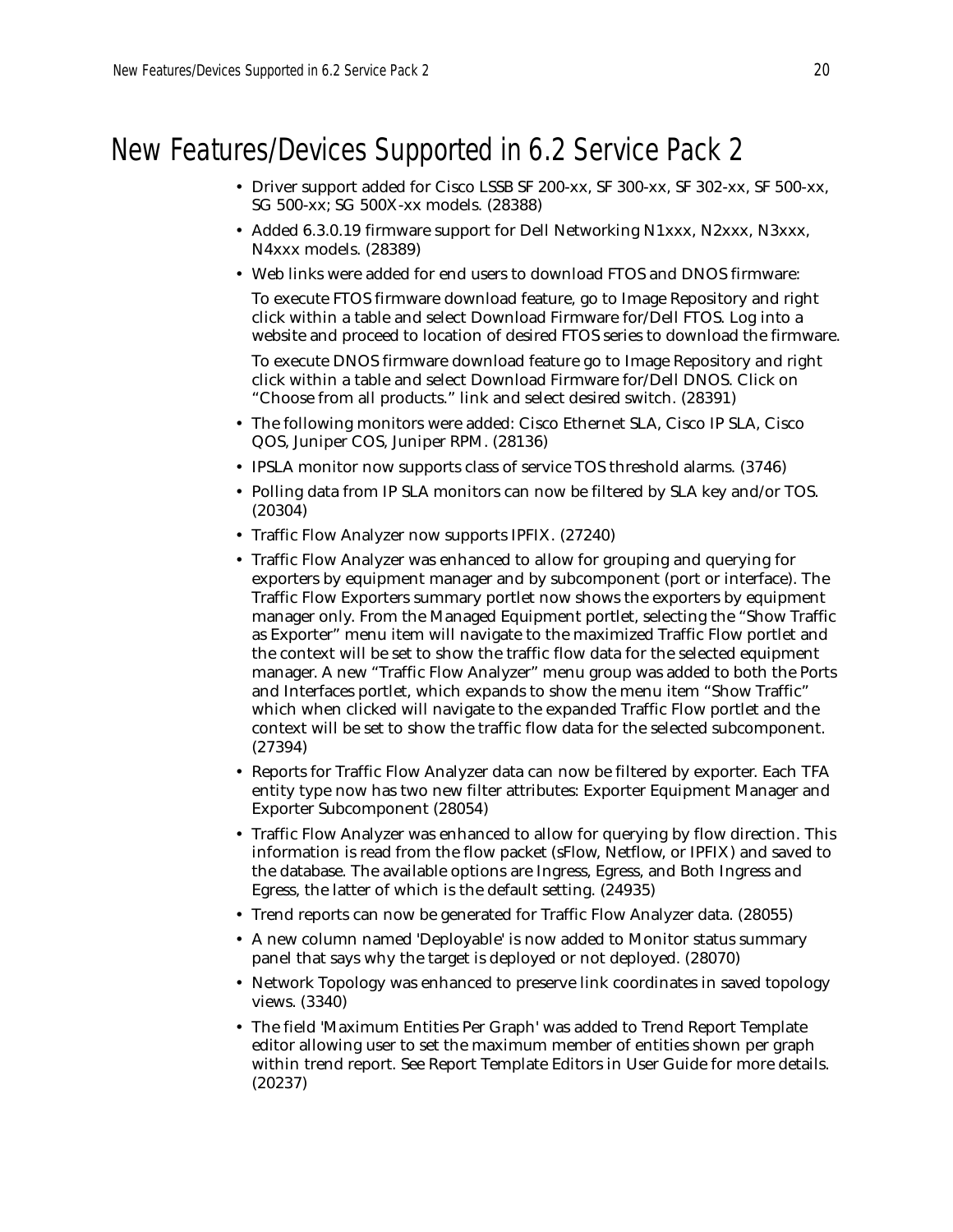# New Features/Devices Supported in 6.2 Service Pack 2

- Driver support added for Cisco LSSB SF 200-xx, SF 300-xx, SF 302-xx, SF 500-xx, SG 500-xx; SG 500X-xx models. (28388)
- Added 6.3.0.19 firmware support for Dell Networking N1xxx, N2xxx, N3xxx, N4xxx models. (28389)
- Web links were added for end users to download FTOS and DNOS firmware:

To execute FTOS firmware download feature, go to Image Repository and right click within a table and select Download Firmware for/Dell FTOS. Log into a website and proceed to location of desired FTOS series to download the firmware.

To execute DNOS firmware download feature go to Image Repository and right click within a table and select Download Firmware for/Dell DNOS. Click on "Choose from all products." link and select desired switch. (28391)

- The following monitors were added: Cisco Ethernet SLA, Cisco IP SLA, Cisco QOS, Juniper COS, Juniper RPM. (28136)
- IPSLA monitor now supports class of service TOS threshold alarms. (3746)
- Polling data from IP SLA monitors can now be filtered by SLA key and/or TOS. (20304)
- Traffic Flow Analyzer now supports IPFIX. (27240)
- Traffic Flow Analyzer was enhanced to allow for grouping and querying for exporters by equipment manager and by subcomponent (port or interface). The Traffic Flow Exporters summary portlet now shows the exporters by equipment manager only. From the Managed Equipment portlet, selecting the "Show Traffic as Exporter" menu item will navigate to the maximized Traffic Flow portlet and the context will be set to show the traffic flow data for the selected equipment manager. A new "Traffic Flow Analyzer" menu group was added to both the Ports and Interfaces portlet, which expands to show the menu item "Show Traffic" which when clicked will navigate to the expanded Traffic Flow portlet and the context will be set to show the traffic flow data for the selected subcomponent. (27394)
- Reports for Traffic Flow Analyzer data can now be filtered by exporter. Each TFA entity type now has two new filter attributes: Exporter Equipment Manager and Exporter Subcomponent (28054)
- Traffic Flow Analyzer was enhanced to allow for querying by flow direction. This information is read from the flow packet (sFlow, Netflow, or IPFIX) and saved to the database. The available options are Ingress, Egress, and Both Ingress and Egress, the latter of which is the default setting. (24935)
- Trend reports can now be generated for Traffic Flow Analyzer data. (28055)
- A new column named 'Deployable' is now added to Monitor status summary panel that says why the target is deployed or not deployed. (28070)
- Network Topology was enhanced to preserve link coordinates in saved topology views. (3340)
- The field 'Maximum Entities Per Graph' was added to Trend Report Template editor allowing user to set the maximum member of entities shown per graph within trend report. See Report Template Editors in User Guide for more details. (20237)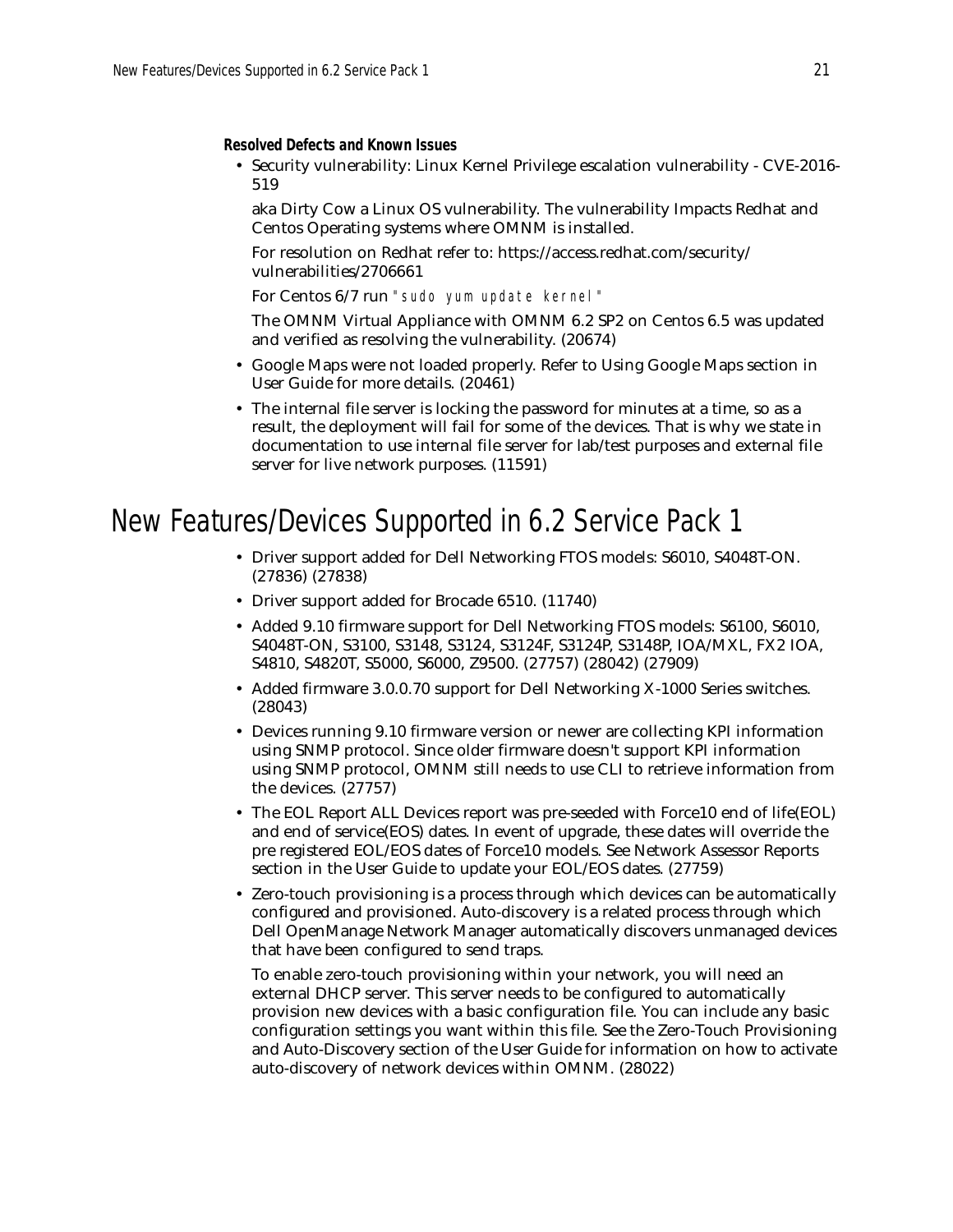**Resolved Defects and Known Issues**

• Security vulnerability: Linux Kernel Privilege escalation vulnerability - CVE-2016- 519

aka Dirty Cow a Linux OS vulnerability. The vulnerability Impacts Redhat and Centos Operating systems where OMNM is installed.

For resolution on Redhat refer to: https://access.redhat.com/security/ vulnerabilities/2706661

For Centos 6/7 run "sudo yum update kernel"

The OMNM Virtual Appliance with OMNM 6.2 SP2 on Centos 6.5 was updated and verified as resolving the vulnerability. (20674)

- Google Maps were not loaded properly. Refer to Using Google Maps section in User Guide for more details. (20461)
- The internal file server is locking the password for minutes at a time, so as a result, the deployment will fail for some of the devices. That is why we state in documentation to use internal file server for lab/test purposes and external file server for live network purposes. (11591)

## New Features/Devices Supported in 6.2 Service Pack 1

- Driver support added for Dell Networking FTOS models: S6010, S4048T-ON. (27836) (27838)
- Driver support added for Brocade 6510. (11740)
- Added 9.10 firmware support for Dell Networking FTOS models: S6100, S6010, S4048T-ON, S3100, S3148, S3124, S3124F, S3124P, S3148P, IOA/MXL, FX2 IOA, S4810, S4820T, S5000, S6000, Z9500. (27757) (28042) (27909)
- Added firmware 3.0.0.70 support for Dell Networking X-1000 Series switches. (28043)
- Devices running 9.10 firmware version or newer are collecting KPI information using SNMP protocol. Since older firmware doesn't support KPI information using SNMP protocol, OMNM still needs to use CLI to retrieve information from the devices. (27757)
- The EOL Report ALL Devices report was pre-seeded with Force10 end of life(EOL) and end of service(EOS) dates. In event of upgrade, these dates will override the pre registered EOL/EOS dates of Force10 models. See Network Assessor Reports section in the User Guide to update your EOL/EOS dates. (27759)
- Zero-touch provisioning is a process through which devices can be automatically configured and provisioned. Auto-discovery is a related process through which Dell OpenManage Network Manager automatically discovers unmanaged devices that have been configured to send traps.

To enable zero-touch provisioning within your network, you will need an external DHCP server. This server needs to be configured to automatically provision new devices with a basic configuration file. You can include any basic configuration settings you want within this file. See the Zero-Touch Provisioning and Auto-Discovery section of the User Guide for information on how to activate auto-discovery of network devices within OMNM. (28022)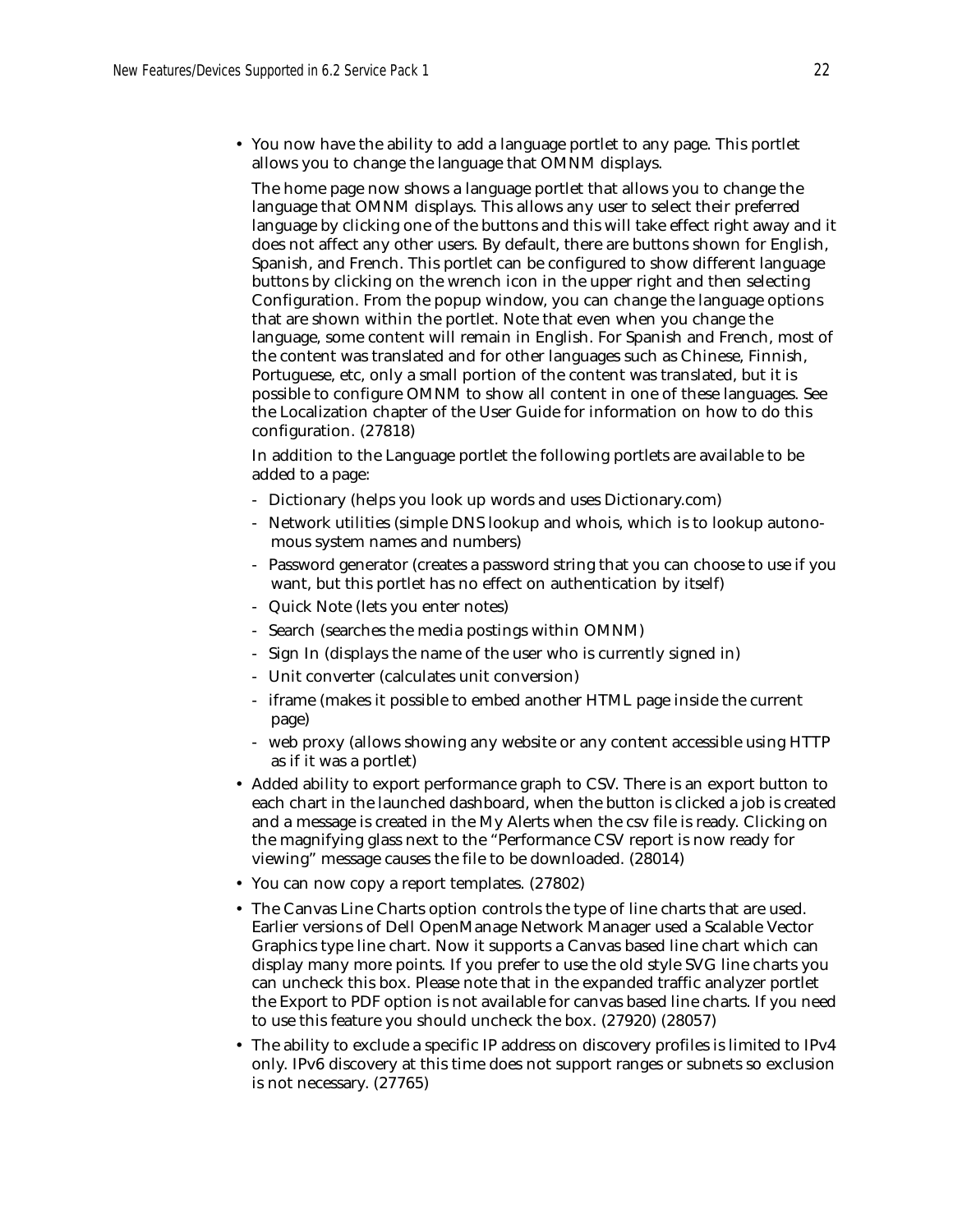• You now have the ability to add a language portlet to any page. This portlet allows you to change the language that OMNM displays.

The home page now shows a language portlet that allows you to change the language that OMNM displays. This allows any user to select their preferred language by clicking one of the buttons and this will take effect right away and it does not affect any other users. By default, there are buttons shown for English, Spanish, and French. This portlet can be configured to show different language buttons by clicking on the wrench icon in the upper right and then selecting Configuration. From the popup window, you can change the language options that are shown within the portlet. Note that even when you change the language, some content will remain in English. For Spanish and French, most of the content was translated and for other languages such as Chinese, Finnish, Portuguese, etc, only a small portion of the content was translated, but it is possible to configure OMNM to show all content in one of these languages. See the Localization chapter of the User Guide for information on how to do this configuration. (27818)

In addition to the Language portlet the following portlets are available to be added to a page:

- Dictionary (helps you look up words and uses Dictionary.com)
- Network utilities (simple DNS lookup and whois, which is to lookup autonomous system names and numbers)
- Password generator (creates a password string that you can choose to use if you want, but this portlet has no effect on authentication by itself)
- Quick Note (lets you enter notes)
- Search (searches the media postings within OMNM)
- Sign In (displays the name of the user who is currently signed in)
- Unit converter (calculates unit conversion)
- iframe (makes it possible to embed another HTML page inside the current page)
- web proxy (allows showing any website or any content accessible using HTTP as if it was a portlet)
- Added ability to export performance graph to CSV. There is an export button to each chart in the launched dashboard, when the button is clicked a job is created and a message is created in the My Alerts when the csv file is ready. Clicking on the magnifying glass next to the "Performance CSV report is now ready for viewing" message causes the file to be downloaded. (28014)
- You can now copy a report templates. (27802)
- The Canvas Line Charts option controls the type of line charts that are used. Earlier versions of Dell OpenManage Network Manager used a Scalable Vector Graphics type line chart. Now it supports a Canvas based line chart which can display many more points. If you prefer to use the old style SVG line charts you can uncheck this box. Please note that in the expanded traffic analyzer portlet the Export to PDF option is not available for canvas based line charts. If you need to use this feature you should uncheck the box. (27920) (28057)
- The ability to exclude a specific IP address on discovery profiles is limited to IPv4 only. IPv6 discovery at this time does not support ranges or subnets so exclusion is not necessary. (27765)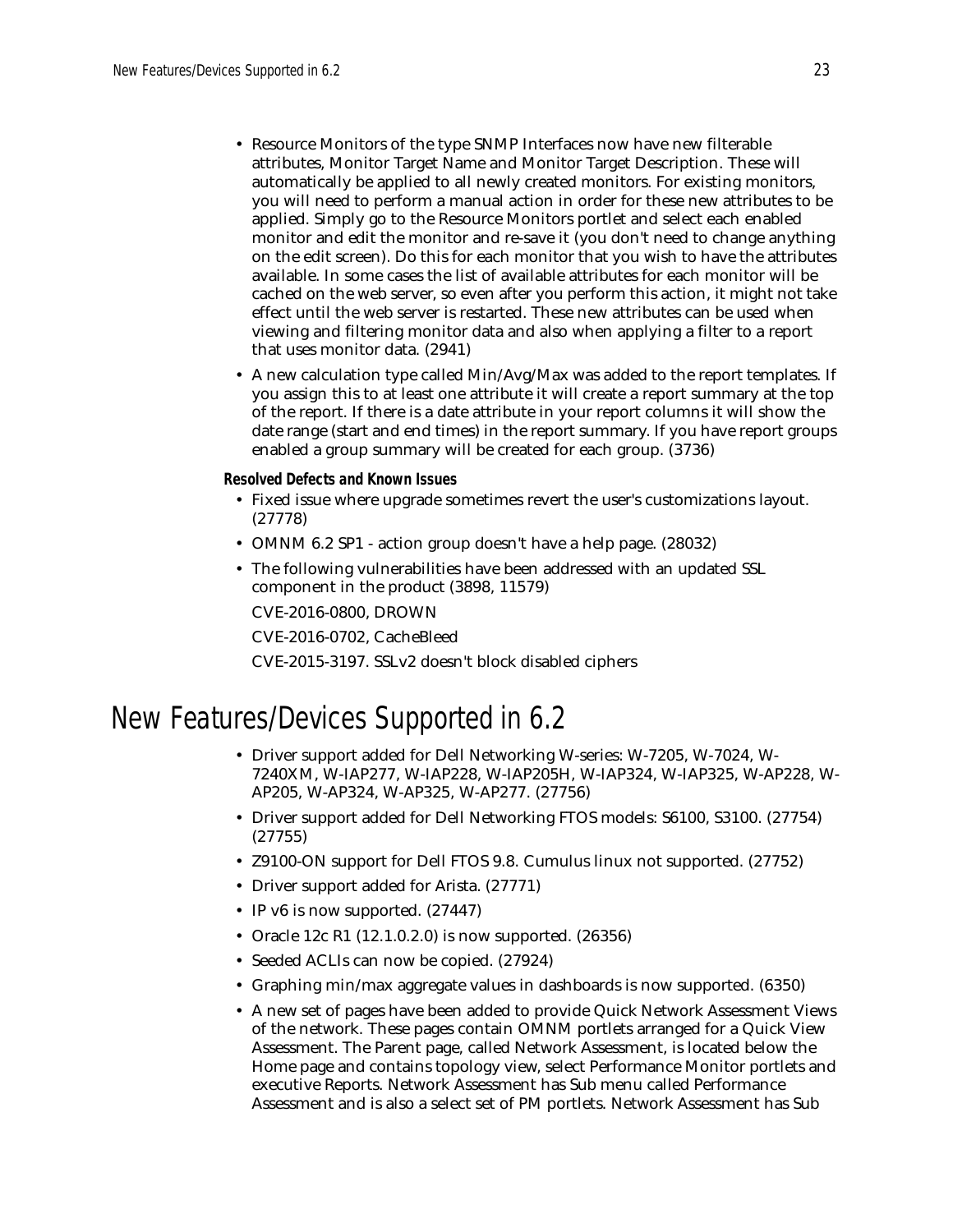- Resource Monitors of the type SNMP Interfaces now have new filterable attributes, Monitor Target Name and Monitor Target Description. These will automatically be applied to all newly created monitors. For existing monitors, you will need to perform a manual action in order for these new attributes to be applied. Simply go to the Resource Monitors portlet and select each enabled monitor and edit the monitor and re-save it (you don't need to change anything on the edit screen). Do this for each monitor that you wish to have the attributes available. In some cases the list of available attributes for each monitor will be cached on the web server, so even after you perform this action, it might not take effect until the web server is restarted. These new attributes can be used when viewing and filtering monitor data and also when applying a filter to a report that uses monitor data. (2941)
- A new calculation type called Min/Avg/Max was added to the report templates. If you assign this to at least one attribute it will create a report summary at the top of the report. If there is a date attribute in your report columns it will show the date range (start and end times) in the report summary. If you have report groups enabled a group summary will be created for each group. (3736)

**Resolved Defects and Known Issues**

- Fixed issue where upgrade sometimes revert the user's customizations layout. (27778)
- OMNM 6.2 SP1 action group doesn't have a help page. (28032)
- The following vulnerabilities have been addressed with an updated SSL component in the product (3898, 11579)

CVE-2016-0800, DROWN

CVE-2016-0702, CacheBleed

CVE-2015-3197. SSLv2 doesn't block disabled ciphers

## New Features/Devices Supported in 6.2

- Driver support added for Dell Networking W-series: W-7205, W-7024, W-7240XM, W-IAP277, W-IAP228, W-IAP205H, W-IAP324, W-IAP325, W-AP228, W-AP205, W-AP324, W-AP325, W-AP277. (27756)
- Driver support added for Dell Networking FTOS models: S6100, S3100. (27754) (27755)
- Z9100-ON support for Dell FTOS 9.8. Cumulus linux not supported. (27752)
- Driver support added for Arista. (27771)
- IP v6 is now supported.  $(27447)$
- Oracle 12c R1 (12.1.0.2.0) is now supported. (26356)
- Seeded ACLIs can now be copied. (27924)
- Graphing min/max aggregate values in dashboards is now supported. (6350)
- A new set of pages have been added to provide Quick Network Assessment Views of the network. These pages contain OMNM portlets arranged for a Quick View Assessment. The Parent page, called Network Assessment, is located below the Home page and contains topology view, select Performance Monitor portlets and executive Reports. Network Assessment has Sub menu called Performance Assessment and is also a select set of PM portlets. Network Assessment has Sub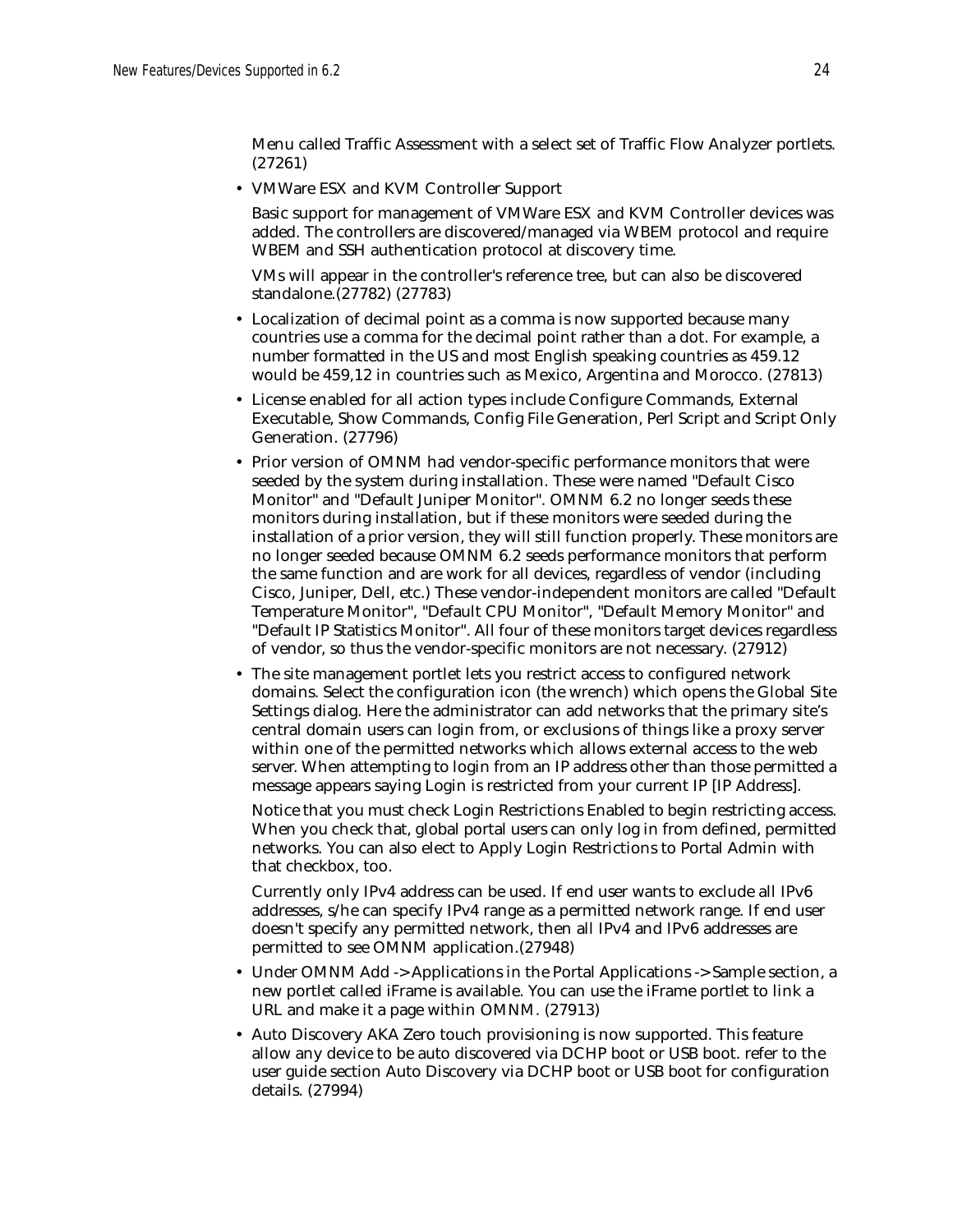Menu called Traffic Assessment with a select set of Traffic Flow Analyzer portlets. (27261)

• VMWare ESX and KVM Controller Support

Basic support for management of VMWare ESX and KVM Controller devices was added. The controllers are discovered/managed via WBEM protocol and require WBEM and SSH authentication protocol at discovery time.

VMs will appear in the controller's reference tree, but can also be discovered standalone.(27782) (27783)

- Localization of decimal point as a comma is now supported because many countries use a comma for the decimal point rather than a dot. For example, a number formatted in the US and most English speaking countries as 459.12 would be 459,12 in countries such as Mexico, Argentina and Morocco. (27813)
- License enabled for all action types include Configure Commands, External Executable, Show Commands, Config File Generation, Perl Script and Script Only Generation. (27796)
- Prior version of OMNM had vendor-specific performance monitors that were seeded by the system during installation. These were named "Default Cisco Monitor" and "Default Juniper Monitor". OMNM 6.2 no longer seeds these monitors during installation, but if these monitors were seeded during the installation of a prior version, they will still function properly. These monitors are no longer seeded because OMNM 6.2 seeds performance monitors that perform the same function and are work for all devices, regardless of vendor (including Cisco, Juniper, Dell, etc.) These vendor-independent monitors are called "Default Temperature Monitor", "Default CPU Monitor", "Default Memory Monitor" and "Default IP Statistics Monitor". All four of these monitors target devices regardless of vendor, so thus the vendor-specific monitors are not necessary. (27912)
- The site management portlet lets you restrict access to configured network domains. Select the configuration icon (the wrench) which opens the Global Site Settings dialog. Here the administrator can add networks that the primary site's central domain users can login from, or exclusions of things like a proxy server within one of the permitted networks which allows external access to the web server. When attempting to login from an IP address other than those permitted a message appears saying Login is restricted from your current IP [IP Address].

Notice that you must check Login Restrictions Enabled to begin restricting access. When you check that, global portal users can only log in from defined, permitted networks. You can also elect to Apply Login Restrictions to Portal Admin with that checkbox, too.

Currently only IPv4 address can be used. If end user wants to exclude all IPv6 addresses, s/he can specify IPv4 range as a permitted network range. If end user doesn't specify any permitted network, then all IPv4 and IPv6 addresses are permitted to see OMNM application.(27948)

- Under OMNM Add -> Applications in the Portal Applications -> Sample section, a new portlet called iFrame is available. You can use the iFrame portlet to link a URL and make it a page within OMNM. (27913)
- Auto Discovery AKA Zero touch provisioning is now supported. This feature allow any device to be auto discovered via DCHP boot or USB boot. refer to the user guide section Auto Discovery via DCHP boot or USB boot for configuration details. (27994)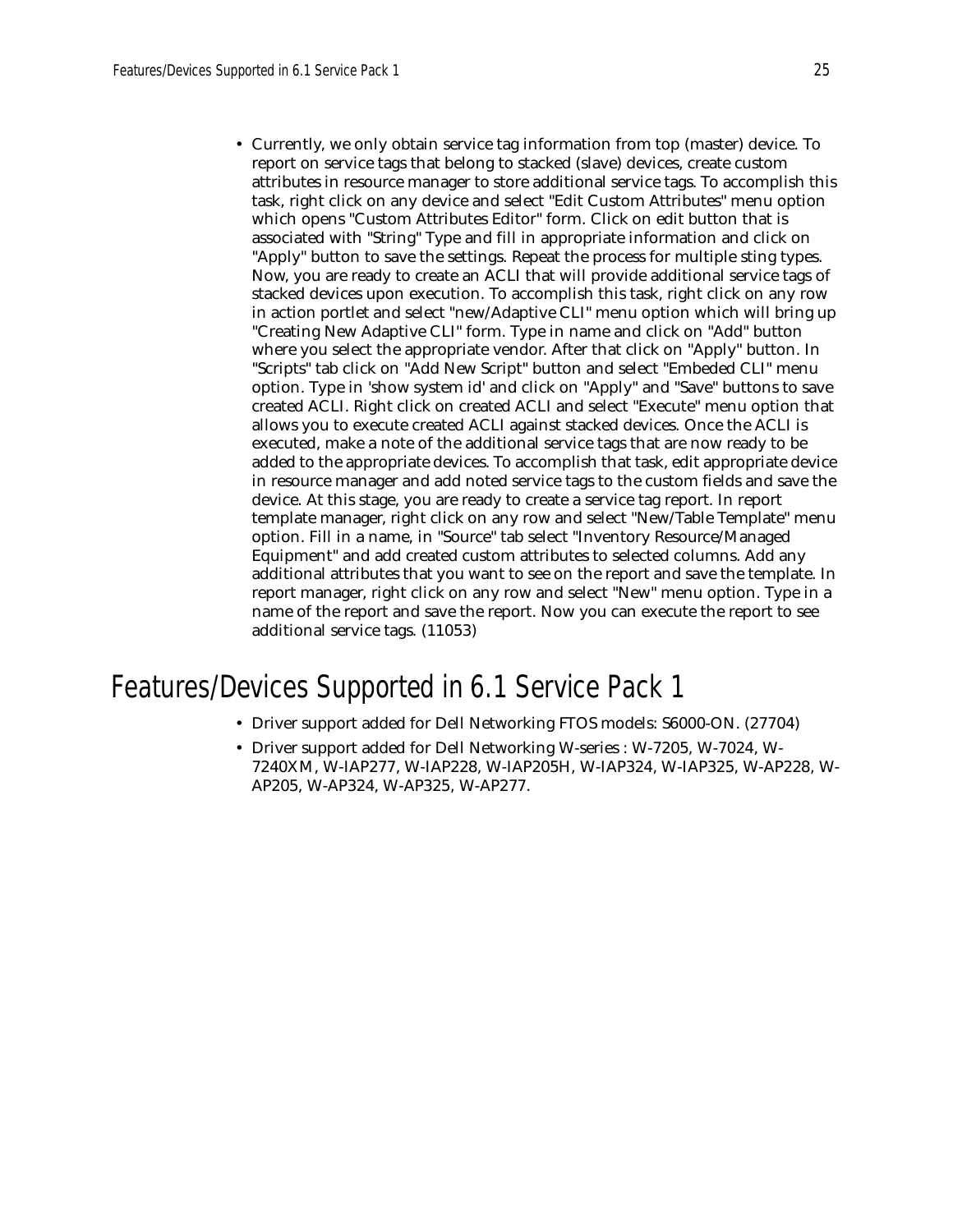• Currently, we only obtain service tag information from top (master) device. To report on service tags that belong to stacked (slave) devices, create custom attributes in resource manager to store additional service tags. To accomplish this task, right click on any device and select "Edit Custom Attributes" menu option which opens "Custom Attributes Editor" form. Click on edit button that is associated with "String" Type and fill in appropriate information and click on "Apply" button to save the settings. Repeat the process for multiple sting types. Now, you are ready to create an ACLI that will provide additional service tags of stacked devices upon execution. To accomplish this task, right click on any row in action portlet and select "new/Adaptive CLI" menu option which will bring up "Creating New Adaptive CLI" form. Type in name and click on "Add" button where you select the appropriate vendor. After that click on "Apply" button. In "Scripts" tab click on "Add New Script" button and select "Embeded CLI" menu option. Type in 'show system id' and click on "Apply" and "Save" buttons to save created ACLI. Right click on created ACLI and select "Execute" menu option that allows you to execute created ACLI against stacked devices. Once the ACLI is executed, make a note of the additional service tags that are now ready to be added to the appropriate devices. To accomplish that task, edit appropriate device in resource manager and add noted service tags to the custom fields and save the device. At this stage, you are ready to create a service tag report. In report template manager, right click on any row and select "New/Table Template" menu option. Fill in a name, in "Source" tab select "Inventory Resource/Managed Equipment" and add created custom attributes to selected columns. Add any additional attributes that you want to see on the report and save the template. In report manager, right click on any row and select "New" menu option. Type in a name of the report and save the report. Now you can execute the report to see additional service tags. (11053)

# Features/Devices Supported in 6.1 Service Pack 1

- Driver support added for Dell Networking FTOS models: S6000-ON. (27704)
- Driver support added for Dell Networking W-series : W-7205, W-7024, W-7240XM, W-IAP277, W-IAP228, W-IAP205H, W-IAP324, W-IAP325, W-AP228, W-AP205, W-AP324, W-AP325, W-AP277.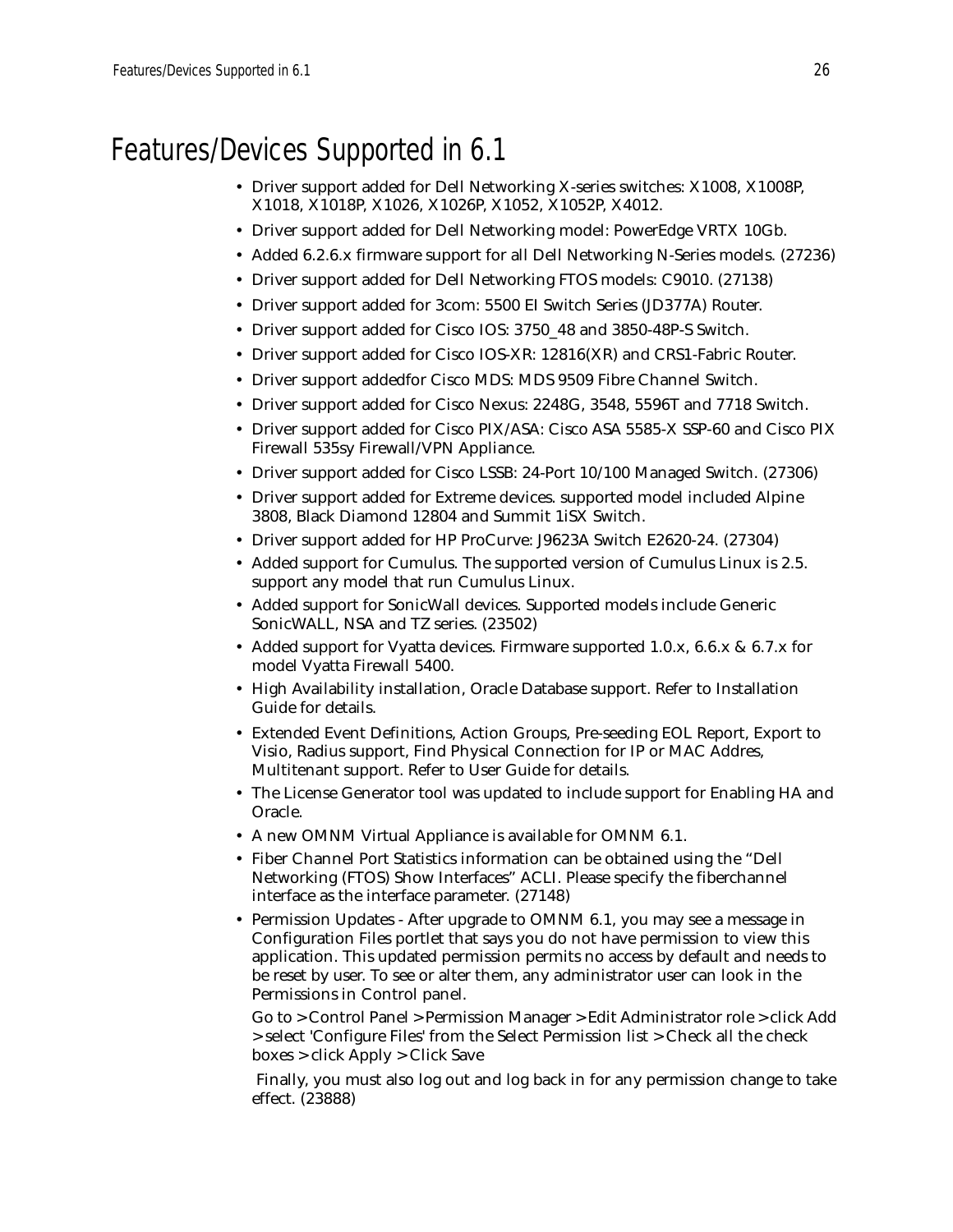# Features/Devices Supported in 6.1

- Driver support added for Dell Networking X-series switches: X1008, X1008P, X1018, X1018P, X1026, X1026P, X1052, X1052P, X4012.
- Driver support added for Dell Networking model: PowerEdge VRTX 10Gb.
- Added 6.2.6.x firmware support for all Dell Networking N-Series models. (27236)
- Driver support added for Dell Networking FTOS models: C9010. (27138)
- Driver support added for 3com: 5500 EI Switch Series (JD377A) Router.
- Driver support added for Cisco IOS: 3750\_48 and 3850-48P-S Switch.
- Driver support added for Cisco IOS-XR: 12816(XR) and CRS1-Fabric Router.
- Driver support addedfor Cisco MDS: MDS 9509 Fibre Channel Switch.
- Driver support added for Cisco Nexus: 2248G, 3548, 5596T and 7718 Switch.
- Driver support added for Cisco PIX/ASA: Cisco ASA 5585-X SSP-60 and Cisco PIX Firewall 535sy Firewall/VPN Appliance.
- Driver support added for Cisco LSSB: 24-Port 10/100 Managed Switch. (27306)
- Driver support added for Extreme devices. supported model included Alpine 3808, Black Diamond 12804 and Summit 1iSX Switch.
- Driver support added for HP ProCurve: J9623A Switch E2620-24. (27304)
- Added support for Cumulus. The supported version of Cumulus Linux is 2.5. support any model that run Cumulus Linux.
- Added support for SonicWall devices. Supported models include Generic SonicWALL, NSA and TZ series. (23502)
- Added support for Vyatta devices. Firmware supported 1.0.x, 6.6.x & 6.7.x for model Vyatta Firewall 5400.
- High Availability installation, Oracle Database support. Refer to Installation Guide for details.
- Extended Event Definitions, Action Groups, Pre-seeding EOL Report, Export to Visio, Radius support, Find Physical Connection for IP or MAC Addres, Multitenant support. Refer to User Guide for details.
- The License Generator tool was updated to include support for Enabling HA and Oracle.
- A new OMNM Virtual Appliance is available for OMNM 6.1.
- Fiber Channel Port Statistics information can be obtained using the "Dell Networking (FTOS) Show Interfaces" ACLI. Please specify the fiberchannel interface as the interface parameter. (27148)
- Permission Updates After upgrade to OMNM 6.1, you may see a message in Configuration Files portlet that says you do not have permission to view this application. This updated permission permits no access by default and needs to be reset by user. To see or alter them, any administrator user can look in the Permissions in Control panel.

Go to > Control Panel > Permission Manager > Edit Administrator role > click Add > select 'Configure Files' from the Select Permission list > Check all the check boxes > click Apply > Click Save

 Finally, you must also log out and log back in for any permission change to take effect. (23888)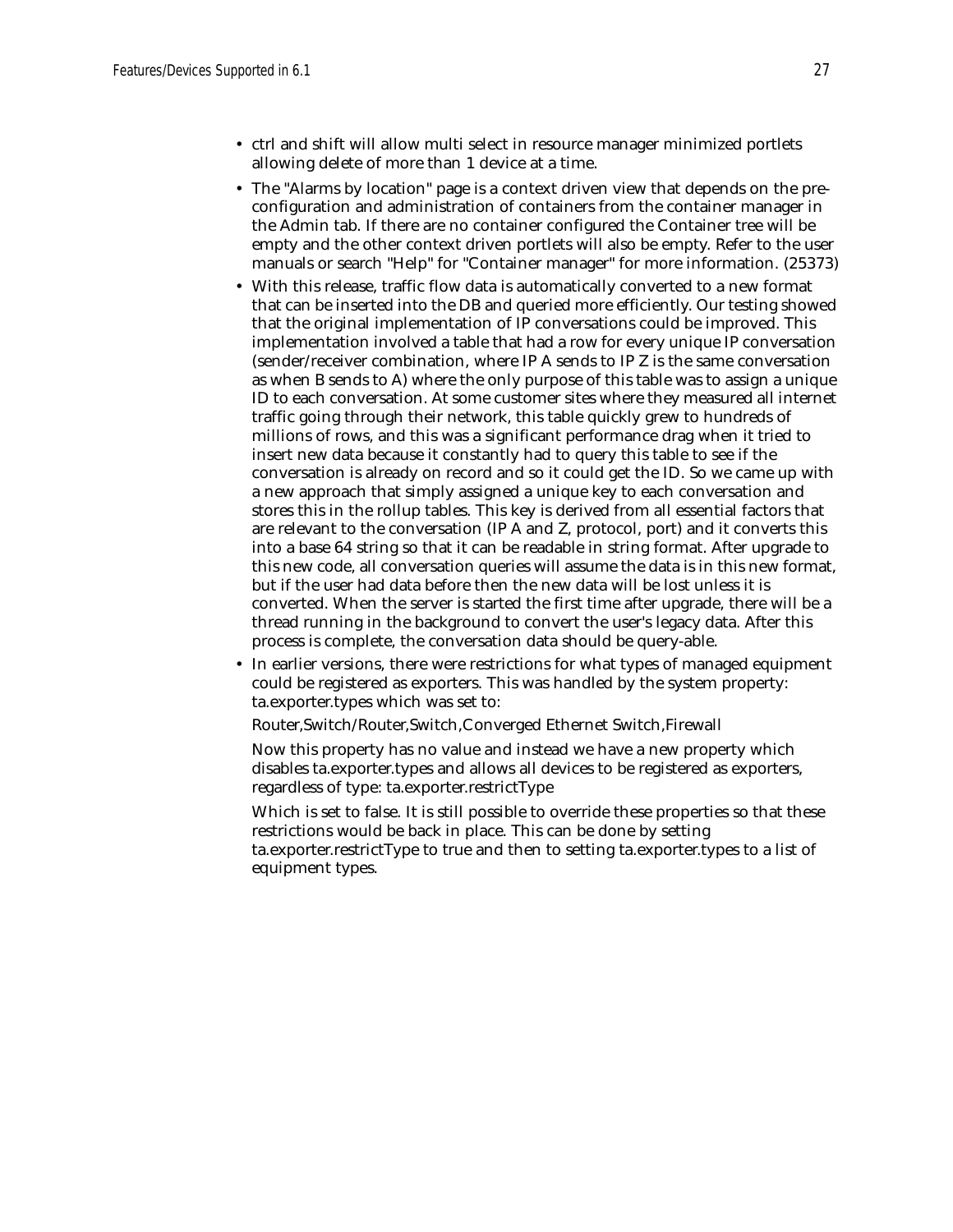- ctrl and shift will allow multi select in resource manager minimized portlets allowing delete of more than 1 device at a time.
- The "Alarms by location" page is a context driven view that depends on the preconfiguration and administration of containers from the container manager in the Admin tab. If there are no container configured the Container tree will be empty and the other context driven portlets will also be empty. Refer to the user manuals or search "Help" for "Container manager" for more information. (25373)
- With this release, traffic flow data is automatically converted to a new format that can be inserted into the DB and queried more efficiently. Our testing showed that the original implementation of IP conversations could be improved. This implementation involved a table that had a row for every unique IP conversation (sender/receiver combination, where IP A sends to IP Z is the same conversation as when B sends to A) where the only purpose of this table was to assign a unique ID to each conversation. At some customer sites where they measured all internet traffic going through their network, this table quickly grew to hundreds of millions of rows, and this was a significant performance drag when it tried to insert new data because it constantly had to query this table to see if the conversation is already on record and so it could get the ID. So we came up with a new approach that simply assigned a unique key to each conversation and stores this in the rollup tables. This key is derived from all essential factors that are relevant to the conversation (IP A and Z, protocol, port) and it converts this into a base 64 string so that it can be readable in string format. After upgrade to this new code, all conversation queries will assume the data is in this new format, but if the user had data before then the new data will be lost unless it is converted. When the server is started the first time after upgrade, there will be a thread running in the background to convert the user's legacy data. After this process is complete, the conversation data should be query-able.
- In earlier versions, there were restrictions for what types of managed equipment could be registered as exporters. This was handled by the system property: ta.exporter.types which was set to:

Router,Switch/Router,Switch,Converged Ethernet Switch,Firewall

Now this property has no value and instead we have a new property which disables ta.exporter.types and allows all devices to be registered as exporters, regardless of type: ta.exporter.restrictType

Which is set to false. It is still possible to override these properties so that these restrictions would be back in place. This can be done by setting ta.exporter.restrictType to true and then to setting ta.exporter.types to a list of equipment types.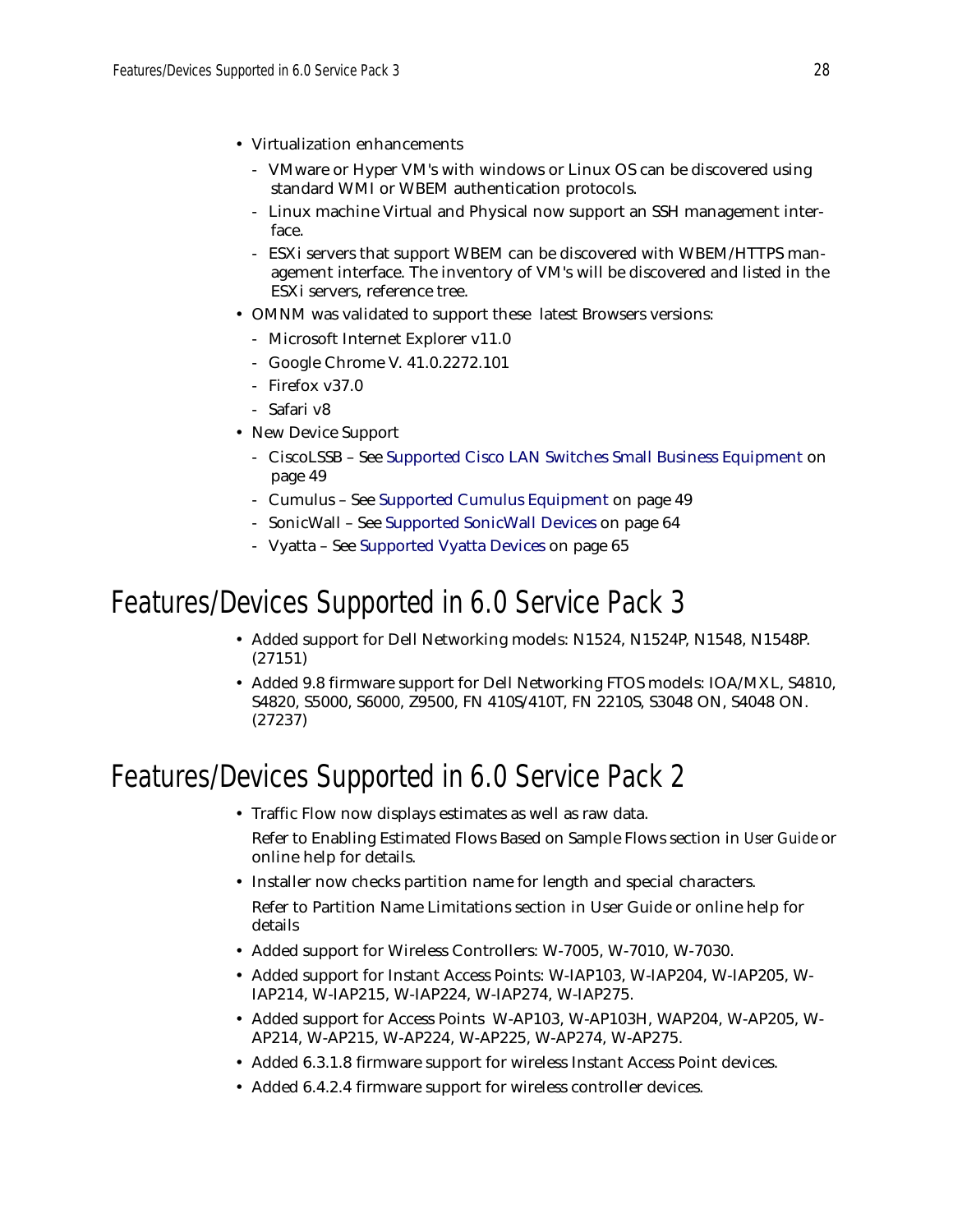- Virtualization enhancements
	- VMware or Hyper VM's with windows or Linux OS can be discovered using standard WMI or WBEM authentication protocols.
	- Linux machine Virtual and Physical now support an SSH management interface.
	- ESXi servers that support WBEM can be discovered with WBEM/HTTPS management interface. The inventory of VM's will be discovered and listed in the ESXi servers, reference tree.
- OMNM was validated to support these latest Browsers versions:
	- Microsoft Internet Explorer v11.0
	- Google Chrome V. 41.0.2272.101
	- Firefox v37.0
	- Safari v8
- New Device Support
	- CiscoLSSB See [Supported Cisco LAN Switches Small Business Equipment on](#page-48-1)  [page 49](#page-48-1)
	- Cumulus See [Supported Cumulus Equipment on page 49](#page-48-0)
	- SonicWall See [Supported SonicWall Devices on page 64](#page-63-1)
	- Vyatta See [Supported Vyatta Devices on page 65](#page-64-0)

## Features/Devices Supported in 6.0 Service Pack 3

- Added support for Dell Networking models: N1524, N1524P, N1548, N1548P. (27151)
- Added 9.8 firmware support for Dell Networking FTOS models: IOA/MXL, S4810, S4820, S5000, S6000, Z9500, FN 410S/410T, FN 2210S, S3048 ON, S4048 ON. (27237)

# Features/Devices Supported in 6.0 Service Pack 2

• Traffic Flow now displays estimates as well as raw data.

Refer to Enabling Estimated Flows Based on Sample Flows section in *User Guide* or online help for details.

- Installer now checks partition name for length and special characters. Refer to Partition Name Limitations section in User Guide or online help for details
- Added support for Wireless Controllers: W-7005, W-7010, W-7030.
- Added support for Instant Access Points: W-IAP103, W-IAP204, W-IAP205, W-IAP214, W-IAP215, W-IAP224, W-IAP274, W-IAP275.
- Added support for Access Points W-AP103, W-AP103H, WAP204, W-AP205, W-AP214, W-AP215, W-AP224, W-AP225, W-AP274, W-AP275.
- Added 6.3.1.8 firmware support for wireless Instant Access Point devices.
- Added 6.4.2.4 firmware support for wireless controller devices.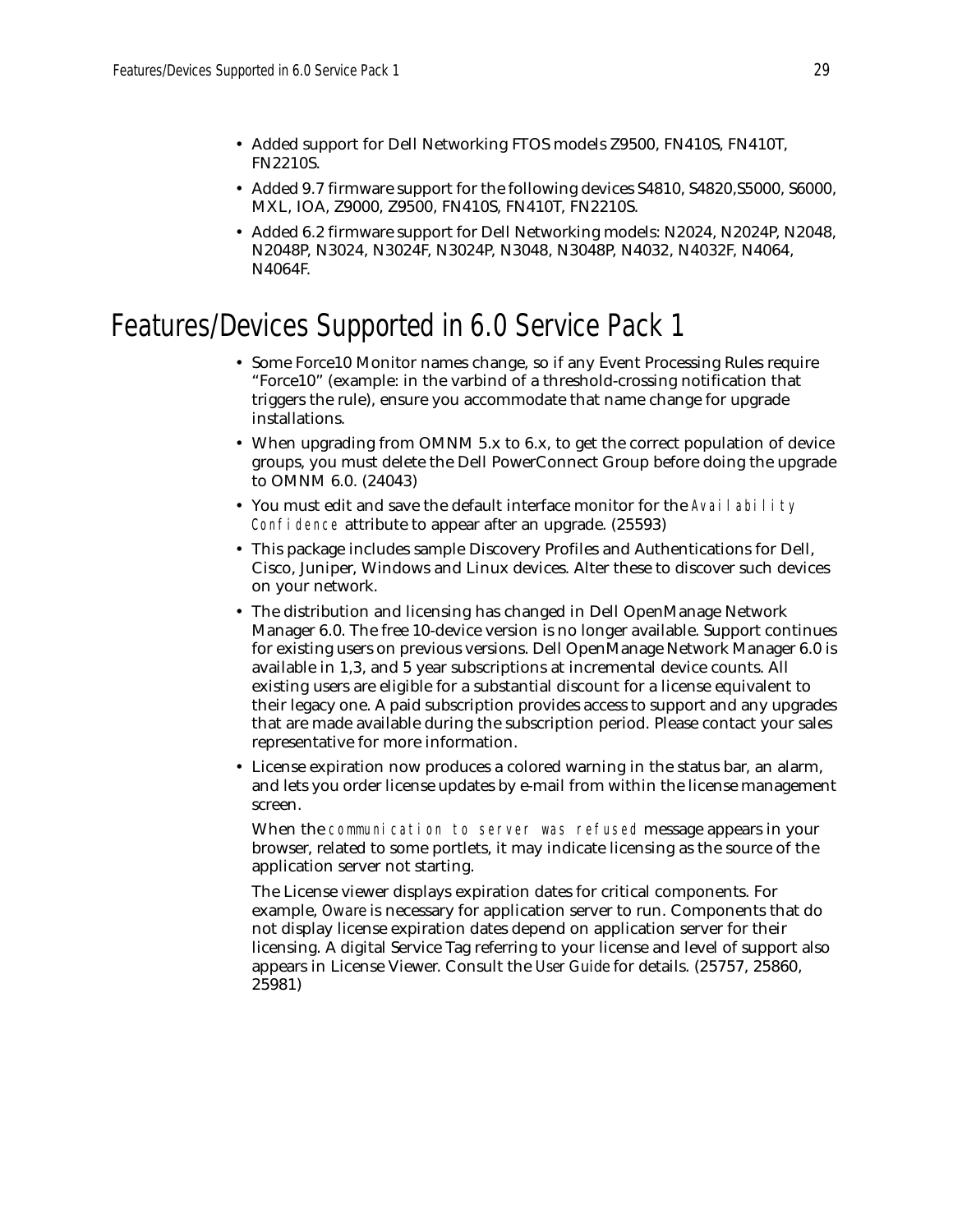- Added support for Dell Networking FTOS models Z9500, FN410S, FN410T, FN2210S.
- Added 9.7 firmware support for the following devices S4810, S4820,S5000, S6000, MXL, IOA, Z9000, Z9500, FN410S, FN410T, FN2210S.
- Added 6.2 firmware support for Dell Networking models: N2024, N2024P, N2048, N2048P, N3024, N3024F, N3024P, N3048, N3048P, N4032, N4032F, N4064, N4064F.

# Features/Devices Supported in 6.0 Service Pack 1

- Some Force10 Monitor names change, so if any Event Processing Rules require "Force10" (example: in the varbind of a threshold-crossing notification that triggers the rule), ensure you accommodate that name change for upgrade installations.
- When upgrading from OMNM 5.x to 6.x, to get the correct population of device groups, you must delete the Dell PowerConnect Group before doing the upgrade to OMNM 6.0. (24043)
- You must edit and save the default interface monitor for the Availability Confidence attribute to appear after an upgrade. (25593)
- This package includes sample Discovery Profiles and Authentications for Dell, Cisco, Juniper, Windows and Linux devices. Alter these to discover such devices on your network.
- The distribution and licensing has changed in Dell OpenManage Network Manager 6.0. The free 10-device version is no longer available. Support continues for existing users on previous versions. Dell OpenManage Network Manager 6.0 is available in 1,3, and 5 year subscriptions at incremental device counts. All existing users are eligible for a substantial discount for a license equivalent to their legacy one. A paid subscription provides access to support and any upgrades that are made available during the subscription period. Please contact your sales representative for more information.
- License expiration now produces a colored warning in the status bar, an alarm, and lets you order license updates by e-mail from within the license management screen.

When the communication to server was refused message appears in your browser, related to some portlets, it may indicate licensing as the source of the application server not starting.

The License viewer displays expiration dates for critical components. For example, *Oware* is necessary for application server to run. Components that do not display license expiration dates depend on application server for their licensing. A digital Service Tag referring to your license and level of support also appears in License Viewer. Consult the *User Guide* for details. (25757, 25860, 25981)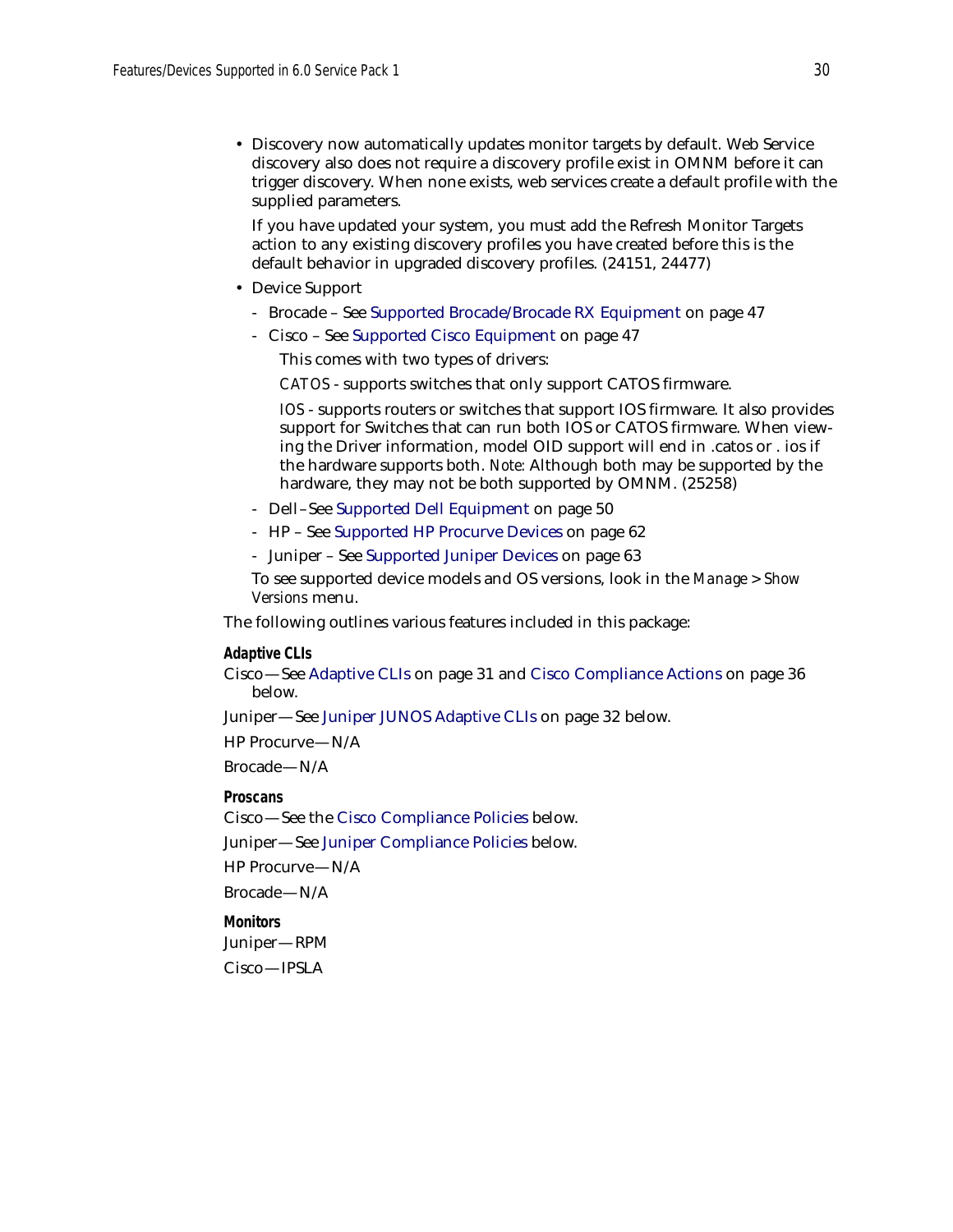• Discovery now automatically updates monitor targets by default. Web Service discovery also does not require a discovery profile exist in OMNM before it can trigger discovery. When none exists, web services create a default profile with the supplied parameters.

If you have updated your system, you must add the Refresh Monitor Targets action to any existing discovery profiles you have created before this is the default behavior in upgraded discovery profiles. (24151, 24477)

- Device Support
	- Brocade See [Supported Brocade/Brocade RX Equipment on page 47](#page-46-0)
	- Cisco See [Supported Cisco Equipment on page 47](#page-46-1)

This comes with two types of drivers:

*CATOS* - supports switches that only support CATOS firmware.

*IOS* - supports routers or switches that support IOS firmware. It also provides support for Switches that can run both IOS or CATOS firmware. When viewing the Driver information, model OID support will end in .catos or . ios if the hardware supports both. *Note:* Although both may be supported by the hardware, they may not be both supported by OMNM. (25258)

- Dell–See [Supported Dell Equipment on page 50](#page-49-0)
- HP See [Supported HP Procurve Devices on page 62](#page-61-0)
- Juniper See [Supported Juniper Devices on page 63](#page-62-0)

To see supported device models and OS versions, look in the *Manage > Show Versions* menu.

The following outlines various features included in this package:

#### **Adaptive CLIs**

Cisco—See [Adaptive CLIs on page 31](#page-30-0) and [Cisco Compliance Actions on page 36](#page-35-0)  below.

Juniper—See [Juniper JUNOS Adaptive CLIs on page 32](#page-31-0) below.

HP Procurve—N/A

Brocade—N/A

**Proscans**

Cisco—See the [Cisco Compliance Policies](#page-32-0) below.

Juniper—See [Juniper Compliance Policies](#page-36-0) below.

HP Procurve—N/A

Brocade—N/A

**Monitors**

Juniper—RPM

Cisco—IPSLA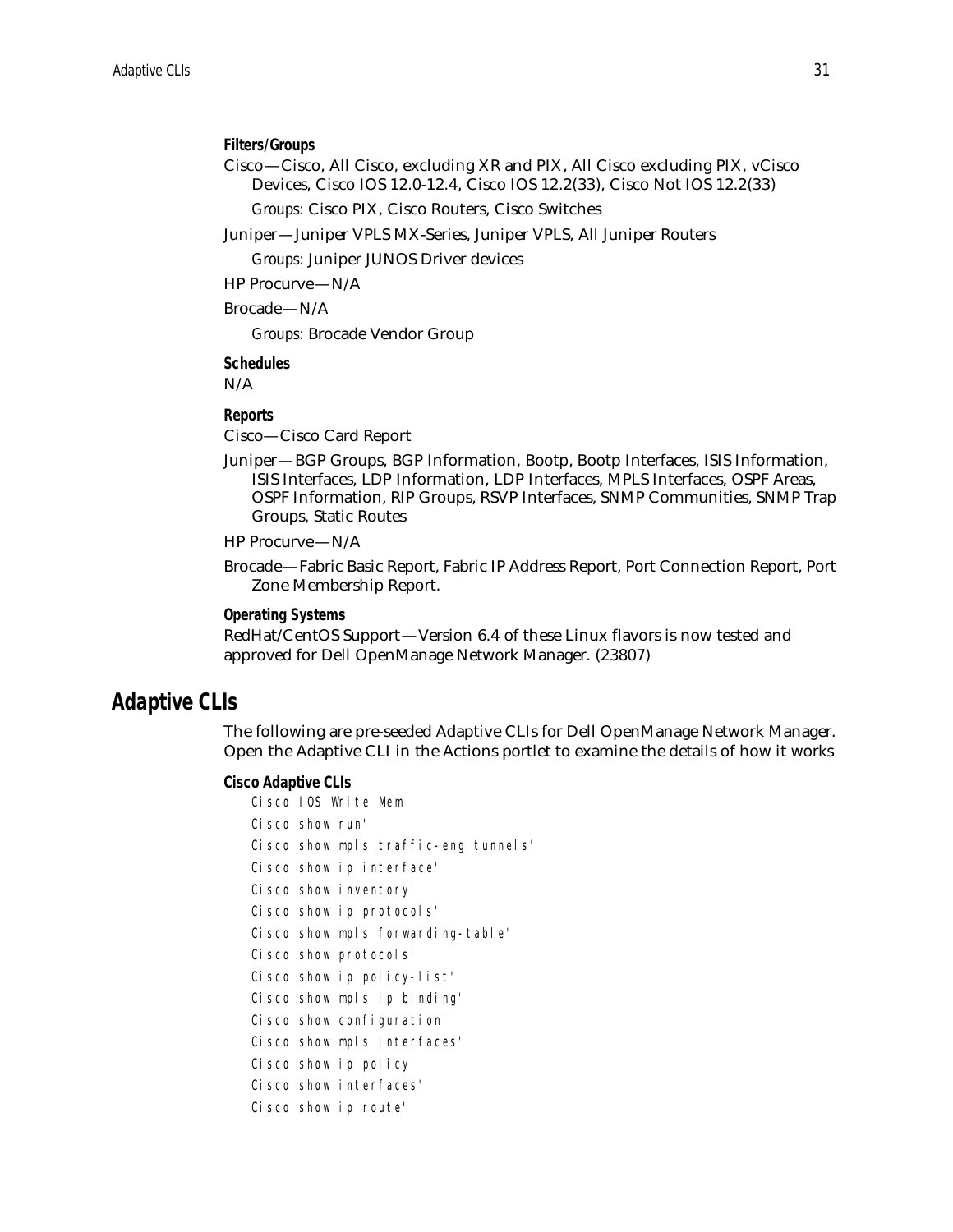#### **Filters/Groups**

Cisco—Cisco, All Cisco, excluding XR and PIX, All Cisco excluding PIX, vCisco Devices, Cisco IOS 12.0-12.4, Cisco IOS 12.2(33), Cisco Not IOS 12.2(33)

*Groups:* Cisco PIX, Cisco Routers, Cisco Switches

Juniper—Juniper VPLS MX-Series, Juniper VPLS, All Juniper Routers

*Groups:* Juniper JUNOS Driver devices

HP Procurve—N/A

Brocade—N/A

*Groups:* Brocade Vendor Group

**Schedules** N/A

### **Reports**

Cisco—Cisco Card Report

Juniper—BGP Groups, BGP Information, Bootp, Bootp Interfaces, ISIS Information, ISIS Interfaces, LDP Information, LDP Interfaces, MPLS Interfaces, OSPF Areas, OSPF Information, RIP Groups, RSVP Interfaces, SNMP Communities, SNMP Trap Groups, Static Routes

#### HP Procurve—N/A

Brocade—Fabric Basic Report, Fabric IP Address Report, Port Connection Report, Port Zone Membership Report.

#### **Operating Systems**

RedHat/CentOS Support—Version 6.4 of these Linux flavors is now tested and approved for Dell OpenManage Network Manager. (23807)

### <span id="page-30-0"></span>**Adaptive CLIs**

The following are pre-seeded Adaptive CLIs for Dell OpenManage Network Manager. Open the Adaptive CLI in the Actions portlet to examine the details of how it works

#### **Cisco Adaptive CLIs**

| Cisco IOS Write Mem    |                                      |
|------------------------|--------------------------------------|
| Cisco show run'        |                                      |
|                        | Cisco show mpls traffic-eng tunnels' |
|                        | Cisco show ip interface'             |
| Cisco show inventory'  |                                      |
|                        | Cisco show ip protocols'             |
|                        | Cisco show mpls forwarding-table'    |
| Cisco show protocols'  |                                      |
|                        | Cisco show ip policy-list'           |
|                        | Cisco show mpls ip binding'          |
|                        | Cisco show configuration'            |
|                        | Cisco show mpls interfaces'          |
| Cisco show ip policy'  |                                      |
| Cisco show interfaces' |                                      |
| Cisco show ip route'   |                                      |
|                        |                                      |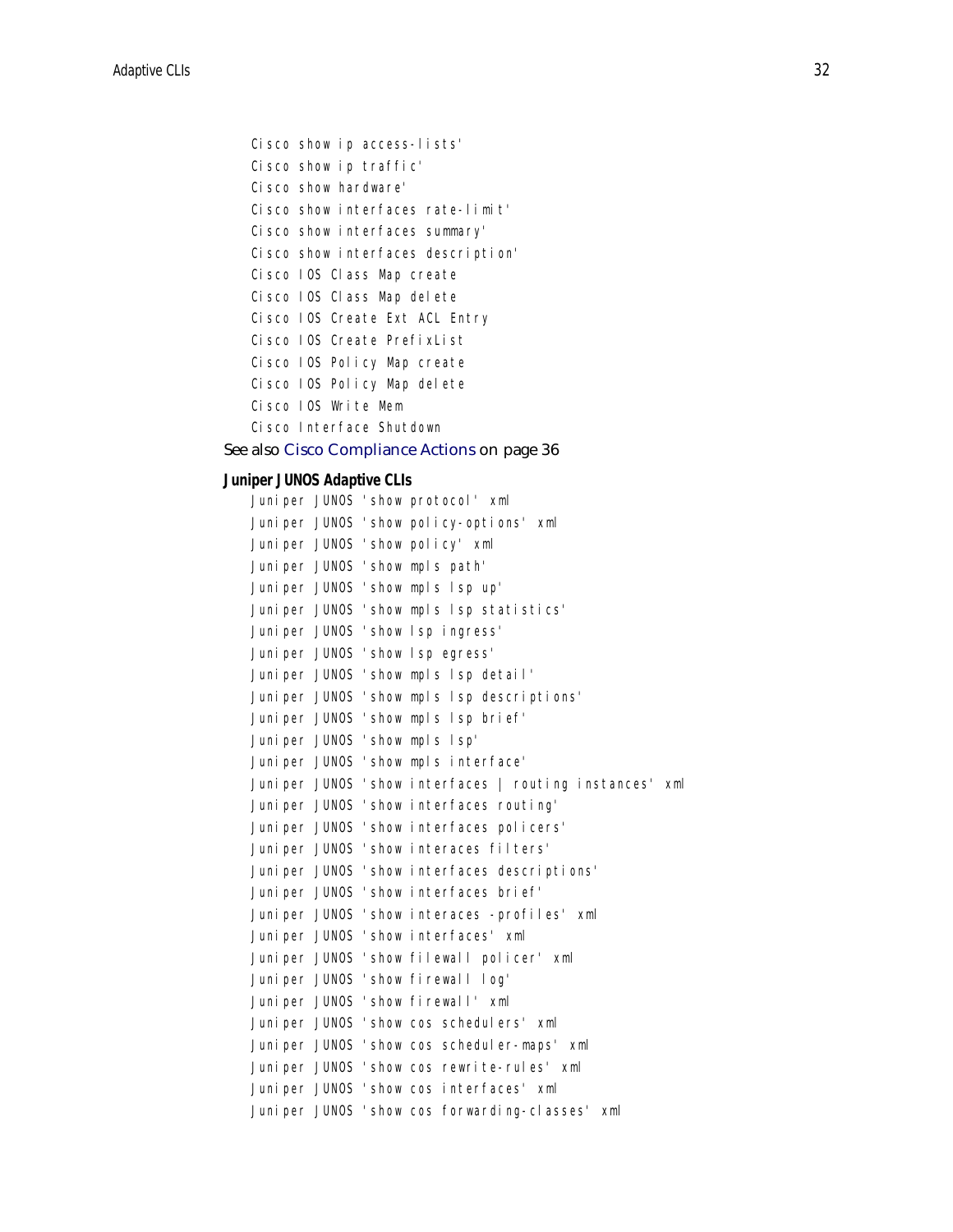```
Cisco show ip access-lists'
Cisco show ip traffic'
Cisco show hardware'
Cisco show interfaces rate-limit'
Cisco show interfaces summary'
Cisco show interfaces description'
Cisco IOS Class Map create
Cisco IOS Class Map delete
Cisco IOS Create Ext ACL Entry
Cisco IOS Create PrefixList
Cisco IOS Policy Map create
Cisco IOS Policy Map delete
Cisco IOS Write Mem
Cisco Interface Shutdown
```
#### See also [Cisco Compliance Actions on page 36](#page-35-0)

### <span id="page-31-0"></span>**Juniper JUNOS Adaptive CLIs**

|  |  | Juniper JUNOS 'show protocol' xml                       |
|--|--|---------------------------------------------------------|
|  |  | Juniper JUNOS 'show policy-options' xml                 |
|  |  | Juniper JUNOS 'show policy' xml                         |
|  |  | Juniper JUNOS 'show mpls path'                          |
|  |  | Juniper JUNOS 'show mpls lsp up'                        |
|  |  | Juniper JUNOS 'show mpls lsp statistics'                |
|  |  | Juniper JUNOS 'show lsp ingress'                        |
|  |  | Juniper JUNOS 'show lsp egress'                         |
|  |  | Juniper JUNOS 'show mpls lsp detail'                    |
|  |  | Juniper JUNOS 'show mpls lsp descriptions'              |
|  |  | Juniper JUNOS 'show mpls lsp brief'                     |
|  |  | Juniper JUNOS 'show mpls lsp'                           |
|  |  | Juniper JUNOS 'show mpls interface'                     |
|  |  | Juniper JUNOS 'show interfaces   routing instances' xml |
|  |  | Juniper JUNOS 'show interfaces routing'                 |
|  |  | Juniper JUNOS 'show interfaces policers'                |
|  |  | Juniper JUNOS 'show interaces filters'                  |
|  |  | Juniper JUNOS 'show interfaces descriptions'            |
|  |  | Juniper JUNOS 'show interfaces brief'                   |
|  |  | Juniper JUNOS 'show interaces -profiles' xml            |
|  |  | Juniper JUNOS 'show interfaces' xml                     |
|  |  | Juniper JUNOS 'show filewall policer' xml               |
|  |  | Juniper JUNOS 'show firewall log'                       |
|  |  | Juniper JUNOS 'show firewall' xml                       |
|  |  | Juniper JUNOS 'show cos schedulers' xml                 |
|  |  | Juniper JUNOS 'show cos scheduler-maps' xml             |
|  |  | Juniper JUNOS 'show cos rewrite-rules' xml              |
|  |  | Juniper JUNOS 'show cos interfaces' xml                 |
|  |  | Juniper JUNOS 'show cos forwarding-classes' xml         |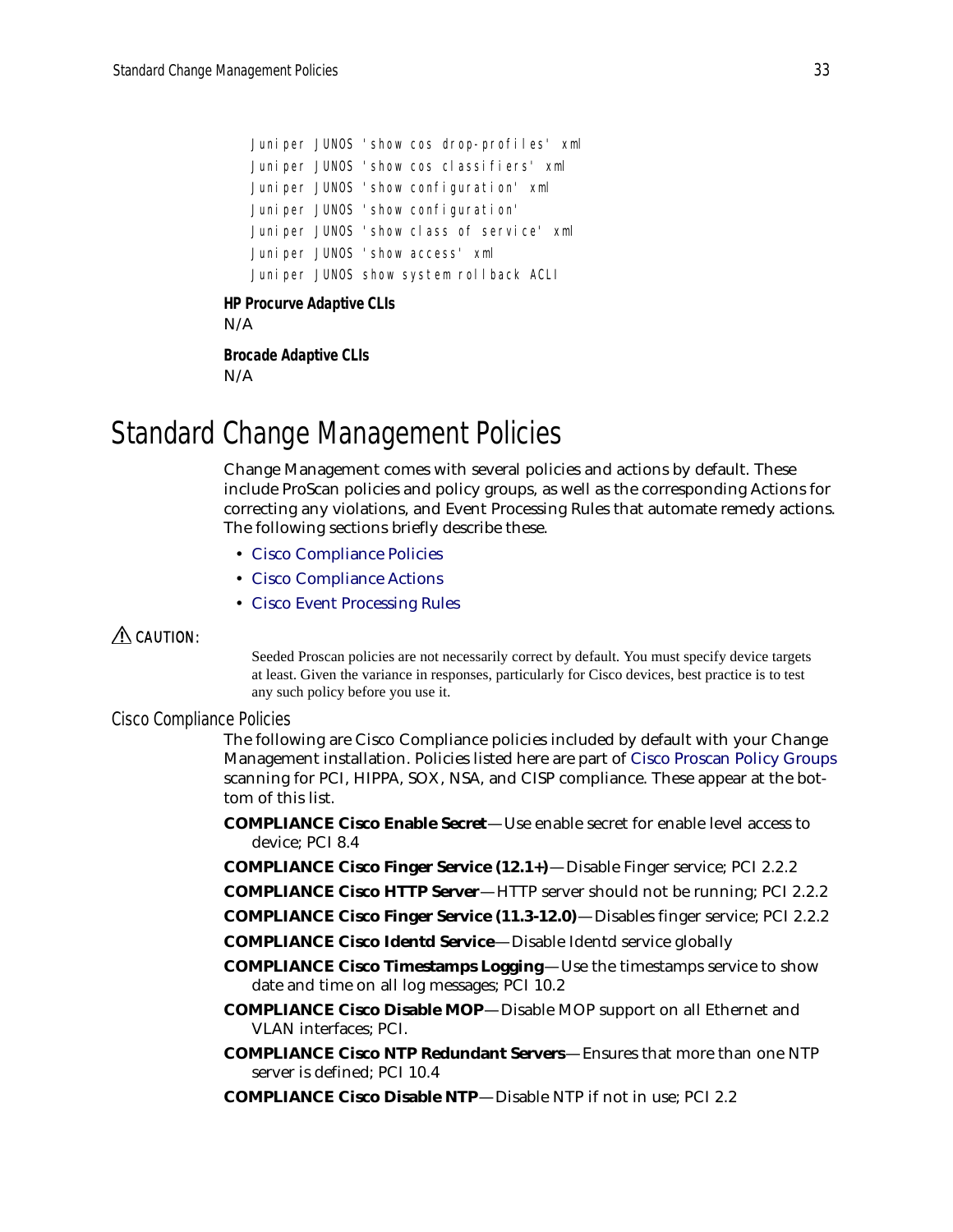Juniper JUNOS 'show cos drop-profiles' xml Juniper JUNOS 'show cos classifiers' xml Juniper JUNOS 'show configuration' xml Juniper JUNOS 'show configuration' Juniper JUNOS 'show class of service' xml Juniper JUNOS 'show access' xml Juniper JUNOS show system rollback ACLI

#### **HP Procurve Adaptive CLIs**

N/A

**Brocade Adaptive CLIs** N/A

# <span id="page-32-1"></span>Standard Change Management Policies

Change Management comes with several policies and actions by default. These include ProScan policies and policy groups, as well as the corresponding Actions for correcting any violations, and Event Processing Rules that automate remedy actions. The following sections briefly describe these.

- [Cisco Compliance Policies](#page-32-0)
- [Cisco Compliance Actions](#page-35-0)
- [Cisco Event Processing Rules](#page-36-1)

### $\triangle$  CAUTION:

Seeded Proscan policies are not necessarily correct by default. You must specify device targets at least. Given the variance in responses, particularly for Cisco devices, best practice is to test any such policy before you use it.

### <span id="page-32-0"></span>Cisco Compliance Policies

The following are Cisco Compliance policies included by default with your Change Management installation. Policies listed here are part of [Cisco Proscan Policy Groups](#page-34-0) scanning for PCI, HIPPA, SOX, NSA, and CISP compliance. These appear at the bottom of this list.

**COMPLIANCE Cisco Enable Secret**—Use enable secret for enable level access to device; PCI 8.4

- **COMPLIANCE Cisco Finger Service (12.1+)**—Disable Finger service; PCI 2.2.2
- **COMPLIANCE Cisco HTTP Server**—HTTP server should not be running; PCI 2.2.2
- **COMPLIANCE Cisco Finger Service (11.3-12.0)**—Disables finger service; PCI 2.2.2
- **COMPLIANCE Cisco Identd Service**—Disable Identd service globally
- **COMPLIANCE Cisco Timestamps Logging**—Use the timestamps service to show date and time on all log messages; PCI 10.2
- **COMPLIANCE Cisco Disable MOP**—Disable MOP support on all Ethernet and VLAN interfaces; PCI.
- **COMPLIANCE Cisco NTP Redundant Servers**—Ensures that more than one NTP server is defined; PCI 10.4
- **COMPLIANCE Cisco Disable NTP**—Disable NTP if not in use; PCI 2.2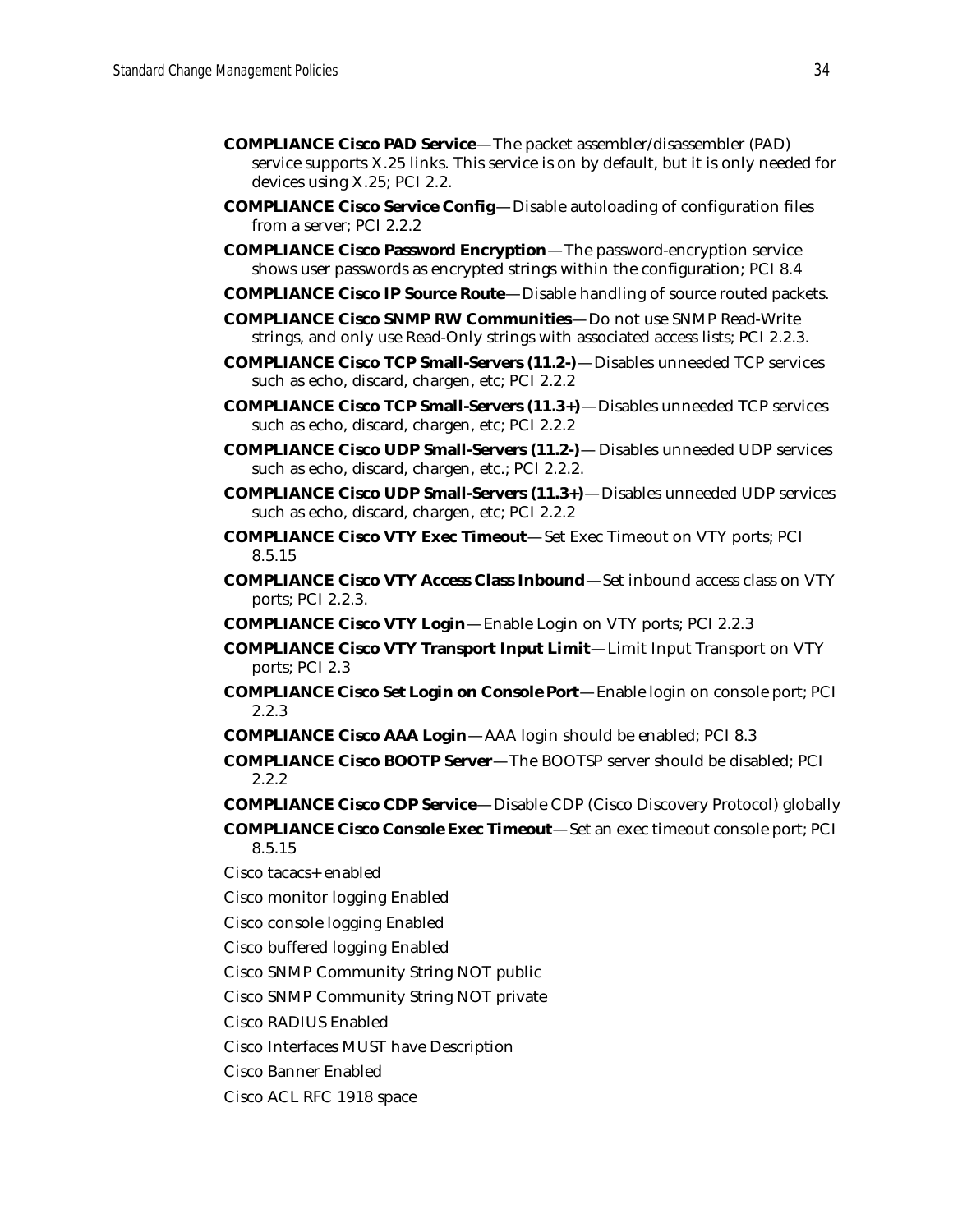- **COMPLIANCE Cisco PAD Service**—The packet assembler/disassembler (PAD) service supports X.25 links. This service is on by default, but it is only needed for devices using X.25; PCI 2.2.
- **COMPLIANCE Cisco Service Config**—Disable autoloading of configuration files from a server; PCI 2.2.2
- **COMPLIANCE Cisco Password Encryption**—The password-encryption service shows user passwords as encrypted strings within the configuration; PCI 8.4
- **COMPLIANCE Cisco IP Source Route**—Disable handling of source routed packets.
- **COMPLIANCE Cisco SNMP RW Communities**—Do not use SNMP Read-Write strings, and only use Read-Only strings with associated access lists; PCI 2.2.3.
- **COMPLIANCE Cisco TCP Small-Servers (11.2-)**—Disables unneeded TCP services such as echo, discard, chargen, etc; PCI 2.2.2
- **COMPLIANCE Cisco TCP Small-Servers (11.3+)**—Disables unneeded TCP services such as echo, discard, chargen, etc; PCI 2.2.2
- **COMPLIANCE Cisco UDP Small-Servers (11.2-)** Disables unneeded UDP services such as echo, discard, chargen, etc.; PCI 2.2.2.
- **COMPLIANCE Cisco UDP Small-Servers (11.3+)**—Disables unneeded UDP services such as echo, discard, chargen, etc; PCI 2.2.2
- **COMPLIANCE Cisco VTY Exec Timeout**—Set Exec Timeout on VTY ports; PCI 8.5.15
- **COMPLIANCE Cisco VTY Access Class Inbound**—Set inbound access class on VTY ports; PCI 2.2.3.
- **COMPLIANCE Cisco VTY Login**—Enable Login on VTY ports; PCI 2.2.3
- **COMPLIANCE Cisco VTY Transport Input Limit**—Limit Input Transport on VTY ports; PCI 2.3
- **COMPLIANCE Cisco Set Login on Console Port**—Enable login on console port; PCI 2.2.3
- **COMPLIANCE Cisco AAA Login**—AAA login should be enabled; PCI 8.3
- **COMPLIANCE Cisco BOOTP Server**—The BOOTSP server should be disabled; PCI 2.2.2
- **COMPLIANCE Cisco CDP Service**—Disable CDP (Cisco Discovery Protocol) globally
- **COMPLIANCE Cisco Console Exec Timeout**—Set an exec timeout console port; PCI 8.5.15
- Cisco tacacs+ enabled
- Cisco monitor logging Enabled
- Cisco console logging Enabled
- Cisco buffered logging Enabled
- Cisco SNMP Community String NOT public
- Cisco SNMP Community String NOT private
- Cisco RADIUS Enabled
- Cisco Interfaces MUST have Description
- Cisco Banner Enabled
- Cisco ACL RFC 1918 space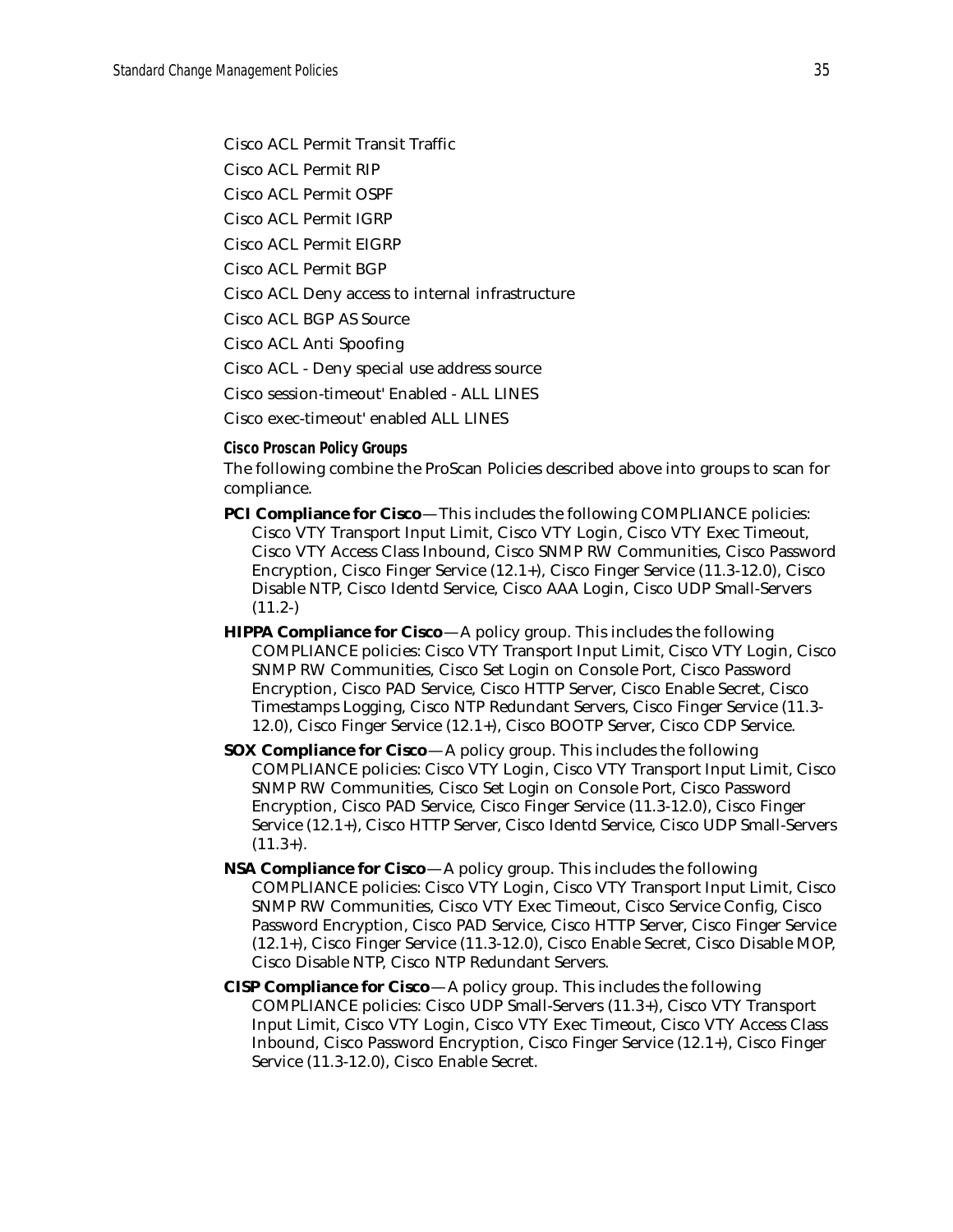Cisco ACL Permit Transit Traffic

Cisco ACL Permit RIP

Cisco ACL Permit OSPF

Cisco ACL Permit IGRP

Cisco ACL Permit EIGRP

Cisco ACL Permit BGP

Cisco ACL Deny access to internal infrastructure

Cisco ACL BGP AS Source

Cisco ACL Anti Spoofing

Cisco ACL - Deny special use address source

Cisco session-timeout' Enabled - ALL LINES

Cisco exec-timeout' enabled ALL LINES

<span id="page-34-0"></span>**Cisco Proscan Policy Groups**

The following combine the ProScan Policies described above into groups to scan for compliance.

- **PCI Compliance for Cisco**—This includes the following COMPLIANCE policies: Cisco VTY Transport Input Limit, Cisco VTY Login, Cisco VTY Exec Timeout, Cisco VTY Access Class Inbound, Cisco SNMP RW Communities, Cisco Password Encryption, Cisco Finger Service (12.1+), Cisco Finger Service (11.3-12.0), Cisco Disable NTP, Cisco Identd Service, Cisco AAA Login, Cisco UDP Small-Servers  $(11.2-)$
- **HIPPA Compliance for Cisco**—A policy group. This includes the following COMPLIANCE policies: Cisco VTY Transport Input Limit, Cisco VTY Login, Cisco SNMP RW Communities, Cisco Set Login on Console Port, Cisco Password Encryption, Cisco PAD Service, Cisco HTTP Server, Cisco Enable Secret, Cisco Timestamps Logging, Cisco NTP Redundant Servers, Cisco Finger Service (11.3- 12.0), Cisco Finger Service (12.1+), Cisco BOOTP Server, Cisco CDP Service.
- **SOX Compliance for Cisco**—A policy group. This includes the following COMPLIANCE policies: Cisco VTY Login, Cisco VTY Transport Input Limit, Cisco SNMP RW Communities, Cisco Set Login on Console Port, Cisco Password Encryption, Cisco PAD Service, Cisco Finger Service (11.3-12.0), Cisco Finger Service (12.1+), Cisco HTTP Server, Cisco Identd Service, Cisco UDP Small-Servers  $(11.3+)$ .
- **NSA Compliance for Cisco**—A policy group. This includes the following COMPLIANCE policies: Cisco VTY Login, Cisco VTY Transport Input Limit, Cisco SNMP RW Communities, Cisco VTY Exec Timeout, Cisco Service Config, Cisco Password Encryption, Cisco PAD Service, Cisco HTTP Server, Cisco Finger Service (12.1+), Cisco Finger Service (11.3-12.0), Cisco Enable Secret, Cisco Disable MOP, Cisco Disable NTP, Cisco NTP Redundant Servers.
- **CISP Compliance for Cisco**—A policy group. This includes the following COMPLIANCE policies: Cisco UDP Small-Servers (11.3+), Cisco VTY Transport Input Limit, Cisco VTY Login, Cisco VTY Exec Timeout, Cisco VTY Access Class Inbound, Cisco Password Encryption, Cisco Finger Service (12.1+), Cisco Finger Service (11.3-12.0), Cisco Enable Secret.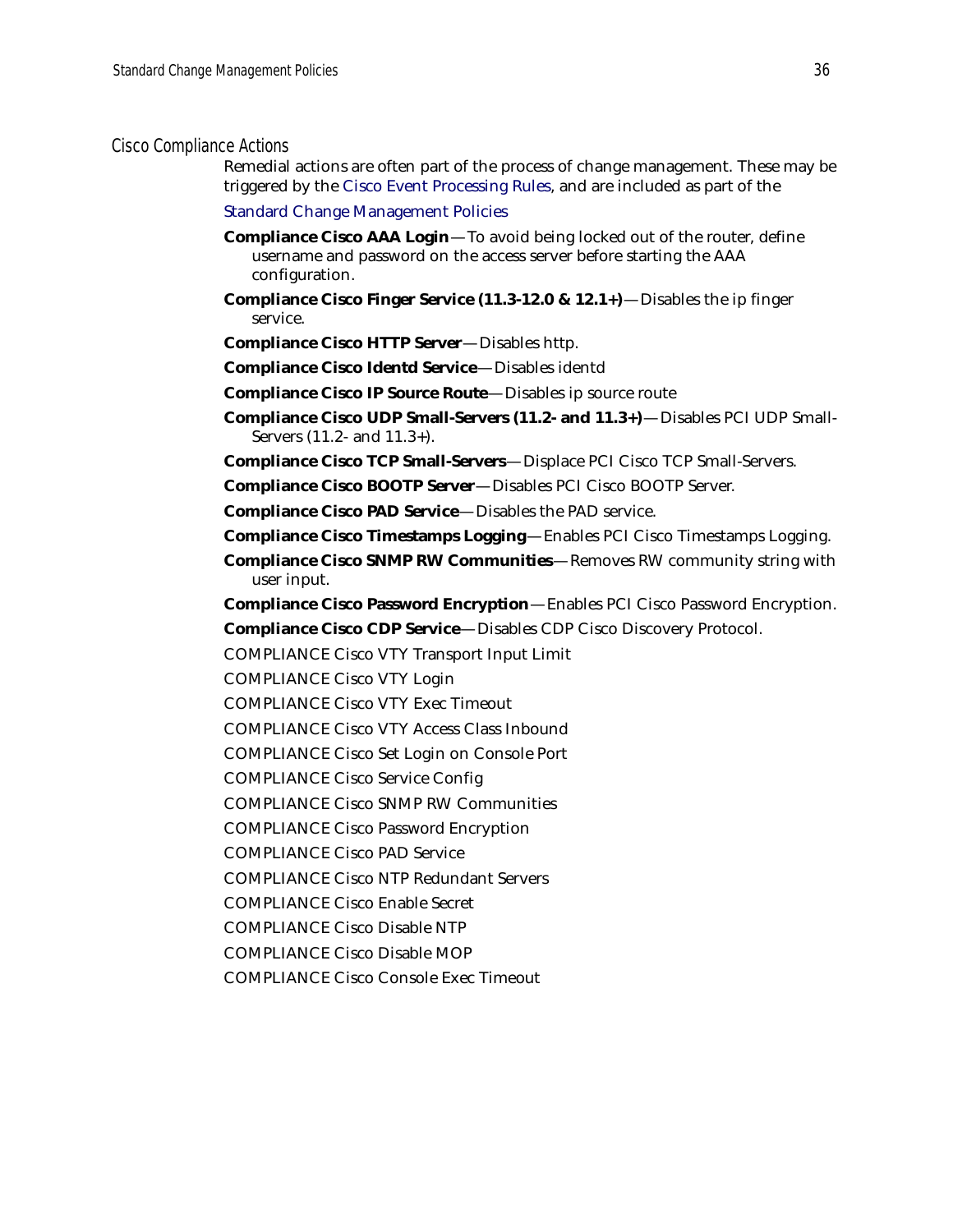#### <span id="page-35-0"></span>Cisco Compliance Actions

Remedial actions are often part of the process of change management. These may be triggered by the [Cisco Event Processing Rules,](#page-36-1) and are included as part of the

[Standard Change Management Policies](#page-32-1)

- **Compliance Cisco AAA Login**—To avoid being locked out of the router, define username and password on the access server before starting the AAA configuration.
- **Compliance Cisco Finger Service (11.3-12.0 & 12.1+)**—Disables the ip finger service.
- **Compliance Cisco HTTP Server**—Disables http.
- **Compliance Cisco Identd Service**—Disables identd
- **Compliance Cisco IP Source Route**—Disables ip source route
- **Compliance Cisco UDP Small-Servers (11.2- and 11.3+)**—Disables PCI UDP Small-Servers (11.2- and 11.3+).
- **Compliance Cisco TCP Small-Servers**—Displace PCI Cisco TCP Small-Servers.
- **Compliance Cisco BOOTP Server**—Disables PCI Cisco BOOTP Server.
- **Compliance Cisco PAD Service**—Disables the PAD service.
- **Compliance Cisco Timestamps Logging**—Enables PCI Cisco Timestamps Logging.
- **Compliance Cisco SNMP RW Communities**—Removes RW community string with user input.
- **Compliance Cisco Password Encryption**—Enables PCI Cisco Password Encryption.
- **Compliance Cisco CDP Service**—Disables CDP Cisco Discovery Protocol.
- COMPLIANCE Cisco VTY Transport Input Limit
- COMPLIANCE Cisco VTY Login
- COMPLIANCE Cisco VTY Exec Timeout
- COMPLIANCE Cisco VTY Access Class Inbound
- COMPLIANCE Cisco Set Login on Console Port
- COMPLIANCE Cisco Service Config
- COMPLIANCE Cisco SNMP RW Communities
- COMPLIANCE Cisco Password Encryption
- COMPLIANCE Cisco PAD Service
- COMPLIANCE Cisco NTP Redundant Servers
- COMPLIANCE Cisco Enable Secret
- COMPLIANCE Cisco Disable NTP
- COMPLIANCE Cisco Disable MOP
- COMPLIANCE Cisco Console Exec Timeout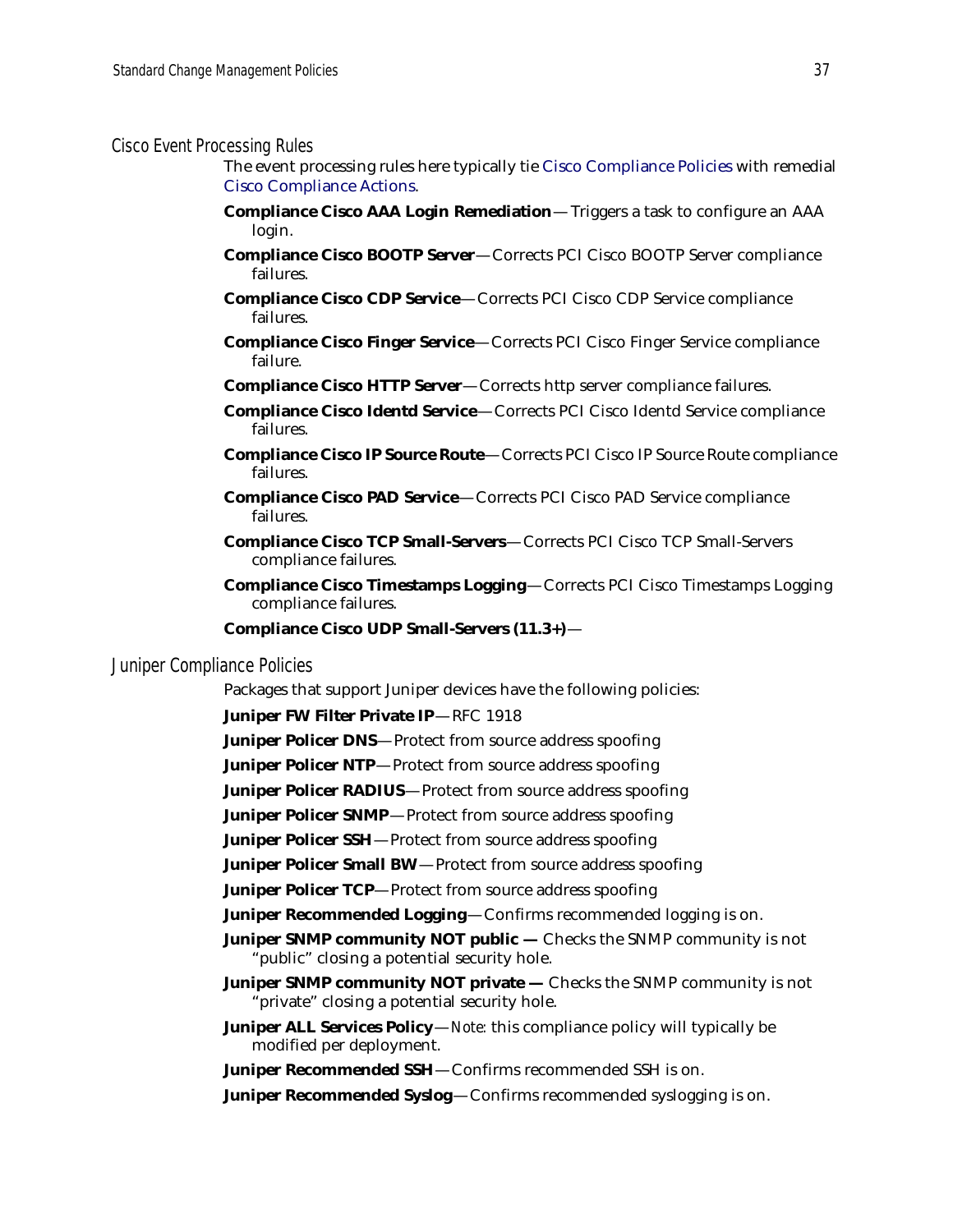#### <span id="page-36-1"></span>Cisco Event Processing Rules

The event processing rules here typically tie [Cisco Compliance Policies](#page-32-0) with remedial [Cisco Compliance Actions](#page-35-0).

- **Compliance Cisco AAA Login Remediation** Triggers a task to configure an AAA login.
- **Compliance Cisco BOOTP Server**—Corrects PCI Cisco BOOTP Server compliance failures.
- **Compliance Cisco CDP Service**—Corrects PCI Cisco CDP Service compliance failures.
- **Compliance Cisco Finger Service**—Corrects PCI Cisco Finger Service compliance failure.
- **Compliance Cisco HTTP Server**—Corrects http server compliance failures.
- **Compliance Cisco Identd Service**—Corrects PCI Cisco Identd Service compliance failures.
- **Compliance Cisco IP Source Route**—Corrects PCI Cisco IP Source Route compliance failures.
- **Compliance Cisco PAD Service**—Corrects PCI Cisco PAD Service compliance failures.
- **Compliance Cisco TCP Small-Servers**—Corrects PCI Cisco TCP Small-Servers compliance failures.
- **Compliance Cisco Timestamps Logging**—Corrects PCI Cisco Timestamps Logging compliance failures.
- **Compliance Cisco UDP Small-Servers (11.3+)**—

### <span id="page-36-0"></span>Juniper Compliance Policies

Packages that support Juniper devices have the following policies:

**Juniper FW Filter Private IP**—RFC 1918

- **Juniper Policer DNS**—Protect from source address spoofing
- **Juniper Policer NTP**—Protect from source address spoofing
- **Juniper Policer RADIUS**—Protect from source address spoofing

**Juniper Policer SNMP**—Protect from source address spoofing

**Juniper Policer SSH**—Protect from source address spoofing

**Juniper Policer Small BW**—Protect from source address spoofing

**Juniper Policer TCP**—Protect from source address spoofing

**Juniper Recommended Logging**—Confirms recommended logging is on.

- **Juniper SNMP community NOT public Checks the SNMP community is not** "public" closing a potential security hole.
- **Juniper SNMP community NOT private** Checks the SNMP community is not "private" closing a potential security hole.
- **Juniper ALL Services Policy**—*Note:* this compliance policy will typically be modified per deployment.

**Juniper Recommended SSH**—Confirms recommended SSH is on.

**Juniper Recommended Syslog**—Confirms recommended syslogging is on.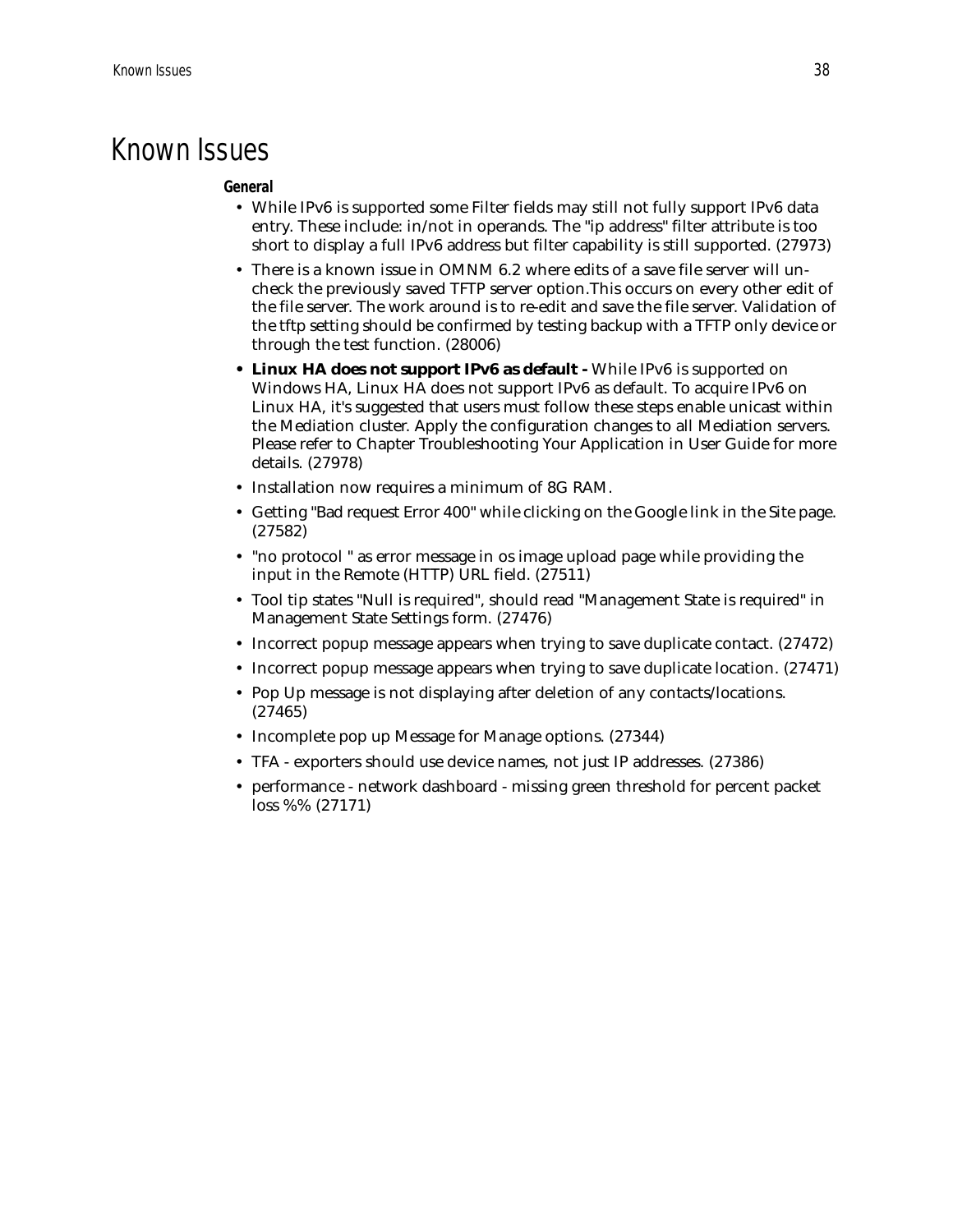### Known Issues

#### **General**

- While IPv6 is supported some Filter fields may still not fully support IPv6 data entry. These include: in/not in operands. The "ip address" filter attribute is too short to display a full IPv6 address but filter capability is still supported. (27973)
- There is a known issue in OMNM 6.2 where edits of a save file server will uncheck the previously saved TFTP server option.This occurs on every other edit of the file server. The work around is to re-edit and save the file server. Validation of the tftp setting should be confirmed by testing backup with a TFTP only device or through the test function. (28006)
- **Linux HA does not support IPv6 as default** While IPv6 is supported on Windows HA, Linux HA does not support IPv6 as default. To acquire IPv6 on Linux HA, it's suggested that users must follow these steps enable unicast within the Mediation cluster. Apply the configuration changes to all Mediation servers. Please refer to Chapter Troubleshooting Your Application in User Guide for more details. (27978)
- Installation now requires a minimum of 8G RAM.
- Getting "Bad request Error 400" while clicking on the Google link in the Site page. (27582)
- "no protocol " as error message in os image upload page while providing the input in the Remote (HTTP) URL field. (27511)
- Tool tip states "Null is required", should read "Management State is required" in Management State Settings form. (27476)
- Incorrect popup message appears when trying to save duplicate contact. (27472)
- Incorrect popup message appears when trying to save duplicate location. (27471)
- Pop Up message is not displaying after deletion of any contacts/locations. (27465)
- Incomplete pop up Message for Manage options. (27344)
- TFA exporters should use device names, not just IP addresses. (27386)
- performance network dashboard missing green threshold for percent packet loss %% (27171)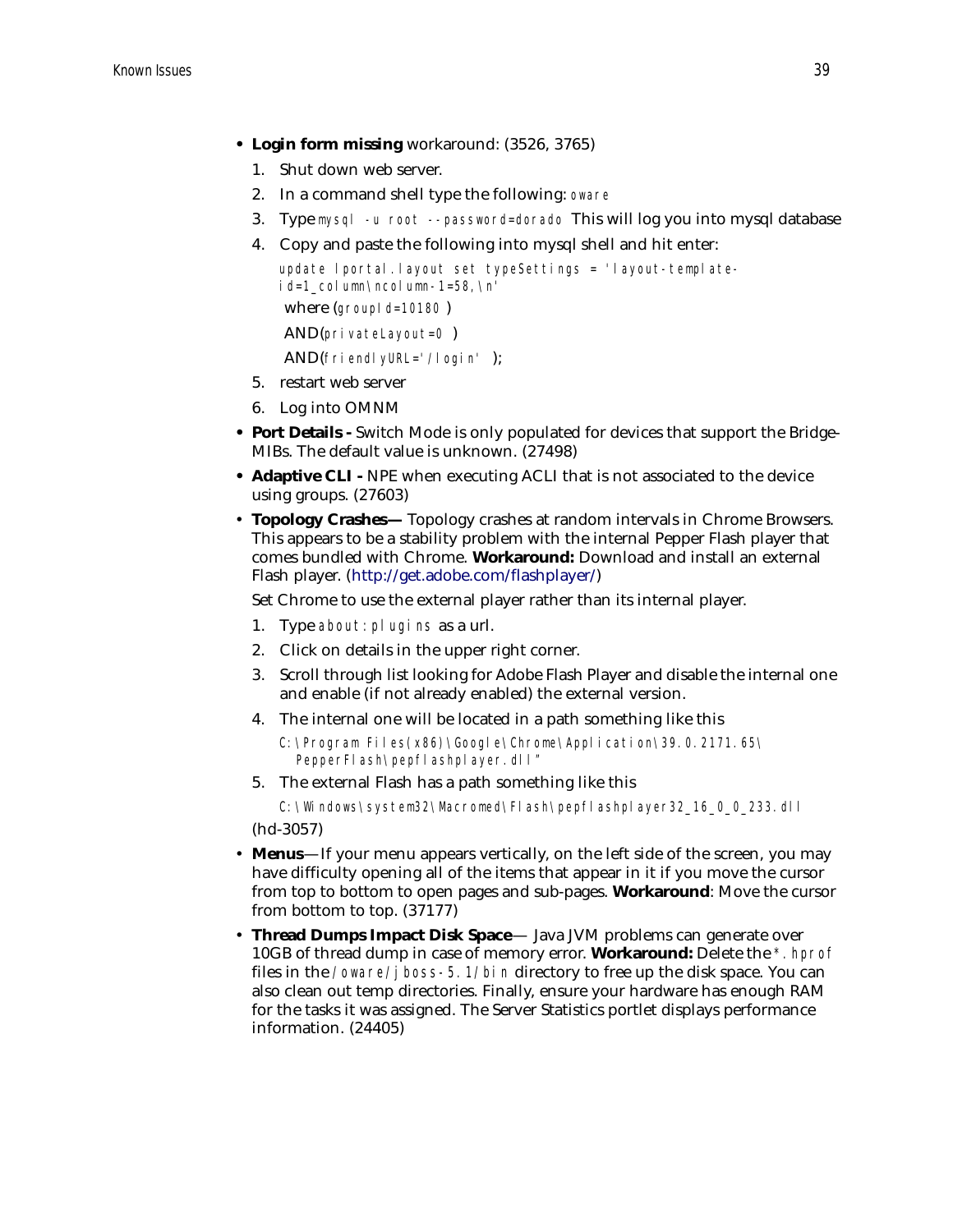- **Login form missing** workaround: (3526, 3765)
	- 1. Shut down web server.
	- 2. In a command shell type the following: oware
	- 3. Type mysql -u root --password=dorado This will log you into mysql database
	- 4. Copy and paste the following into mysql shell and hit enter:

```
update lportal.layout set typeSettings = 'layout-template-
id=1_column\ncolumn-1=58,\n'
where (groupId=10180)
 AND(privateLayout=0 )
 AND(friendlyURL='/login' );
```
- 5. restart web server
- 6. Log into OMNM
- **Port Details** Switch Mode is only populated for devices that support the Bridge-MIBs. The default value is unknown. (27498)
- **Adaptive CLI** NPE when executing ACLI that is not associated to the device using groups. (27603)
- **Topology Crashes—** Topology crashes at random intervals in Chrome Browsers. This appears to be a stability problem with the internal Pepper Flash player that comes bundled with Chrome. **Workaround:** Download and install an external Flash player. (<http://get.adobe.com/flashplayer/>)

Set Chrome to use the external player rather than its internal player.

- 1. Type about:plugins as a url.
- 2. Click on details in the upper right corner.
- 3. Scroll through list looking for Adobe Flash Player and disable the internal one and enable (if not already enabled) the external version.
- 4. The internal one will be located in a path something like this

```
C:\Program Files(x86)\Google\Chrome\Application\39.0.2171.65\ 
  PepperFlash\pepflashplayer.dll"
```
5. The external Flash has a path something like this

C:\Windows\system32\Macromed\Flash\pepflashplayer32\_16\_0\_0\_233.dll (hd-3057)

• **Menus**—If your menu appears vertically, on the left side of the screen, you may have difficulty opening all of the items that appear in it if you move the cursor from top to bottom to open pages and sub-pages. **Workaround**: Move the cursor

from bottom to top. (37177) • **Thread Dumps Impact Disk Space**— Java JVM problems can generate over

10GB of thread dump in case of memory error. **Workaround:** Delete the \*.hprof files in the /oware/jboss-5.1/bin directory to free up the disk space. You can also clean out temp directories. Finally, ensure your hardware has enough RAM for the tasks it was assigned. The Server Statistics portlet displays performance information. (24405)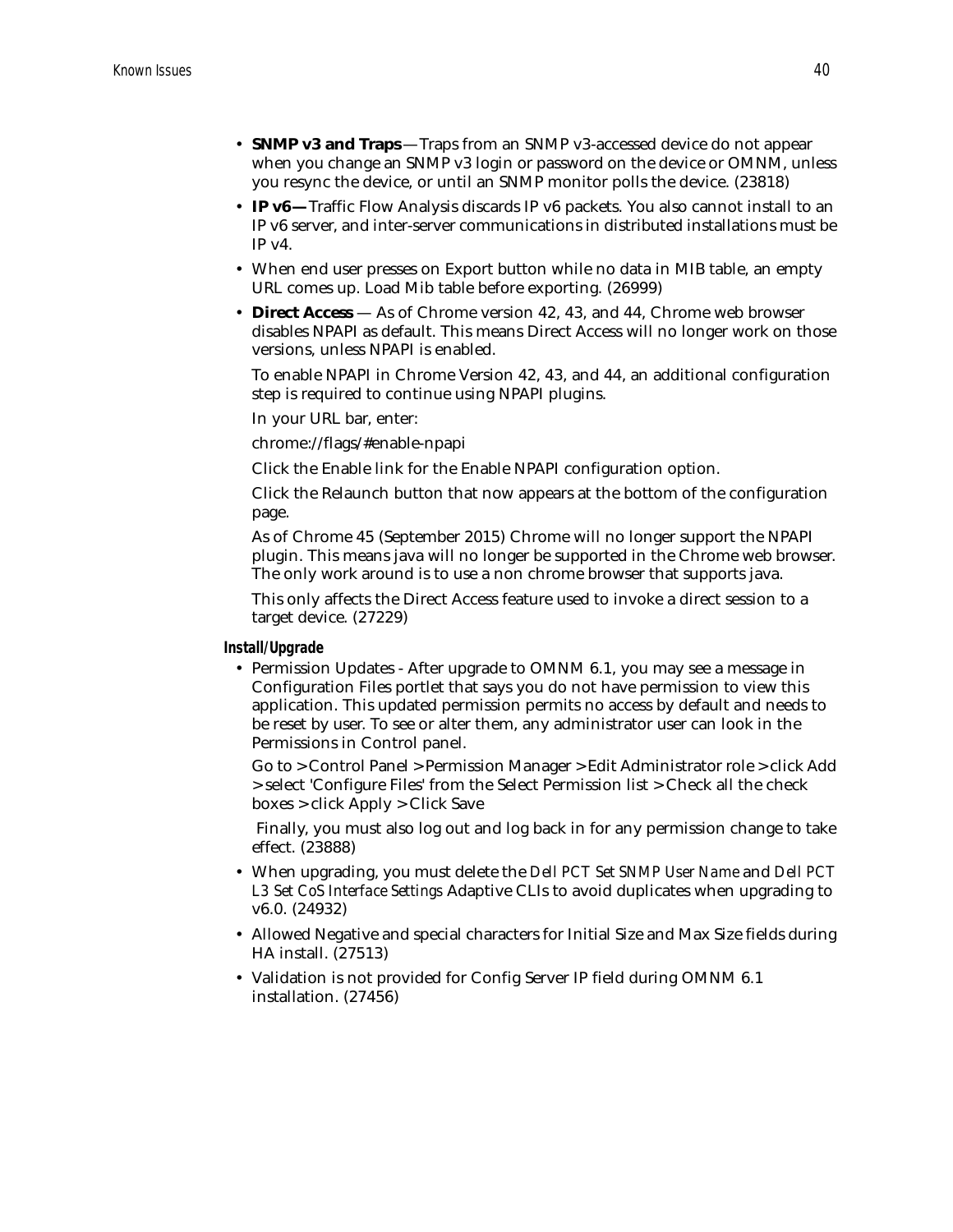- **SNMP v3 and Traps** —Traps from an SNMP v3-accessed device do not appear when you change an SNMP v3 login or password on the device or OMNM, unless you resync the device, or until an SNMP monitor polls the device. (23818)
- **IP v6—**Traffic Flow Analysis discards IP v6 packets. You also cannot install to an IP v6 server, and inter-server communications in distributed installations must be  $IP v4$ .
- When end user presses on Export button while no data in MIB table, an empty URL comes up. Load Mib table before exporting. (26999)
- **Direct Access**  As of Chrome version 42, 43, and 44, Chrome web browser disables NPAPI as default. This means Direct Access will no longer work on those versions, unless NPAPI is enabled.

To enable NPAPI in Chrome Version 42, 43, and 44, an additional configuration step is required to continue using NPAPI plugins.

In your URL bar, enter:

chrome://flags/#enable-npapi

Click the Enable link for the Enable NPAPI configuration option.

Click the Relaunch button that now appears at the bottom of the configuration page.

As of Chrome 45 (September 2015) Chrome will no longer support the NPAPI plugin. This means java will no longer be supported in the Chrome web browser. The only work around is to use a non chrome browser that supports java.

This only affects the Direct Access feature used to invoke a direct session to a target device. (27229)

**Install/Upgrade**

• Permission Updates - After upgrade to OMNM 6.1, you may see a message in Configuration Files portlet that says you do not have permission to view this application. This updated permission permits no access by default and needs to be reset by user. To see or alter them, any administrator user can look in the Permissions in Control panel.

Go to > Control Panel > Permission Manager > Edit Administrator role > click Add > select 'Configure Files' from the Select Permission list > Check all the check boxes > click Apply > Click Save

 Finally, you must also log out and log back in for any permission change to take effect. (23888)

- When upgrading, you must delete the *Dell PCT Set SNMP User Name* and *Dell PCT L3 Set CoS Interface Settings* Adaptive CLIs to avoid duplicates when upgrading to v6.0. (24932)
- Allowed Negative and special characters for Initial Size and Max Size fields during HA install. (27513)
- Validation is not provided for Config Server IP field during OMNM 6.1 installation. (27456)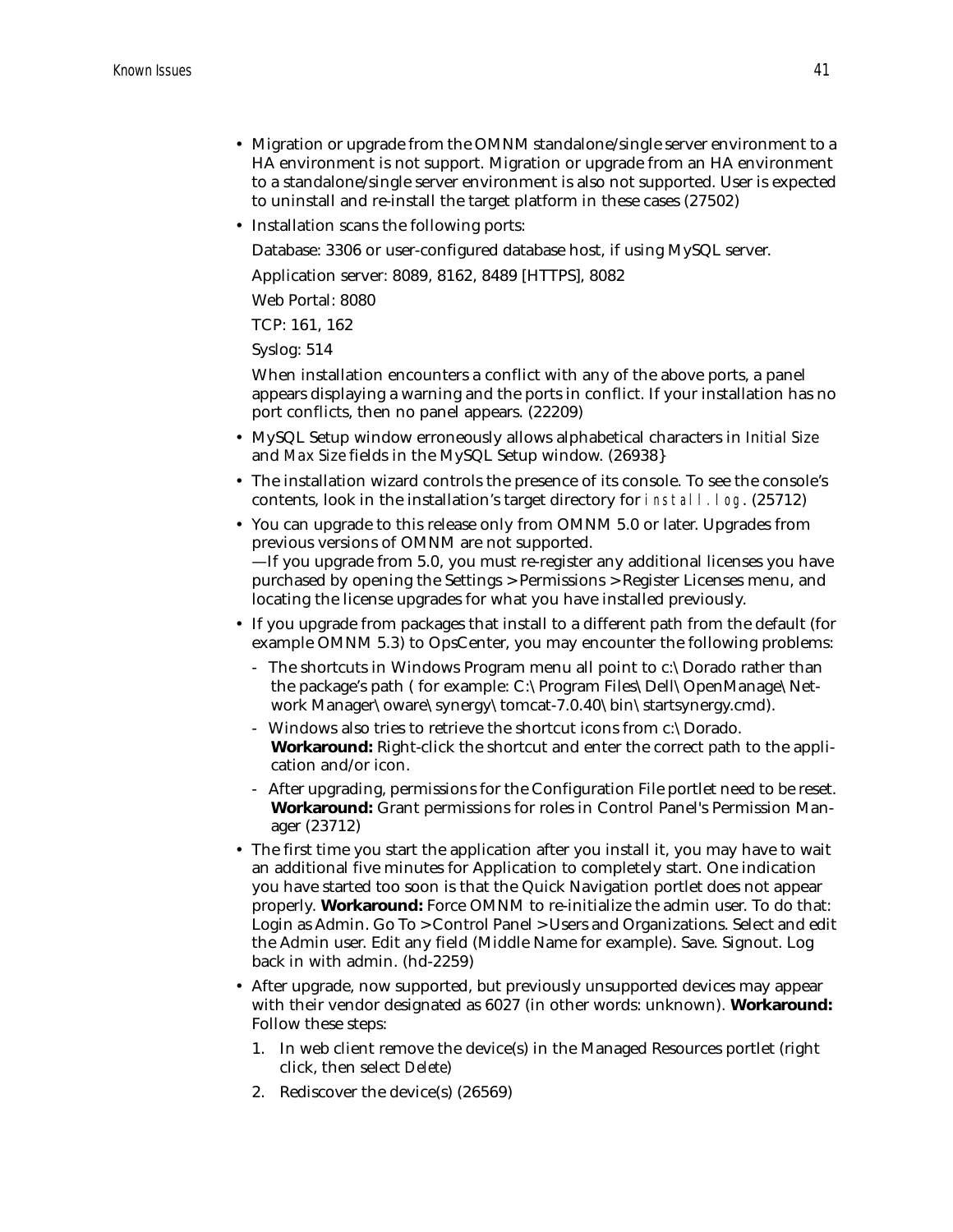- Migration or upgrade from the OMNM standalone/single server environment to a HA environment is not support. Migration or upgrade from an HA environment to a standalone/single server environment is also not supported. User is expected to uninstall and re-install the target platform in these cases (27502)
- Installation scans the following ports:

Database: 3306 or user-configured database host, if using MySQL server.

Application server: 8089, 8162, 8489 [HTTPS], 8082

Web Portal: 8080

TCP: 161, 162

Syslog: 514

When installation encounters a conflict with any of the above ports, a panel appears displaying a warning and the ports in conflict. If your installation has no port conflicts, then no panel appears. (22209)

- MySQL Setup window erroneously allows alphabetical characters in *Initial Size* and *Max Size* fields in the MySQL Setup window. (26938}
- The installation wizard controls the presence of its console. To see the console's contents, look in the installation's target directory for install.log. (25712)
- You can upgrade to this release only from OMNM 5.0 or later. Upgrades from previous versions of OMNM are not supported. —If you upgrade from 5.0, you must re-register any additional licenses you have purchased by opening the Settings > Permissions > Register Licenses menu, and locating the license upgrades for what you have installed previously.
- If you upgrade from packages that install to a different path from the default (for example OMNM 5.3) to OpsCenter, you may encounter the following problems:
	- The shortcuts in Windows Program menu all point to c:\Dorado rather than the package's path ( for example: C:\Program Files\Dell\OpenManage\Network Manager\oware\synergy\tomcat-7.0.40\bin\startsynergy.cmd).
	- Windows also tries to retrieve the shortcut icons from c:\Dorado. **Workaround:** Right-click the shortcut and enter the correct path to the application and/or icon.
	- After upgrading, permissions for the Configuration File portlet need to be reset. **Workaround:** Grant permissions for roles in Control Panel's Permission Manager (23712)
- The first time you start the application after you install it, you may have to wait an additional five minutes for Application to completely start. One indication you have started too soon is that the Quick Navigation portlet does not appear properly. **Workaround:** Force OMNM to re-initialize the admin user. To do that: Login as Admin. Go To > Control Panel > Users and Organizations. Select and edit the Admin user. Edit any field (Middle Name for example). Save. Signout. Log back in with admin. (hd-2259)
- After upgrade, now supported, but previously unsupported devices may appear with their vendor designated as 6027 (in other words: unknown). **Workaround:**  Follow these steps:
	- 1. In web client remove the device(s) in the Managed Resources portlet (right click, then select *Delete*)
	- 2. Rediscover the device(s) (26569)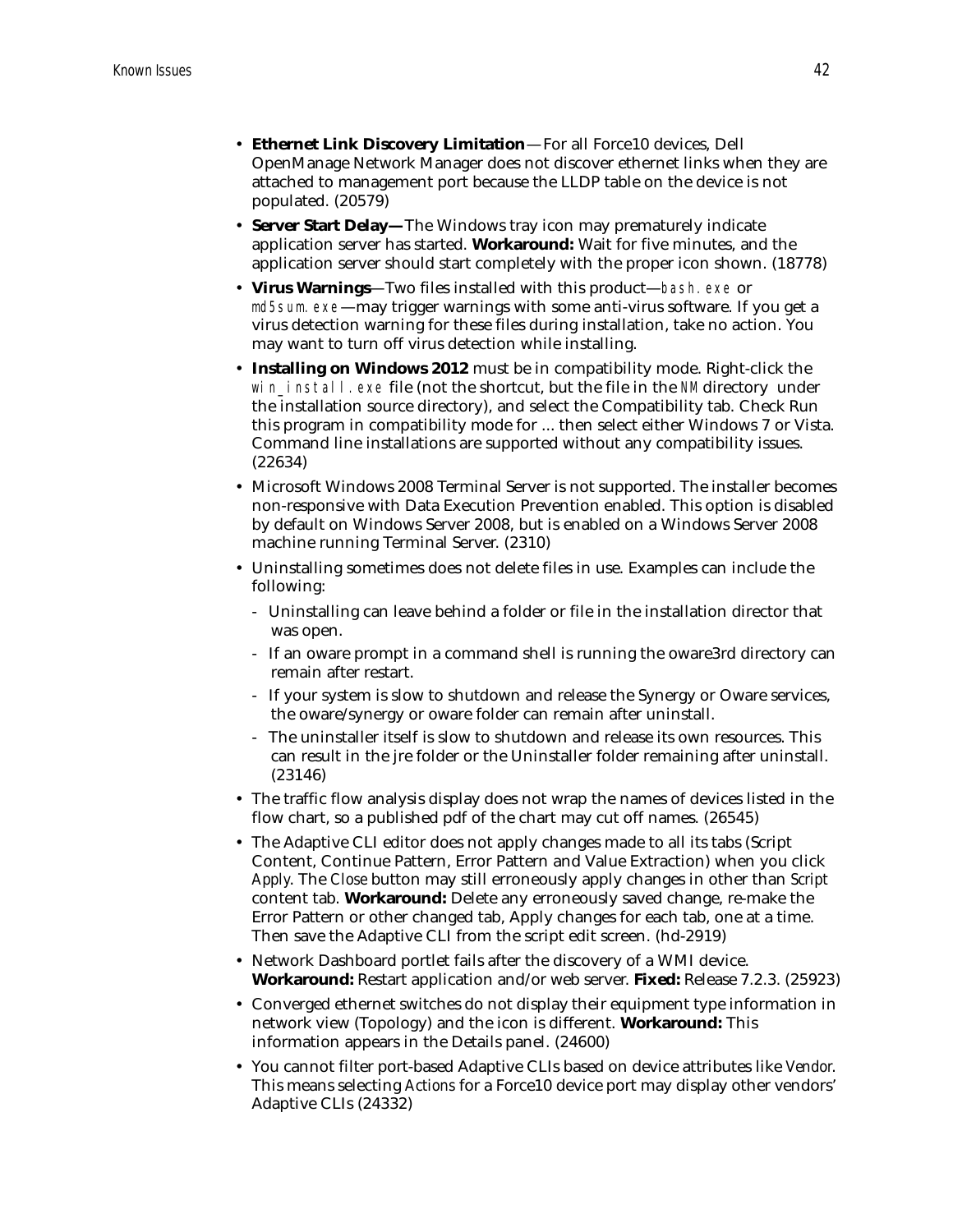- **Ethernet Link Discovery Limitation**—For all Force10 devices, Dell OpenManage Network Manager does not discover ethernet links when they are attached to management port because the LLDP table on the device is not populated. (20579)
- **Server Start Delay—**The Windows tray icon may prematurely indicate application server has started. **Workaround:** Wait for five minutes, and the application server should start completely with the proper icon shown. (18778)
- **Virus Warnings**—Two files installed with this product—bash.exe or md5sum.exe—may trigger warnings with some anti-virus software. If you get a virus detection warning for these files during installation, take no action. You may want to turn off virus detection while installing.
- **Installing on Windows 2012** must be in compatibility mode. Right-click the win install.exe file (not the shortcut, but the file in the NM directory under the installation source directory), and select the Compatibility tab. Check Run this program in compatibility mode for ... then select either Windows 7 or Vista. Command line installations are supported without any compatibility issues. (22634)
- Microsoft Windows 2008 Terminal Server is not supported. The installer becomes non-responsive with Data Execution Prevention enabled. This option is disabled by default on Windows Server 2008, but is enabled on a Windows Server 2008 machine running Terminal Server. (2310)
- Uninstalling sometimes does not delete files in use. Examples can include the following:
	- Uninstalling can leave behind a folder or file in the installation director that was open.
	- If an oware prompt in a command shell is running the oware3rd directory can remain after restart.
	- If your system is slow to shutdown and release the Synergy or Oware services, the oware/synergy or oware folder can remain after uninstall.
	- The uninstaller itself is slow to shutdown and release its own resources. This can result in the jre folder or the Uninstaller folder remaining after uninstall. (23146)
- The traffic flow analysis display does not wrap the names of devices listed in the flow chart, so a published pdf of the chart may cut off names. (26545)
- The Adaptive CLI editor does not apply changes made to all its tabs (Script Content, Continue Pattern, Error Pattern and Value Extraction) when you click *Apply*. The *Close* button may still erroneously apply changes in other than *Script*  content tab. **Workaround:** Delete any erroneously saved change, re-make the Error Pattern or other changed tab, Apply changes for each tab, one at a time. Then save the Adaptive CLI from the script edit screen. (hd-2919)
- Network Dashboard portlet fails after the discovery of a WMI device. **Workaround:** Restart application and/or web server. **Fixed:** Release 7.2.3. (25923)
- Converged ethernet switches do not display their equipment type information in network view (Topology) and the icon is different. **Workaround:** This information appears in the Details panel. (24600)
- You cannot filter port-based Adaptive CLIs based on device attributes like *Vendor*. This means selecting *Actions* for a Force10 device port may display other vendors' Adaptive CLIs (24332)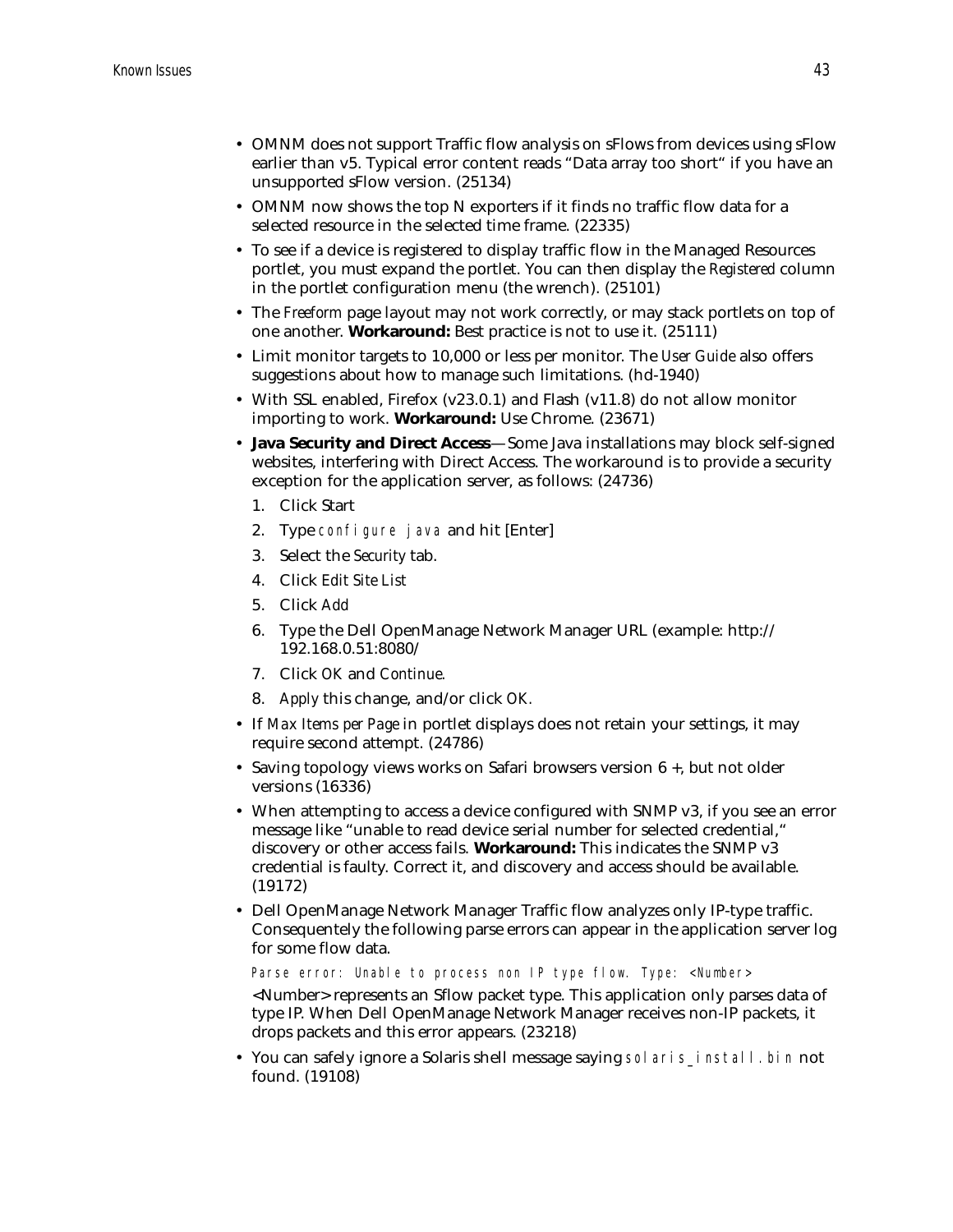- OMNM does not support Traffic flow analysis on sFlows from devices using sFlow earlier than v5. Typical error content reads "Data array too short" if you have an unsupported sFlow version. (25134)
- OMNM now shows the top N exporters if it finds no traffic flow data for a selected resource in the selected time frame. (22335)
- To see if a device is registered to display traffic flow in the Managed Resources portlet, you must expand the portlet. You can then display the *Registered* column in the portlet configuration menu (the wrench). (25101)
- The *Freeform* page layout may not work correctly, or may stack portlets on top of one another. **Workaround:** Best practice is not to use it. (25111)
- Limit monitor targets to 10,000 or less per monitor. The *User Guide* also offers suggestions about how to manage such limitations. (hd-1940)
- With SSL enabled, Firefox (v23.0.1) and Flash (v11.8) do not allow monitor importing to work. **Workaround:** Use Chrome. (23671)
- **Java Security and Direct Access**—Some Java installations may block self-signed websites, interfering with Direct Access. The workaround is to provide a security exception for the application server, as follows: (24736)
	- 1. Click Start
	- 2. Type configure java and hit [Enter]
	- 3. Select the *Security* tab.
	- 4. Click *Edit Site List*
	- 5. Click *Add*
	- 6. Type the Dell OpenManage Network Manager URL (example: http:// 192.168.0.51:8080/
	- 7. Click *OK* and *Continue.*
	- 8. *Apply* this change, and/or click *OK.*
- If *Max Items per Page* in portlet displays does not retain your settings, it may require second attempt. (24786)
- Saving topology views works on Safari browsers version 6 +, but not older versions (16336)
- When attempting to access a device configured with SNMP v3, if you see an error message like "unable to read device serial number for selected credential," discovery or other access fails. **Workaround:** This indicates the SNMP v3 credential is faulty. Correct it, and discovery and access should be available. (19172)
- Dell OpenManage Network Manager Traffic flow analyzes only IP-type traffic. Consequentely the following parse errors can appear in the application server log for some flow data.

Parse error: Unable to process non IP type flow. Type: <Number>

<Number> represents an Sflow packet type. This application only parses data of type IP. When Dell OpenManage Network Manager receives non-IP packets, it drops packets and this error appears. (23218)

• You can safely ignore a Solaris shell message saying solaris\_install.bin not found. (19108)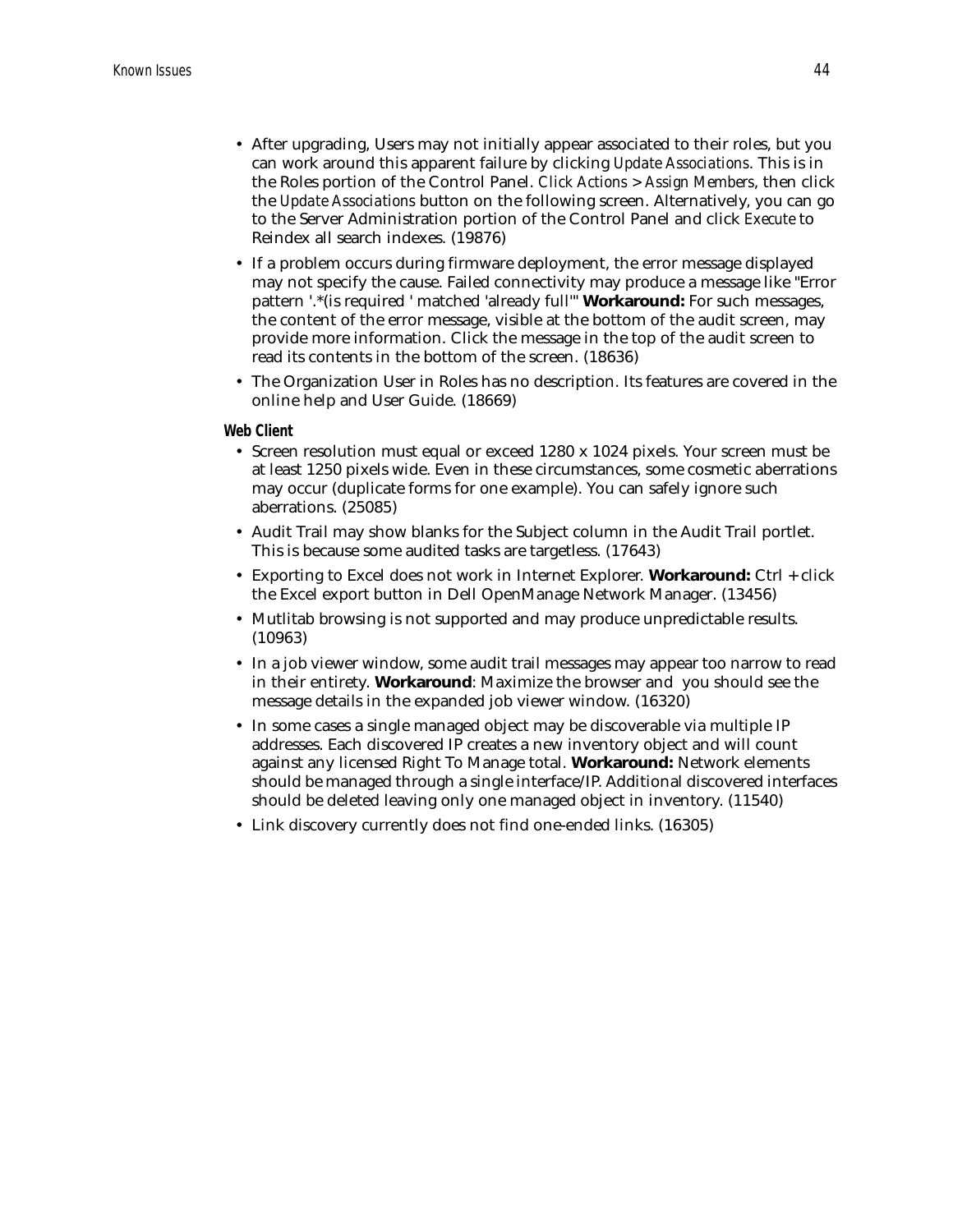- After upgrading, Users may not initially appear associated to their roles, but you can work around this apparent failure by clicking *Update Associations*. This is in the Roles portion of the Control Panel. *Click Actions > Assign Members*, then click the *Update Associations* button on the following screen. Alternatively, you can go to the Server Administration portion of the Control Panel and click *Execute* to Reindex all search indexes. (19876)
- If a problem occurs during firmware deployment, the error message displayed may not specify the cause. Failed connectivity may produce a message like "Error pattern '.\*(is required ' matched 'already full'" **Workaround:** For such messages, the content of the error message, visible at the bottom of the audit screen, may provide more information. Click the message in the top of the audit screen to read its contents in the bottom of the screen. (18636)
- The Organization User in Roles has no description. Its features are covered in the online help and User Guide. (18669)

#### **Web Client**

- Screen resolution must equal or exceed 1280 x 1024 pixels. Your screen must be at least 1250 pixels wide. Even in these circumstances, some cosmetic aberrations may occur (duplicate forms for one example). You can safely ignore such aberrations. (25085)
- Audit Trail may show blanks for the Subject column in the Audit Trail portlet. This is because some audited tasks are targetless. (17643)
- Exporting to Excel does not work in Internet Explorer. **Workaround:** Ctrl + click the Excel export button in Dell OpenManage Network Manager. (13456)
- Mutlitab browsing is not supported and may produce unpredictable results. (10963)
- In a job viewer window, some audit trail messages may appear too narrow to read in their entirety. **Workaround**: Maximize the browser and you should see the message details in the expanded job viewer window. (16320)
- In some cases a single managed object may be discoverable via multiple IP addresses. Each discovered IP creates a new inventory object and will count against any licensed Right To Manage total. **Workaround:** Network elements should be managed through a single interface/IP. Additional discovered interfaces should be deleted leaving only one managed object in inventory. (11540)
- Link discovery currently does not find one-ended links. (16305)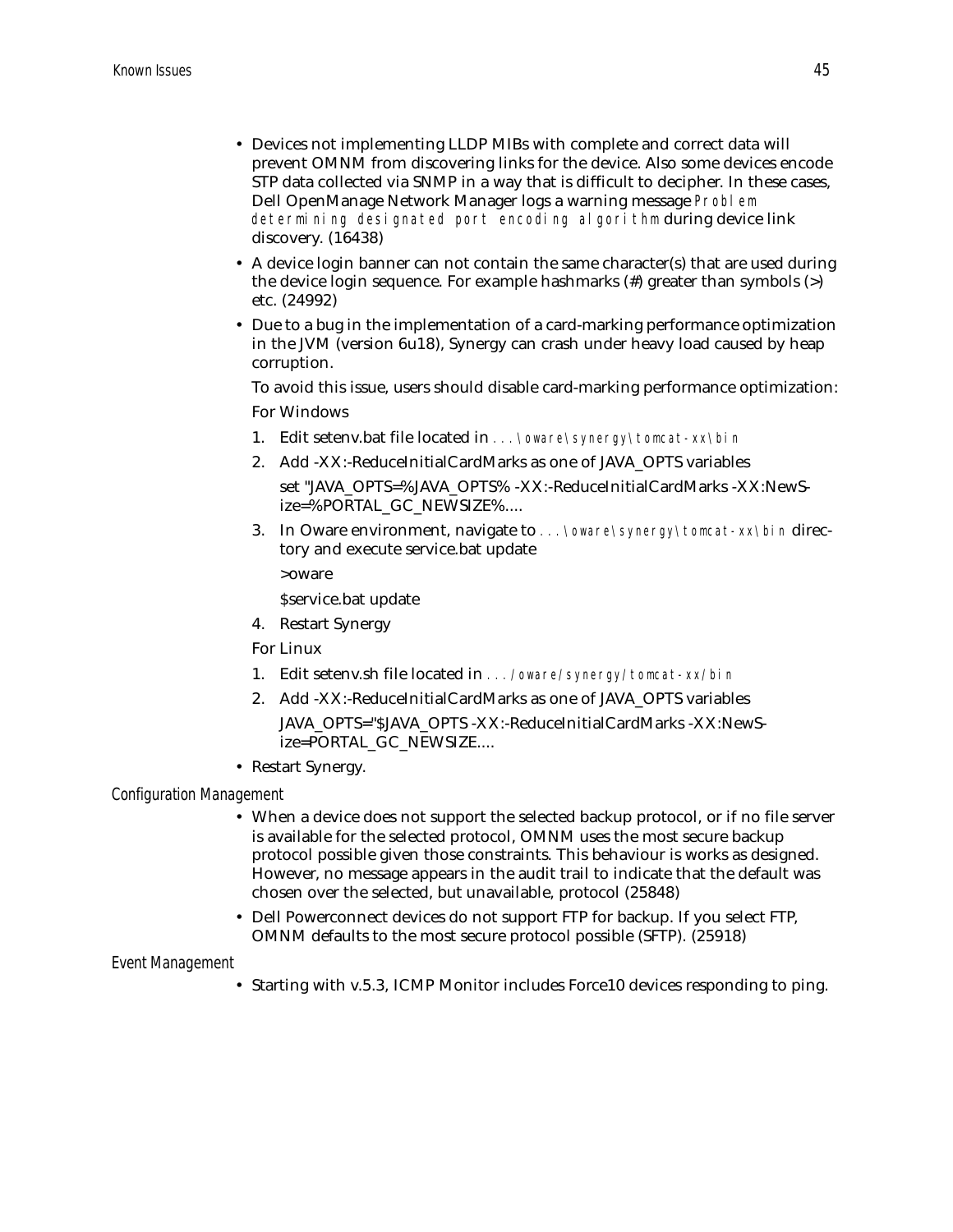- Devices not implementing LLDP MIBs with complete and correct data will prevent OMNM from discovering links for the device. Also some devices encode STP data collected via SNMP in a way that is difficult to decipher. In these cases, Dell OpenManage Network Manager logs a warning message Problem determining designated port encoding algorithm during device link discovery. (16438)
- A device login banner can not contain the same character(s) that are used during the device login sequence. For example hashmarks (#) greater than symbols (>) etc. (24992)
- Due to a bug in the implementation of a card-marking performance optimization in the JVM (version 6u18), Synergy can crash under heavy load caused by heap corruption.

To avoid this issue, users should disable card-marking performance optimization: For Windows

- 1. Edit setenv.bat file located in ...\oware\synergy\tomcat-xx\bin
- 2. Add -XX:-ReduceInitialCardMarks as one of JAVA\_OPTS variables
	- set "JAVA\_OPTS=%JAVA\_OPTS% -XX:-ReduceInitialCardMarks -XX:NewSize=%PORTAL\_GC\_NEWSIZE%....
- 3. In Oware environment, navigate to ... \oware\synergy\tomcat-xx\bin directory and execute service.bat update

>oware

\$service.bat update

4. Restart Synergy

For Linux

- 1. Edit setenv.sh file located in .../oware/synergy/tomcat-xx/bin
- 2. Add -XX:-ReduceInitialCardMarks as one of JAVA\_OPTS variables JAVA\_OPTS="\$JAVA\_OPTS -XX:-ReduceInitialCardMarks -XX:NewSize=PORTAL\_GC\_NEWSIZE....
- Restart Synergy.

*Configuration Management*

- When a device does not support the selected backup protocol, or if no file server is available for the selected protocol, OMNM uses the most secure backup protocol possible given those constraints. This behaviour is works as designed. However, no message appears in the audit trail to indicate that the default was chosen over the selected, but unavailable, protocol (25848)
- Dell Powerconnect devices do not support FTP for backup. If you select FTP, OMNM defaults to the most secure protocol possible (SFTP). (25918)

#### *Event Management*

• Starting with v.5.3, ICMP Monitor includes Force10 devices responding to ping.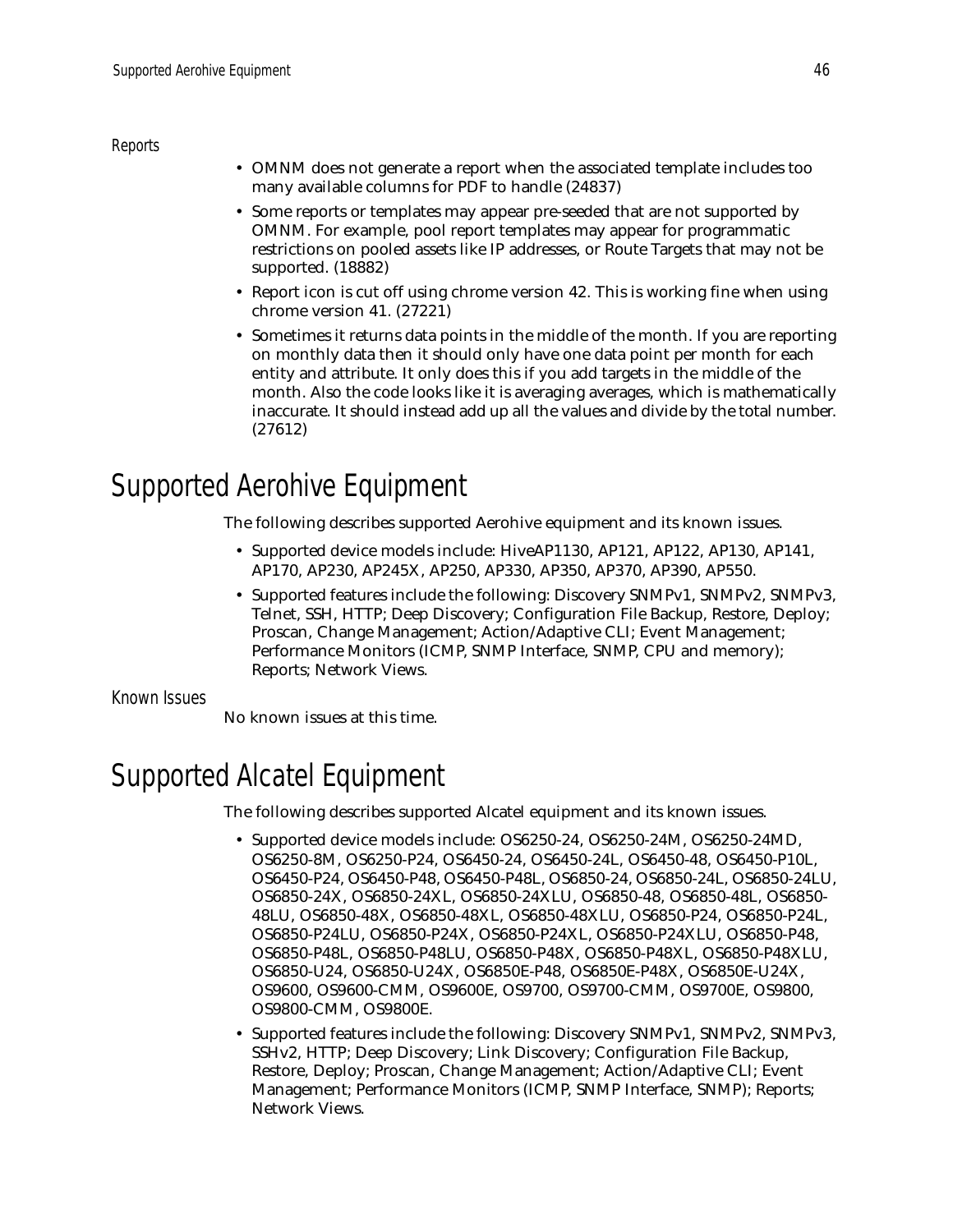*Reports*

- OMNM does not generate a report when the associated template includes too many available columns for PDF to handle (24837)
- Some reports or templates may appear pre-seeded that are not supported by OMNM. For example, pool report templates may appear for programmatic restrictions on pooled assets like IP addresses, or Route Targets that may not be supported. (18882)
- Report icon is cut off using chrome version 42. This is working fine when using chrome version 41. (27221)
- Sometimes it returns data points in the middle of the month. If you are reporting on monthly data then it should only have one data point per month for each entity and attribute. It only does this if you add targets in the middle of the month. Also the code looks like it is averaging averages, which is mathematically inaccurate. It should instead add up all the values and divide by the total number. (27612)

# <span id="page-45-1"></span>Supported Aerohive Equipment

The following describes supported Aerohive equipment and its known issues.

- Supported device models include: HiveAP1130, AP121, AP122, AP130, AP141, AP170, AP230, AP245X, AP250, AP330, AP350, AP370, AP390, AP550.
- Supported features include the following: Discovery SNMPv1, SNMPv2, SNMPv3, Telnet, SSH, HTTP; Deep Discovery; Configuration File Backup, Restore, Deploy; Proscan, Change Management; Action/Adaptive CLI; Event Management; Performance Monitors (ICMP, SNMP Interface, SNMP, CPU and memory); Reports; Network Views.

Known Issues

No known issues at this time.

# <span id="page-45-0"></span>Supported Alcatel Equipment

The following describes supported Alcatel equipment and its known issues.

- Supported device models include: OS6250-24, OS6250-24M, OS6250-24MD, OS6250-8M, OS6250-P24, OS6450-24, OS6450-24L, OS6450-48, OS6450-P10L, OS6450-P24, OS6450-P48, OS6450-P48L, OS6850-24, OS6850-24L, OS6850-24LU, OS6850-24X, OS6850-24XL, OS6850-24XLU, OS6850-48, OS6850-48L, OS6850- 48LU, OS6850-48X, OS6850-48XL, OS6850-48XLU, OS6850-P24, OS6850-P24L, OS6850-P24LU, OS6850-P24X, OS6850-P24XL, OS6850-P24XLU, OS6850-P48, OS6850-P48L, OS6850-P48LU, OS6850-P48X, OS6850-P48XL, OS6850-P48XLU, OS6850-U24, OS6850-U24X, OS6850E-P48, OS6850E-P48X, OS6850E-U24X, OS9600, OS9600-CMM, OS9600E, OS9700, OS9700-CMM, OS9700E, OS9800, OS9800-CMM, OS9800E.
- Supported features include the following: Discovery SNMPv1, SNMPv2, SNMPv3, SSHv2, HTTP; Deep Discovery; Link Discovery; Configuration File Backup, Restore, Deploy; Proscan, Change Management; Action/Adaptive CLI; Event Management; Performance Monitors (ICMP, SNMP Interface, SNMP); Reports; Network Views.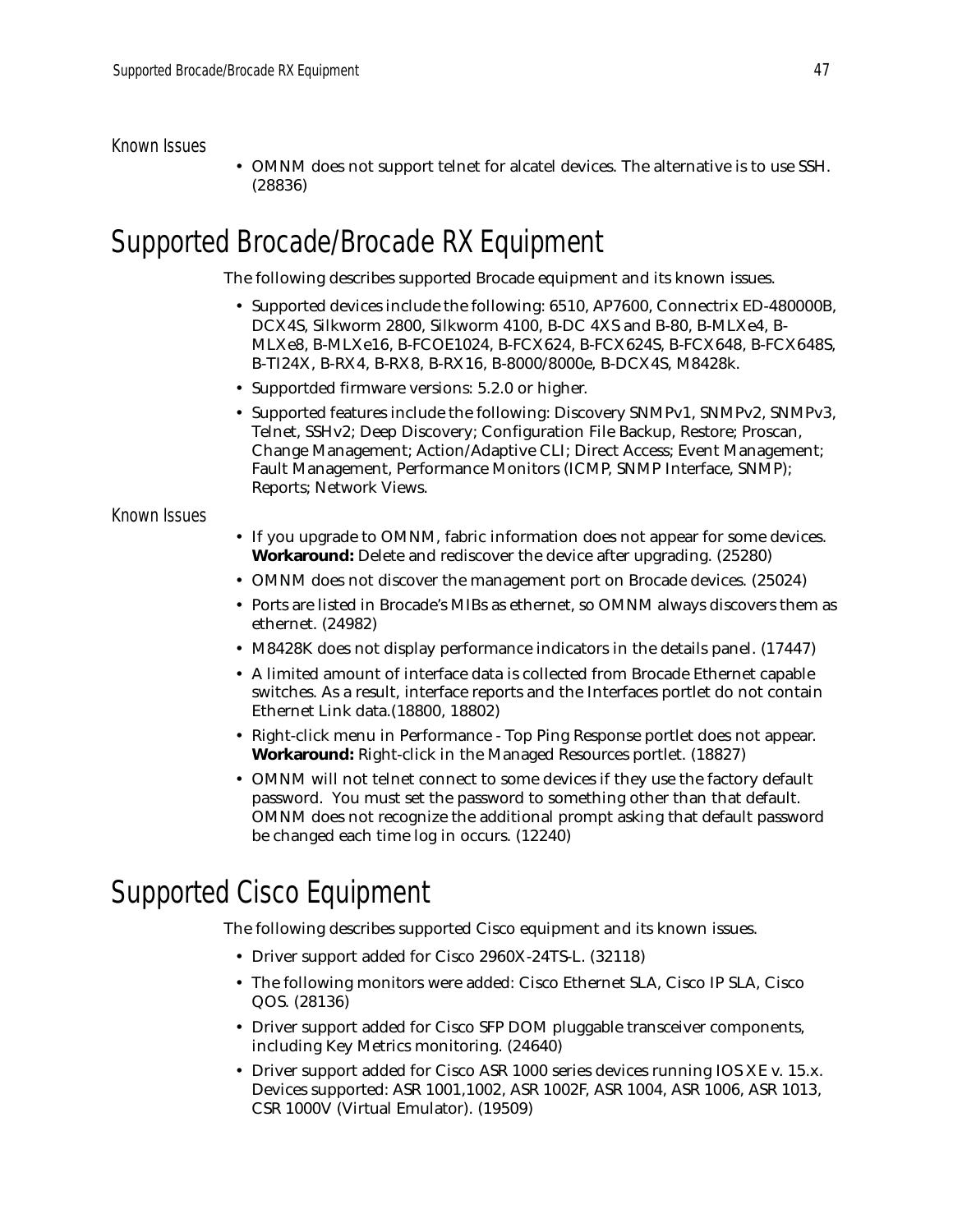### Known Issues

• OMNM does not support telnet for alcatel devices. The alternative is to use SSH. (28836)

## <span id="page-46-0"></span>Supported Brocade/Brocade RX Equipment

The following describes supported Brocade equipment and its known issues.

- Supported devices include the following: 6510, AP7600, Connectrix ED-480000B, DCX4S, Silkworm 2800, Silkworm 4100, B-DC 4XS and B-80, B-MLXe4, B-MLXe8, B-MLXe16, B-FCOE1024, B-FCX624, B-FCX624S, B-FCX648, B-FCX648S, B-TI24X, B-RX4, B-RX8, B-RX16, B-8000/8000e, B-DCX4S, M8428k.
- Supportded firmware versions: 5.2.0 or higher.
- Supported features include the following: Discovery SNMPv1, SNMPv2, SNMPv3, Telnet, SSHv2; Deep Discovery; Configuration File Backup, Restore; Proscan, Change Management; Action/Adaptive CLI; Direct Access; Event Management; Fault Management, Performance Monitors (ICMP, SNMP Interface, SNMP); Reports; Network Views.

### Known Issues

- If you upgrade to OMNM, fabric information does not appear for some devices. **Workaround:** Delete and rediscover the device after upgrading. (25280)
- OMNM does not discover the management port on Brocade devices. (25024)
- Ports are listed in Brocade's MIBs as ethernet, so OMNM always discovers them as ethernet. (24982)
- M8428K does not display performance indicators in the details panel. (17447)
- A limited amount of interface data is collected from Brocade Ethernet capable switches. As a result, interface reports and the Interfaces portlet do not contain Ethernet Link data.(18800, 18802)
- Right-click menu in Performance Top Ping Response portlet does not appear. **Workaround:** Right-click in the Managed Resources portlet. (18827)
- OMNM will not telnet connect to some devices if they use the factory default password. You must set the password to something other than that default. OMNM does not recognize the additional prompt asking that default password be changed each time log in occurs. (12240)

# <span id="page-46-1"></span>Supported Cisco Equipment

The following describes supported Cisco equipment and its known issues.

- Driver support added for Cisco 2960X-24TS-L. (32118)
- The following monitors were added: Cisco Ethernet SLA, Cisco IP SLA, Cisco QOS. (28136)
- Driver support added for Cisco SFP DOM pluggable transceiver components, including Key Metrics monitoring. (24640)
- Driver support added for Cisco ASR 1000 series devices running IOS XE v. 15.x. Devices supported: ASR 1001,1002, ASR 1002F, ASR 1004, ASR 1006, ASR 1013, CSR 1000V (Virtual Emulator). (19509)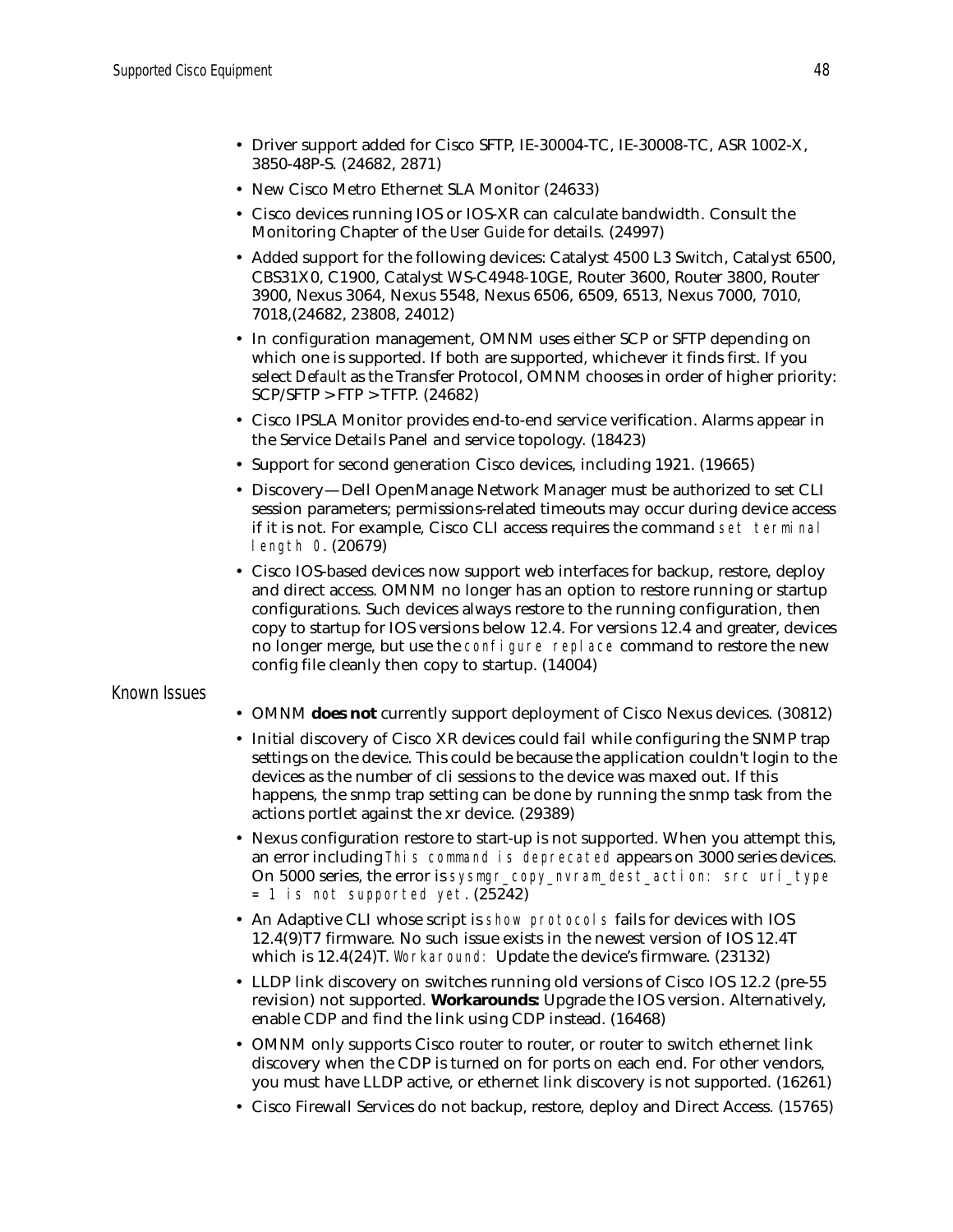- Driver support added for Cisco SFTP, IE-30004-TC, IE-30008-TC, ASR 1002-X, 3850-48P-S. (24682, 2871)
- New Cisco Metro Ethernet SLA Monitor (24633)
- Cisco devices running IOS or IOS-XR can calculate bandwidth. Consult the Monitoring Chapter of the *User Guide* for details. (24997)
- Added support for the following devices: Catalyst 4500 L3 Switch, Catalyst 6500, CBS31X0, C1900, Catalyst WS-C4948-10GE, Router 3600, Router 3800, Router 3900, Nexus 3064, Nexus 5548, Nexus 6506, 6509, 6513, Nexus 7000, 7010, 7018,(24682, 23808, 24012)
- In configuration management, OMNM uses either SCP or SFTP depending on which one is supported. If both are supported, whichever it finds first. If you select *Default* as the Transfer Protocol, OMNM chooses in order of higher priority: SCP/SFTP > FTP > TFTP. (24682)
- Cisco IPSLA Monitor provides end-to-end service verification. Alarms appear in the Service Details Panel and service topology. (18423)
- Support for second generation Cisco devices, including 1921. (19665)
- Discovery—Dell OpenManage Network Manager must be authorized to set CLI session parameters; permissions-related timeouts may occur during device access if it is not. For example, Cisco CLI access requires the command set terminal length 0. (20679)
- Cisco IOS-based devices now support web interfaces for backup, restore, deploy and direct access. OMNM no longer has an option to restore running or startup configurations. Such devices always restore to the running configuration, then copy to startup for IOS versions below 12.4. For versions 12.4 and greater, devices no longer merge, but use the configure replace command to restore the new config file cleanly then copy to startup. (14004)

### Known Issues

- OMNM **does not** currently support deployment of Cisco Nexus devices. (30812)
- Initial discovery of Cisco XR devices could fail while configuring the SNMP trap settings on the device. This could be because the application couldn't login to the devices as the number of cli sessions to the device was maxed out. If this happens, the snmp trap setting can be done by running the snmp task from the actions portlet against the xr device. (29389)
- Nexus configuration restore to start-up is not supported. When you attempt this, an error including This command is deprecated appears on 3000 series devices. On 5000 series, the error is sysmgr\_copy\_nvram\_dest\_action: src uri\_type = 1 is not supported yet. (25242)
- An Adaptive CLI whose script is show protocols fails for devices with IOS 12.4(9)T7 firmware. No such issue exists in the newest version of IOS 12.4T which is 12.4(24)T. Workaround: Update the device's firmware. (23132)
- LLDP link discovery on switches running old versions of Cisco IOS 12.2 (pre-55 revision) not supported. **Workarounds:** Upgrade the IOS version. Alternatively, enable CDP and find the link using CDP instead. (16468)
- OMNM only supports Cisco router to router, or router to switch ethernet link discovery when the CDP is turned on for ports on each end. For other vendors, you must have LLDP active, or ethernet link discovery is not supported. (16261)
- Cisco Firewall Services do not backup, restore, deploy and Direct Access. (15765)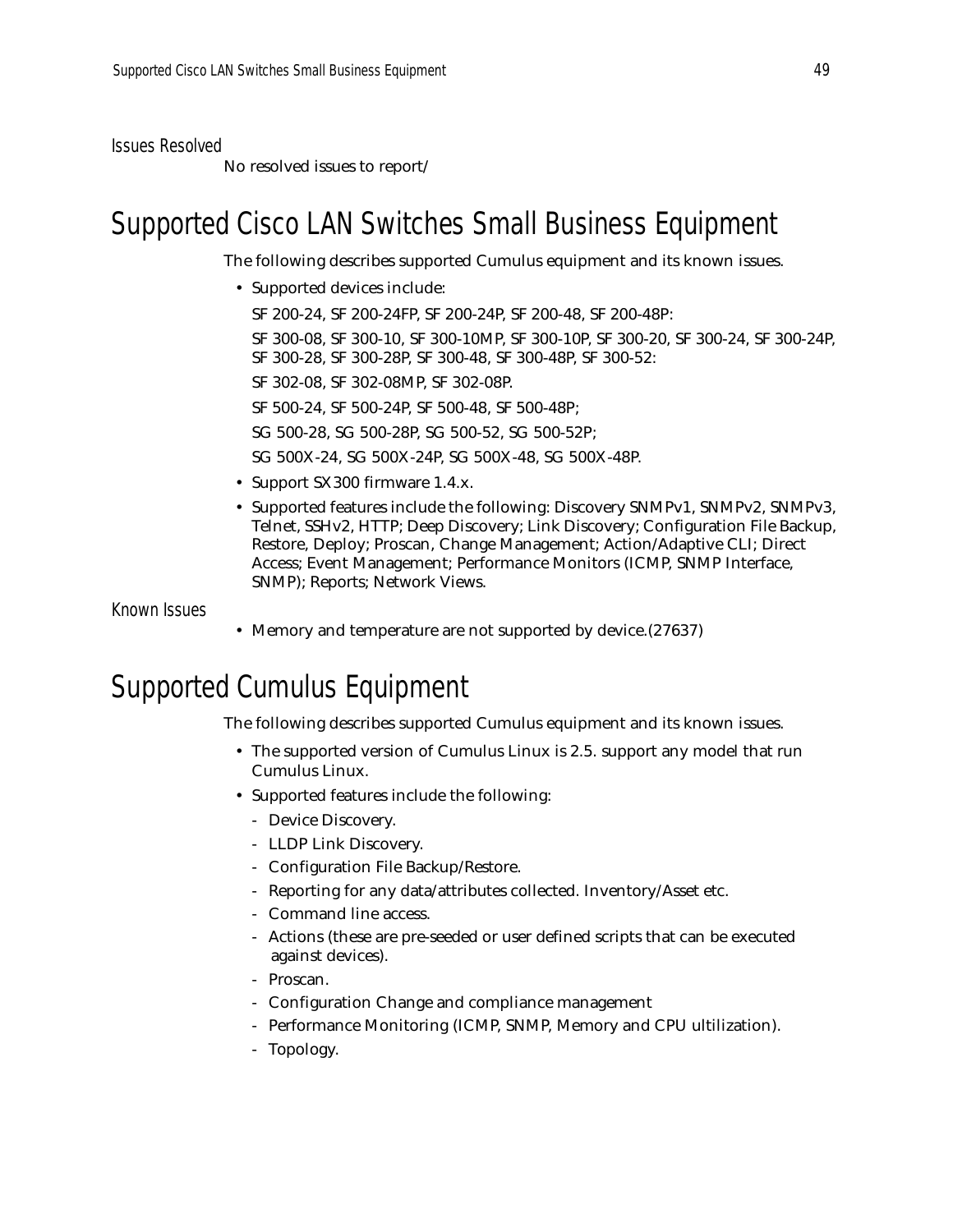Issues Resolved

No resolved issues to report/

# <span id="page-48-1"></span>Supported Cisco LAN Switches Small Business Equipment

The following describes supported Cumulus equipment and its known issues.

• Supported devices include:

SF 200-24, SF 200-24FP, SF 200-24P, SF 200-48, SF 200-48P:

SF 300-08, SF 300-10, SF 300-10MP, SF 300-10P, SF 300-20, SF 300-24, SF 300-24P, SF 300-28, SF 300-28P, SF 300-48, SF 300-48P, SF 300-52:

SF 302-08, SF 302-08MP, SF 302-08P.

SF 500-24, SF 500-24P, SF 500-48, SF 500-48P;

SG 500-28, SG 500-28P, SG 500-52, SG 500-52P;

SG 500X-24, SG 500X-24P, SG 500X-48, SG 500X-48P.

- Support SX300 firmware 1.4.x.
- Supported features include the following: Discovery SNMPv1, SNMPv2, SNMPv3, Telnet, SSHv2, HTTP; Deep Discovery; Link Discovery; Configuration File Backup, Restore, Deploy; Proscan, Change Management; Action/Adaptive CLI; Direct Access; Event Management; Performance Monitors (ICMP, SNMP Interface, SNMP); Reports; Network Views.

Known Issues

• Memory and temperature are not supported by device. (27637)

# <span id="page-48-0"></span>Supported Cumulus Equipment

The following describes supported Cumulus equipment and its known issues.

- The supported version of Cumulus Linux is 2.5. support any model that run Cumulus Linux.
- Supported features include the following:
	- Device Discovery.
	- LLDP Link Discovery.
	- Configuration File Backup/Restore.
	- Reporting for any data/attributes collected. Inventory/Asset etc.
	- Command line access.
	- Actions (these are pre-seeded or user defined scripts that can be executed against devices).
	- Proscan.
	- Configuration Change and compliance management
	- Performance Monitoring (ICMP, SNMP, Memory and CPU ultilization).
	- Topology.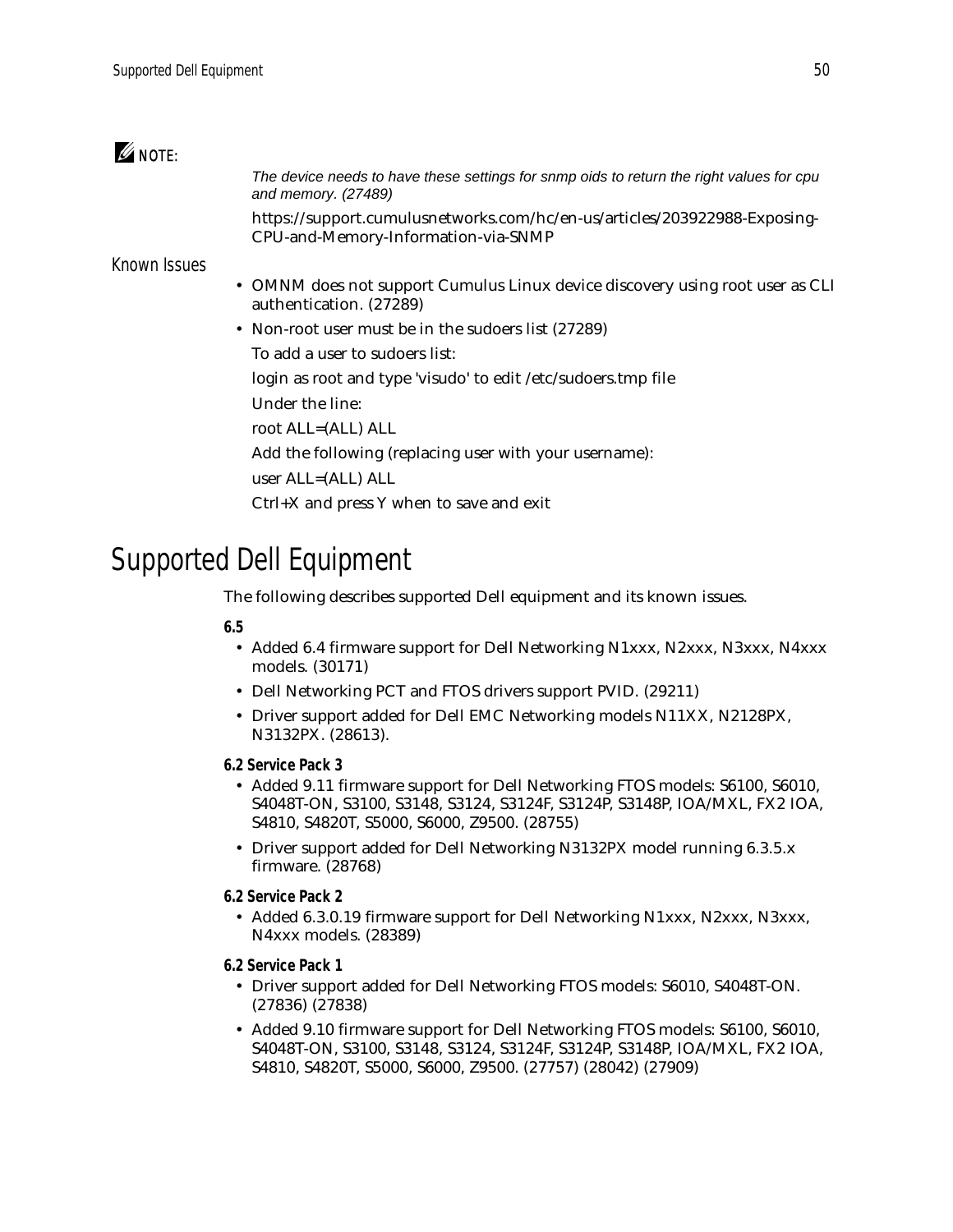### $\mathscr{Q}$  note:

*The device needs to have these settings for snmp oids to return the right values for cpu and memory. (27489)*

https://support.cumulusnetworks.com/hc/en-us/articles/203922988-Exposing-CPU-and-Memory-Information-via-SNMP

### Known Issues

- OMNM does not support Cumulus Linux device discovery using root user as CLI authentication. (27289)
- Non-root user must be in the sudoers list (27289)

To add a user to sudoers list:

login as root and type 'visudo' to edit /etc/sudoers.tmp file

- Under the line:
- root ALL=(ALL) ALL

Add the following (replacing user with your username):

user ALL=(ALL) ALL

Ctrl+X and press Y when to save and exit

# <span id="page-49-0"></span>Supported Dell Equipment

The following describes supported Dell equipment and its known issues.

### **6.5**

- Added 6.4 firmware support for Dell Networking N1xxx, N2xxx, N3xxx, N4xxx models. (30171)
- Dell Networking PCT and FTOS drivers support PVID. (29211)
- Driver support added for Dell EMC Networking models N11XX, N2128PX, N3132PX. (28613).
- **6.2 Service Pack 3**
	- Added 9.11 firmware support for Dell Networking FTOS models: S6100, S6010, S4048T-ON, S3100, S3148, S3124, S3124F, S3124P, S3148P, IOA/MXL, FX2 IOA, S4810, S4820T, S5000, S6000, Z9500. (28755)
	- Driver support added for Dell Networking N3132PX model running 6.3.5.x firmware. (28768)
- **6.2 Service Pack 2**
	- Added 6.3.0.19 firmware support for Dell Networking N1xxx, N2xxx, N3xxx, N4xxx models. (28389)
- **6.2 Service Pack 1**
	- Driver support added for Dell Networking FTOS models: S6010, S4048T-ON. (27836) (27838)
	- Added 9.10 firmware support for Dell Networking FTOS models: S6100, S6010, S4048T-ON, S3100, S3148, S3124, S3124F, S3124P, S3148P, IOA/MXL, FX2 IOA, S4810, S4820T, S5000, S6000, Z9500. (27757) (28042) (27909)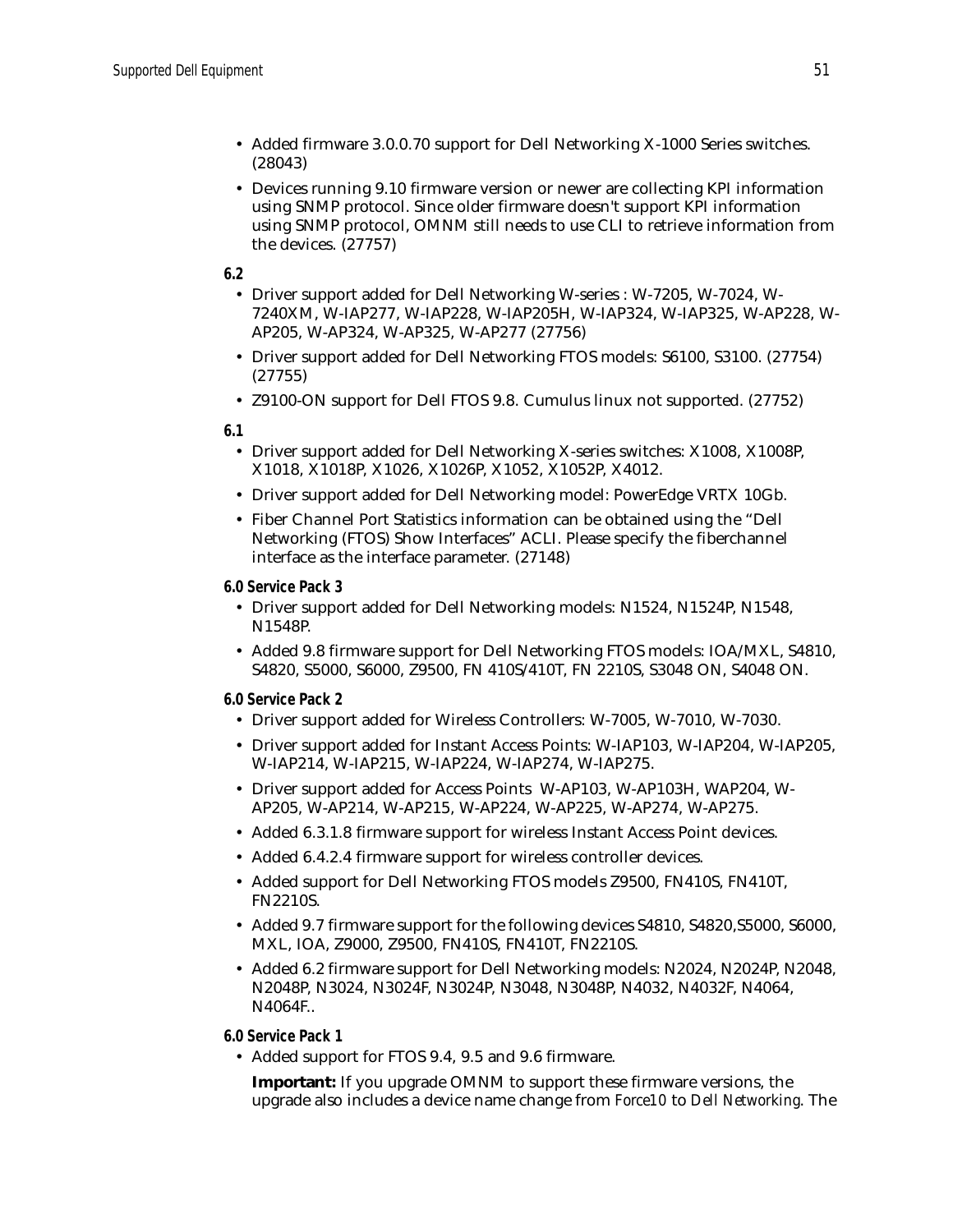- Added firmware 3.0.0.70 support for Dell Networking X-1000 Series switches. (28043)
- Devices running 9.10 firmware version or newer are collecting KPI information using SNMP protocol. Since older firmware doesn't support KPI information using SNMP protocol, OMNM still needs to use CLI to retrieve information from the devices. (27757)

**6.2**

- Driver support added for Dell Networking W-series : W-7205, W-7024, W-7240XM, W-IAP277, W-IAP228, W-IAP205H, W-IAP324, W-IAP325, W-AP228, W-AP205, W-AP324, W-AP325, W-AP277 (27756)
- Driver support added for Dell Networking FTOS models: S6100, S3100. (27754) (27755)
- Z9100-ON support for Dell FTOS 9.8. Cumulus linux not supported. (27752)

**6.1**

- Driver support added for Dell Networking X-series switches: X1008, X1008P, X1018, X1018P, X1026, X1026P, X1052, X1052P, X4012.
- Driver support added for Dell Networking model: PowerEdge VRTX 10Gb.
- Fiber Channel Port Statistics information can be obtained using the "Dell Networking (FTOS) Show Interfaces" ACLI. Please specify the fiberchannel interface as the interface parameter. (27148)

**6.0 Service Pack 3**

- Driver support added for Dell Networking models: N1524, N1524P, N1548, N1548P.
- Added 9.8 firmware support for Dell Networking FTOS models: IOA/MXL, S4810, S4820, S5000, S6000, Z9500, FN 410S/410T, FN 2210S, S3048 ON, S4048 ON.
- **6.0 Service Pack 2**
	- Driver support added for Wireless Controllers: W-7005, W-7010, W-7030.
	- Driver support added for Instant Access Points: W-IAP103, W-IAP204, W-IAP205, W-IAP214, W-IAP215, W-IAP224, W-IAP274, W-IAP275.
	- Driver support added for Access Points W-AP103, W-AP103H, WAP204, W-AP205, W-AP214, W-AP215, W-AP224, W-AP225, W-AP274, W-AP275.
	- Added 6.3.1.8 firmware support for wireless Instant Access Point devices.
	- Added 6.4.2.4 firmware support for wireless controller devices.
	- Added support for Dell Networking FTOS models Z9500, FN410S, FN410T, FN2210S.
	- Added 9.7 firmware support for the following devices S4810, S4820,S5000, S6000, MXL, IOA, Z9000, Z9500, FN410S, FN410T, FN2210S.
	- Added 6.2 firmware support for Dell Networking models: N2024, N2024P, N2048, N2048P, N3024, N3024F, N3024P, N3048, N3048P, N4032, N4032F, N4064, N4064F..
- **6.0 Service Pack 1**
	- Added support for FTOS 9.4, 9.5 and 9.6 firmware.

**Important:** If you upgrade OMNM to support these firmware versions, the upgrade also includes a device name change from *Force10* to *Dell Networking*. The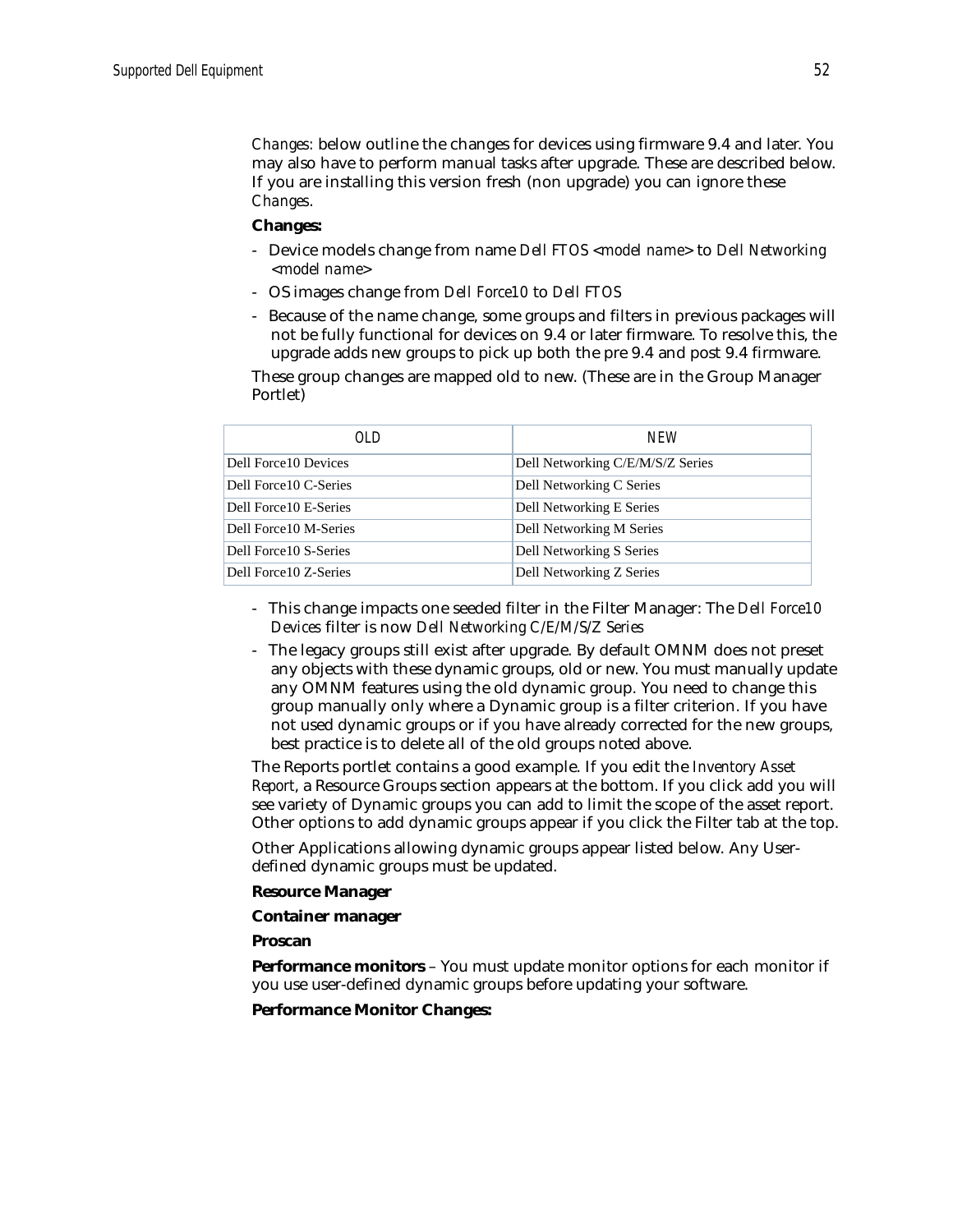*Changes:* below outline the changes for devices using firmware 9.4 and later. You may also have to perform manual tasks after upgrade. These are described below. If you are installing this version fresh (non upgrade) you can ignore these *Changes*.

#### **Changes:**

- Device models change from name *Dell FTOS <model name>* to *Dell Networking <model name>*
- OS images change from *Dell Force10* to *Dell FTOS*
- Because of the name change, some groups and filters in previous packages will not be fully functional for devices on 9.4 or later firmware. To resolve this, the upgrade adds new groups to pick up both the pre 9.4 and post 9.4 firmware.

These group changes are mapped old to new. (These are in the Group Manager Portlet)

| OL D                   | <b>NFW</b>                       |
|------------------------|----------------------------------|
| Dell Force10 Devices   | Dell Networking C/E/M/S/Z Series |
| Dell Force 10 C-Series | Dell Networking C Series         |
| Dell Force 10 E-Series | Dell Networking E Series         |
| Dell Force10 M-Series  | Dell Networking M Series         |
| Dell Force10 S-Series  | Dell Networking S Series         |
| Dell Force 10 Z-Series | Dell Networking Z Series         |

- This change impacts one seeded filter in the Filter Manager: The *Dell Force10 Devices* filter is now *Dell Networking C/E/M/S/Z Series*
- The legacy groups still exist after upgrade. By default OMNM does not preset any objects with these dynamic groups, old or new. You must manually update any OMNM features using the old dynamic group. You need to change this group manually only where a Dynamic group is a filter criterion. If you have not used dynamic groups or if you have already corrected for the new groups, best practice is to delete all of the old groups noted above.

The Reports portlet contains a good example. If you edit the *Inventory Asset Report*, a Resource Groups section appears at the bottom. If you click add you will see variety of Dynamic groups you can add to limit the scope of the asset report. Other options to add dynamic groups appear if you click the Filter tab at the top.

Other Applications allowing dynamic groups appear listed below. Any Userdefined dynamic groups must be updated.

#### **Resource Manager**

**Container manager**

**Proscan**

**Performance monitors** – You must update monitor options for each monitor if you use user-defined dynamic groups before updating your software.

**Performance Monitor Changes:**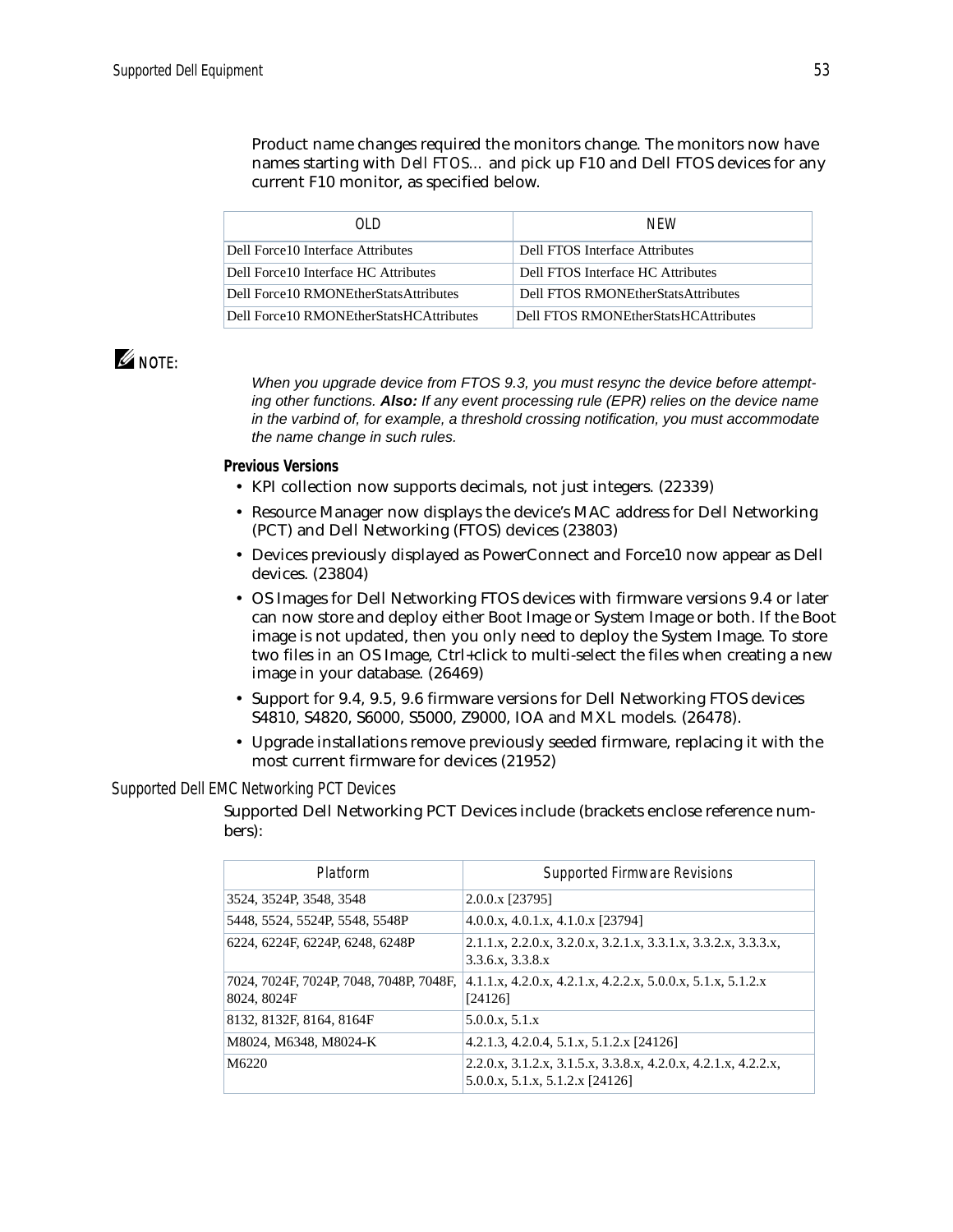Product name changes required the monitors change. The monitors now have names starting with *Dell FTOS…* and pick up F10 and Dell FTOS devices for any current F10 monitor, as specified below.

| ח וח                                      | <b>NFW</b>                           |
|-------------------------------------------|--------------------------------------|
| Dell Force 10 Interface Attributes        | Dell FTOS Interface Attributes       |
| Dell Force 10 Interface HC Attributes     | Dell FTOS Interface HC Attributes    |
| Dell Force 10 RMONE ther Stats Attributes | Dell FTOS RMONEtherStatsAttributes   |
| Dell Force10 RMONEtherStatsHCAttributes   | Dell FTOS RMONEtherStatsHCAttributes |

### $\mathscr{Q}$  note:

*When you upgrade device from FTOS 9.3, you must resync the device before attempting other functions. Also: If any event processing rule (EPR) relies on the device name in the varbind of, for example, a threshold crossing notification, you must accommodate the name change in such rules.*

### **Previous Versions**

- KPI collection now supports decimals, not just integers. (22339)
- Resource Manager now displays the device's MAC address for Dell Networking (PCT) and Dell Networking (FTOS) devices (23803)
- Devices previously displayed as PowerConnect and Force10 now appear as Dell devices. (23804)
- OS Images for Dell Networking FTOS devices with firmware versions 9.4 or later can now store and deploy either Boot Image or System Image or both. If the Boot image is not updated, then you only need to deploy the System Image. To store two files in an OS Image, Ctrl+click to multi-select the files when creating a new image in your database. (26469)
- Support for 9.4, 9.5, 9.6 firmware versions for Dell Networking FTOS devices S4810, S4820, S6000, S5000, Z9000, IOA and MXL models. (26478).
- Upgrade installations remove previously seeded firmware, replacing it with the most current firmware for devices (21952)

### *Supported Dell EMC Networking PCT Devices*

Supported Dell Networking PCT Devices include (brackets enclose reference numbers):

| Platform                                               | <b>Supported Firmware Revisions</b>                                                               |
|--------------------------------------------------------|---------------------------------------------------------------------------------------------------|
| 3524, 3524P, 3548, 3548                                | 2.0.0.x [23795]                                                                                   |
| 5448, 5524, 5524P, 5548, 5548P                         | 4.0.0.x, 4.0.1.x, 4.1.0.x [23794]                                                                 |
| 6224, 6224F, 6224P, 6248, 6248P                        | 2.1.1.x, 2.2.0.x, 3.2.0.x, 3.2.1.x, 3.3.1.x, 3.3.2.x, 3.3.3.x,<br>3.3.6.x, 3.3.8.x                |
| 7024, 7024F, 7024P, 7048, 7048P, 7048F,<br>8024, 8024F | $4.1.1.x$ , $4.2.0.x$ , $4.2.1.x$ , $4.2.2.x$ , $5.0.0.x$ , $5.1.x$ , $5.1.2.x$<br>[24126]        |
| 8132, 8132F, 8164, 8164F                               | 5.0.0.x, 5.1.x                                                                                    |
| M8024, M6348, M8024-K                                  | 4.2.1.3, 4.2.0.4, 5.1.x, 5.1.2.x [24126]                                                          |
| M6220                                                  | 2.2.0.x, 3.1.2.x, 3.1.5.x, 3.3.8.x, 4.2.0.x, 4.2.1.x, 4.2.2.x,<br>5.0.0.x, 5.1.x, 5.1.2.x [24126] |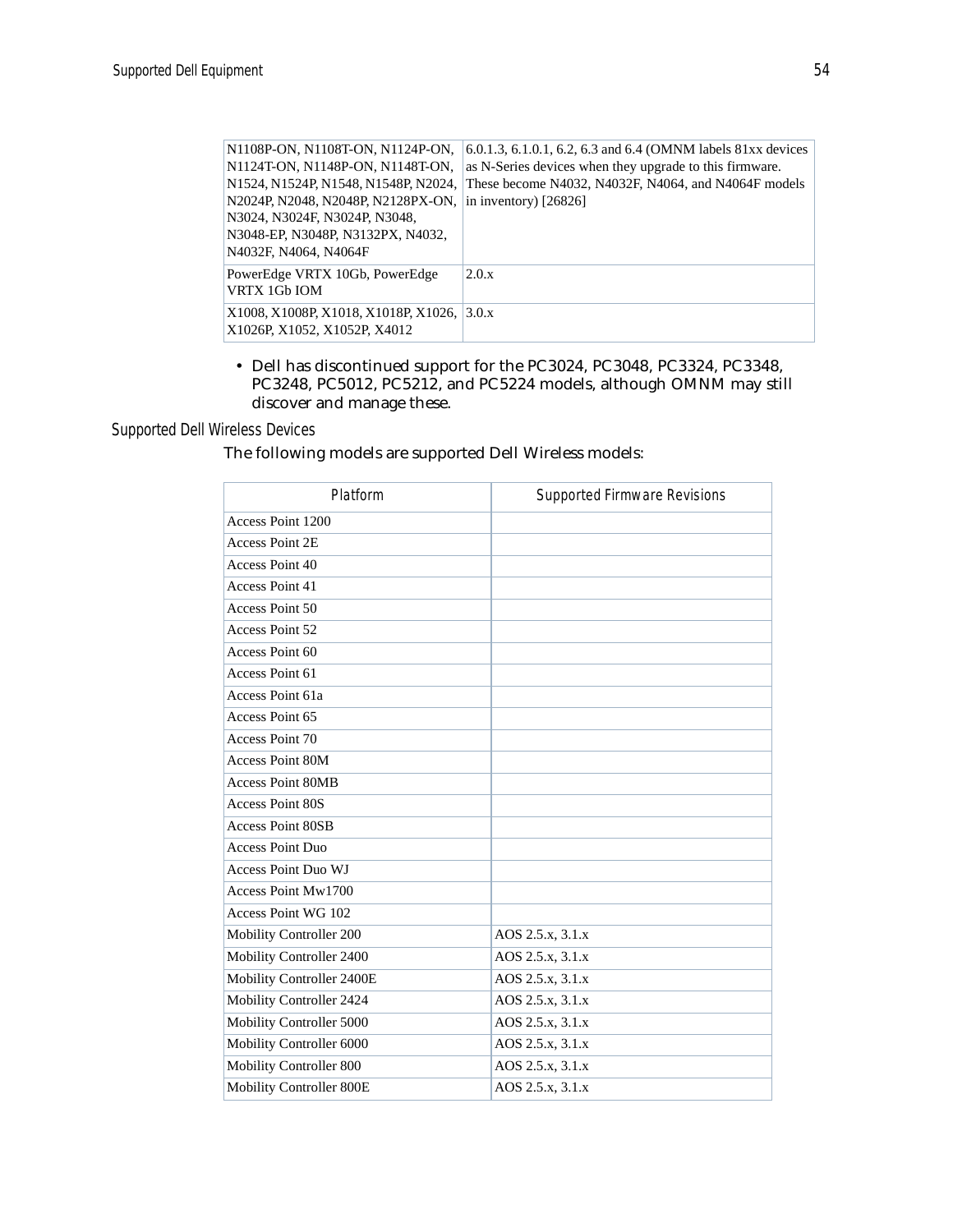| N1108P-ON, N1108T-ON, N1124P-ON,           | 6.0.1.3, 6.1.0.1, 6.2, 6.3 and 6.4 (OMNM labels 81xx devices |
|--------------------------------------------|--------------------------------------------------------------|
| N1124T-ON, N1148P-ON, N1148T-ON,           | as N-Series devices when they upgrade to this firmware.      |
| N1524, N1524P, N1548, N1548P, N2024,       | These become N4032, N4032F, N4064, and N4064F models         |
| N2024P, N2048, N2048P, N2128PX-ON,         | in inventory) $[26826]$                                      |
| N3024, N3024F, N3024P, N3048,              |                                                              |
| N3048-EP, N3048P, N3132PX, N4032,          |                                                              |
| N4032F, N4064, N4064F                      |                                                              |
| PowerEdge VRTX 10Gb, PowerEdge             | 2.0.x                                                        |
| VRTX 1Gb IOM                               |                                                              |
| X1008, X1008P, X1018, X1018P, X1026, 3.0.x |                                                              |
| X1026P, X1052, X1052P, X4012               |                                                              |
|                                            |                                                              |

• Dell has discontinued support for the PC3024, PC3048, PC3324, PC3348, PC3248, PC5012, PC5212, and PC5224 models, although OMNM may still discover and manage these.

### *Supported Dell Wireless Devices*

The following models are supported Dell Wireless models:

| Platform                   | <b>Supported Firmware Revisions</b> |
|----------------------------|-------------------------------------|
| Access Point 1200          |                                     |
| <b>Access Point 2E</b>     |                                     |
| Access Point 40            |                                     |
| Access Point 41            |                                     |
| Access Point 50            |                                     |
| Access Point 52            |                                     |
| Access Point 60            |                                     |
| Access Point 61            |                                     |
| Access Point 61a           |                                     |
| Access Point 65            |                                     |
| Access Point 70            |                                     |
| <b>Access Point 80M</b>    |                                     |
| <b>Access Point 80MB</b>   |                                     |
| <b>Access Point 80S</b>    |                                     |
| <b>Access Point 80SB</b>   |                                     |
| <b>Access Point Duo</b>    |                                     |
| <b>Access Point Duo WJ</b> |                                     |
| Access Point Mw1700        |                                     |
| Access Point WG 102        |                                     |
| Mobility Controller 200    | AOS 2.5.x, 3.1.x                    |
| Mobility Controller 2400   | AOS 2.5.x, 3.1.x                    |
| Mobility Controller 2400E  | AOS 2.5.x, 3.1.x                    |
| Mobility Controller 2424   | AOS 2.5.x, 3.1.x                    |
| Mobility Controller 5000   | AOS 2.5.x, 3.1.x                    |
| Mobility Controller 6000   | AOS 2.5.x, 3.1.x                    |
| Mobility Controller 800    | AOS 2.5.x, 3.1.x                    |
| Mobility Controller 800E   | AOS 2.5.x, 3.1.x                    |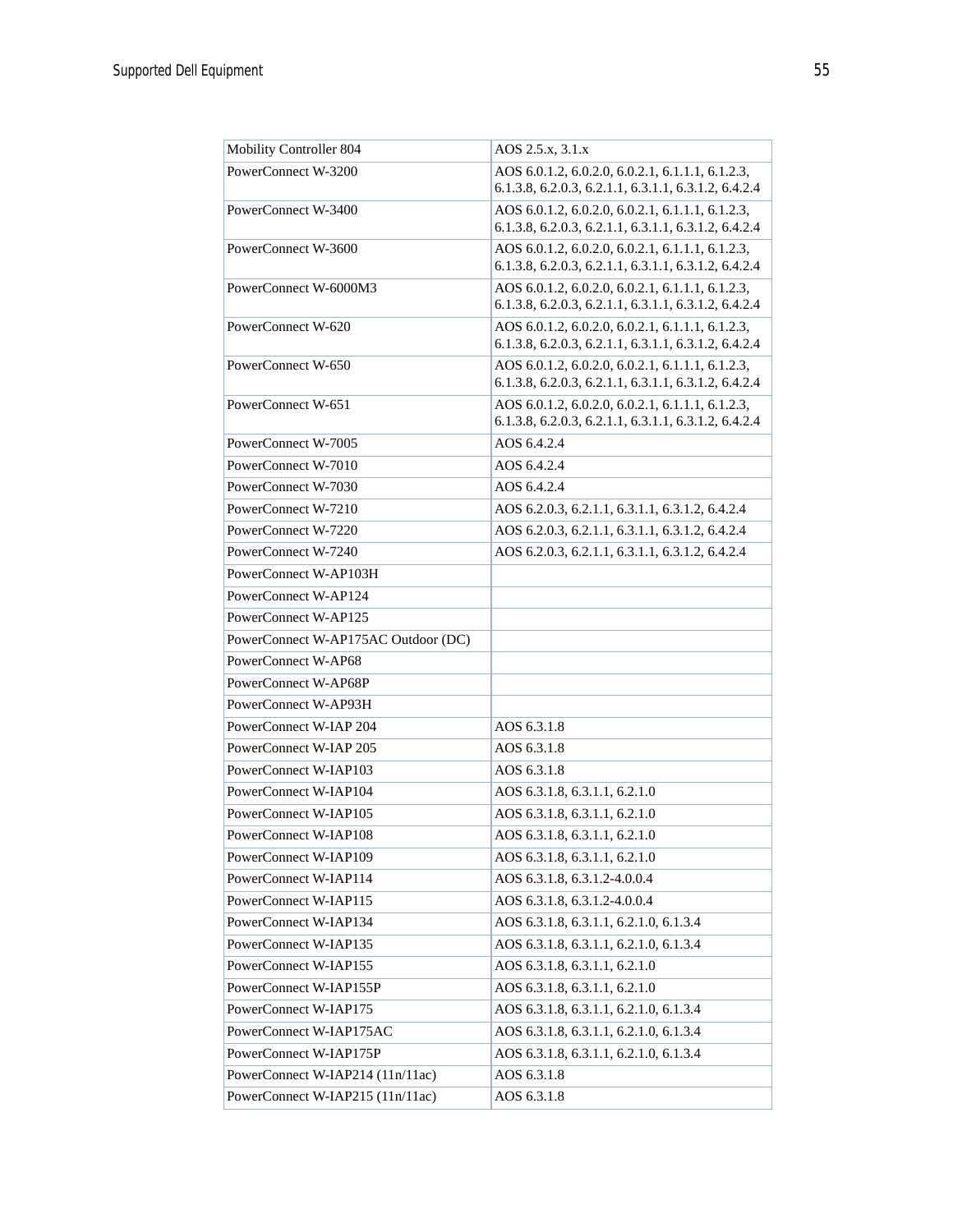| Mobility Controller 804                      | AOS 2.5.x, 3.1.x                                                                                         |
|----------------------------------------------|----------------------------------------------------------------------------------------------------------|
| PowerConnect W-3200                          | AOS 6.0.1.2, 6.0.2.0, 6.0.2.1, 6.1.1.1, 6.1.2.3,                                                         |
|                                              | 6.1.3.8, 6.2.0.3, 6.2.1.1, 6.3.1.1, 6.3.1.2, 6.4.2.4                                                     |
| PowerConnect W-3400                          | AOS 6.0.1.2, 6.0.2.0, 6.0.2.1, 6.1.1.1, 6.1.2.3,                                                         |
|                                              | 6.1.3.8, 6.2.0.3, 6.2.1.1, 6.3.1.1, 6.3.1.2, 6.4.2.4                                                     |
| PowerConnect W-3600                          | AOS 6.0.1.2, 6.0.2.0, 6.0.2.1, 6.1.1.1, 6.1.2.3,<br>6.1.3.8, 6.2.0.3, 6.2.1.1, 6.3.1.1, 6.3.1.2, 6.4.2.4 |
| PowerConnect W-6000M3                        | AOS 6.0.1.2, 6.0.2.0, 6.0.2.1, 6.1.1.1, 6.1.2.3,                                                         |
|                                              | 6.1.3.8, 6.2.0.3, 6.2.1.1, 6.3.1.1, 6.3.1.2, 6.4.2.4                                                     |
| PowerConnect W-620                           | AOS 6.0.1.2, 6.0.2.0, 6.0.2.1, 6.1.1.1, 6.1.2.3,                                                         |
|                                              | 6.1.3.8, 6.2.0.3, 6.2.1.1, 6.3.1.1, 6.3.1.2, 6.4.2.4                                                     |
| PowerConnect W-650                           | AOS 6.0.1.2, 6.0.2.0, 6.0.2.1, 6.1.1.1, 6.1.2.3,                                                         |
|                                              | 6.1.3.8, 6.2.0.3, 6.2.1.1, 6.3.1.1, 6.3.1.2, 6.4.2.4                                                     |
| PowerConnect W-651                           | AOS 6.0.1.2, 6.0.2.0, 6.0.2.1, 6.1.1.1, 6.1.2.3,                                                         |
| PowerConnect W-7005                          | 6.1.3.8, 6.2.0.3, 6.2.1.1, 6.3.1.1, 6.3.1.2, 6.4.2.4<br>AOS 6.4.2.4                                      |
| PowerConnect W-7010                          | AOS 6.4.2.4                                                                                              |
| PowerConnect W-7030                          | AOS 6.4.2.4                                                                                              |
| PowerConnect W-7210                          |                                                                                                          |
| PowerConnect W-7220                          | AOS 6.2.0.3, 6.2.1.1, 6.3.1.1, 6.3.1.2, 6.4.2.4<br>AOS 6.2.0.3, 6.2.1.1, 6.3.1.1, 6.3.1.2, 6.4.2.4       |
|                                              |                                                                                                          |
| PowerConnect W-7240<br>PowerConnect W-AP103H | AOS 6.2.0.3, 6.2.1.1, 6.3.1.1, 6.3.1.2, 6.4.2.4                                                          |
|                                              |                                                                                                          |
| PowerConnect W-AP124                         |                                                                                                          |
| PowerConnect W-AP125                         |                                                                                                          |
| PowerConnect W-AP175AC Outdoor (DC)          |                                                                                                          |
| PowerConnect W-AP68                          |                                                                                                          |
| PowerConnect W-AP68P                         |                                                                                                          |
| PowerConnect W-AP93H                         |                                                                                                          |
| PowerConnect W-IAP 204                       | AOS 6.3.1.8                                                                                              |
| PowerConnect W-IAP 205                       | AOS 6.3.1.8                                                                                              |
| PowerConnect W-IAP103                        | AOS 6.3.1.8                                                                                              |
| PowerConnect W-IAP104                        | AOS 6.3.1.8, 6.3.1.1, 6.2.1.0                                                                            |
| PowerConnect W-IAP105                        | AOS 6.3.1.8, 6.3.1.1, 6.2.1.0                                                                            |
| PowerConnect W-IAP108                        | AOS 6.3.1.8, 6.3.1.1, 6.2.1.0                                                                            |
| PowerConnect W-IAP109                        | AOS 6.3.1.8, 6.3.1.1, 6.2.1.0                                                                            |
| PowerConnect W-IAP114                        | AOS 6.3.1.8, 6.3.1.2-4.0.0.4                                                                             |
| PowerConnect W-IAP115                        | AOS 6.3.1.8, 6.3.1.2-4.0.0.4                                                                             |
| PowerConnect W-IAP134                        | AOS 6.3.1.8, 6.3.1.1, 6.2.1.0, 6.1.3.4                                                                   |
| PowerConnect W-IAP135                        | AOS 6.3.1.8, 6.3.1.1, 6.2.1.0, 6.1.3.4                                                                   |
| PowerConnect W-IAP155                        | AOS 6.3.1.8, 6.3.1.1, 6.2.1.0                                                                            |
| PowerConnect W-IAP155P                       | AOS 6.3.1.8, 6.3.1.1, 6.2.1.0                                                                            |
| PowerConnect W-IAP175                        | AOS 6.3.1.8, 6.3.1.1, 6.2.1.0, 6.1.3.4                                                                   |
| PowerConnect W-IAP175AC                      | AOS 6.3.1.8, 6.3.1.1, 6.2.1.0, 6.1.3.4                                                                   |
| PowerConnect W-IAP175P                       | AOS 6.3.1.8, 6.3.1.1, 6.2.1.0, 6.1.3.4                                                                   |
| PowerConnect W-IAP214 (11n/11ac)             | AOS 6.3.1.8                                                                                              |
| PowerConnect W-IAP215 (11n/11ac)             | AOS 6.3.1.8                                                                                              |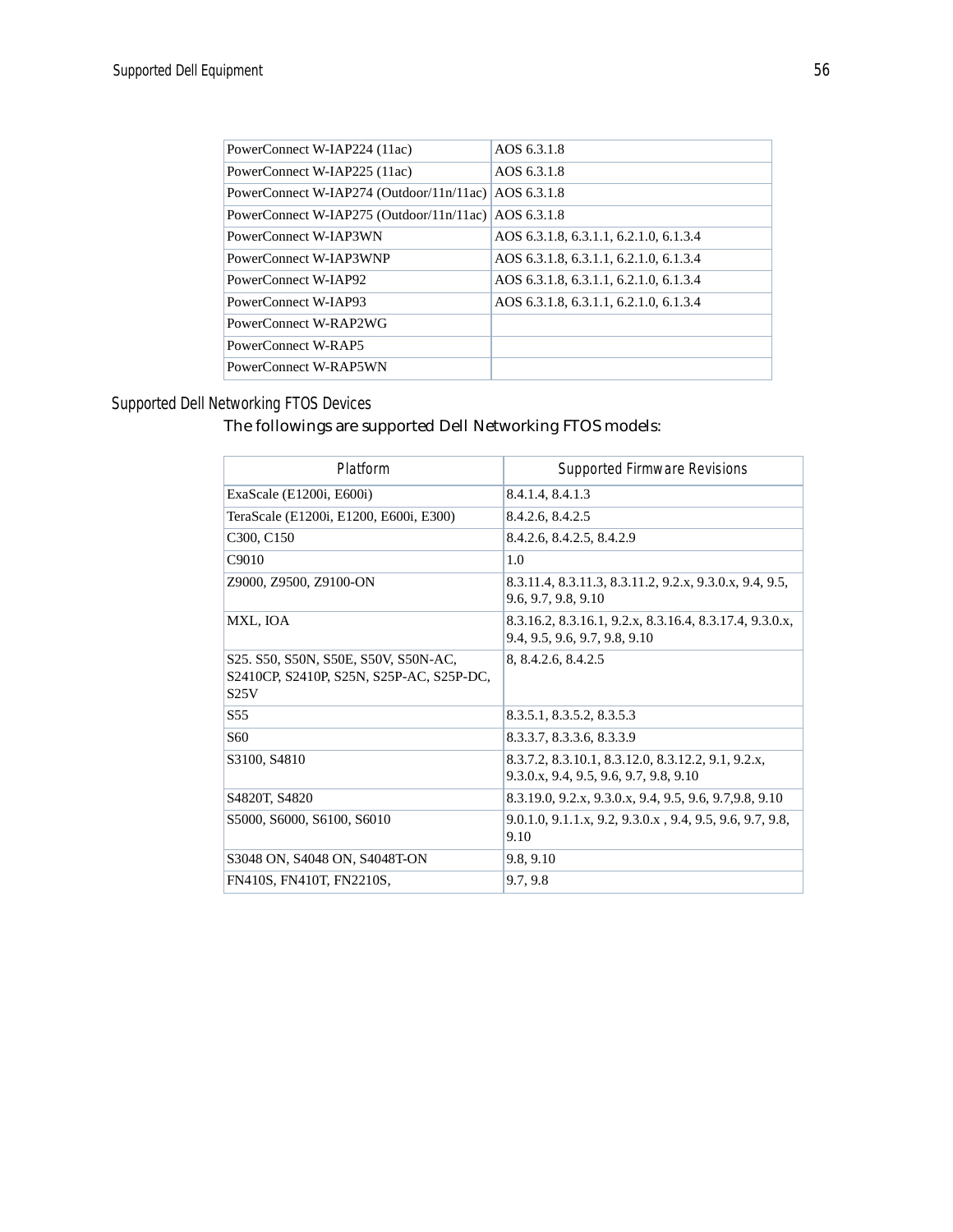| PowerConnect W-IAP224 (11ac)                         | AOS 6.3.1.8                            |
|------------------------------------------------------|----------------------------------------|
| PowerConnect W-IAP225 (11ac)                         | AOS 6.3.1.8                            |
| PowerConnect W-IAP274 (Outdoor/11n/11ac)             | AOS 6.3.1.8                            |
| PowerConnect W-IAP275 (Outdoor/11n/11ac) AOS 6.3.1.8 |                                        |
| PowerConnect W-IAP3WN                                | AOS 6.3.1.8, 6.3.1.1, 6.2.1.0, 6.1.3.4 |
| PowerConnect W-IAP3WNP                               | AOS 6.3.1.8, 6.3.1.1, 6.2.1.0, 6.1.3.4 |
| PowerConnect W-IAP92                                 | AOS 6.3.1.8, 6.3.1.1, 6.2.1.0, 6.1.3.4 |
| PowerConnect W-IAP93                                 | AOS 6.3.1.8, 6.3.1.1, 6.2.1.0, 6.1.3.4 |
| PowerConnect W-RAP2WG                                |                                        |
| PowerConnect W-RAP5                                  |                                        |
| PowerConnect W-RAP5WN                                |                                        |
|                                                      |                                        |

### *Supported Dell Networking FTOS Devices*

### The followings are supported Dell Networking FTOS models:

| Platform                                                                                 | Supported Firmware Revisions                                                                 |
|------------------------------------------------------------------------------------------|----------------------------------------------------------------------------------------------|
| ExaScale (E1200i, E600i)                                                                 | 8.4.1.4, 8.4.1.3                                                                             |
| TeraScale (E1200i, E1200, E600i, E300)                                                   | 8.4.2.6, 8.4.2.5                                                                             |
| C <sub>3</sub> 00, C <sub>150</sub>                                                      | 8.4.2.6, 8.4.2.5, 8.4.2.9                                                                    |
| C9010                                                                                    | 1.0                                                                                          |
| Z9000, Z9500, Z9100-ON                                                                   | 8.3.11.4, 8.3.11.3, 8.3.11.2, 9.2.x, 9.3.0.x, 9.4, 9.5,<br>9.6, 9.7, 9.8, 9.10               |
| MXL, IOA                                                                                 | 8.3.16.2, 8.3.16.1, 9.2.x, 8.3.16.4, 8.3.17.4, 9.3.0.x,<br>9.4, 9.5, 9.6, 9.7, 9.8, 9.10     |
| S25. S50, S50N, S50E, S50V, S50N-AC,<br>S2410CP, S2410P, S25N, S25P-AC, S25P-DC,<br>S25V | 8, 8.4.2.6, 8.4.2.5                                                                          |
| S <sub>55</sub>                                                                          | 8.3.5.1, 8.3.5.2, 8.3.5.3                                                                    |
| S <sub>60</sub>                                                                          | 8.3.3.7, 8.3.3.6, 8.3.3.9                                                                    |
| S3100, S4810                                                                             | 8.3.7.2, 8.3.10.1, 8.3.12.0, 8.3.12.2, 9.1, 9.2.x,<br>9.3.0.x, 9.4, 9.5, 9.6, 9.7, 9.8, 9.10 |
| S4820T, S4820                                                                            | 8.3.19.0, 9.2.x, 9.3.0.x, 9.4, 9.5, 9.6, 9.7, 9.8, 9.10                                      |
| S5000, S6000, S6100, S6010                                                               | 9.0.1.0, 9.1.1.x, 9.2, 9.3.0.x, 9.4, 9.5, 9.6, 9.7, 9.8,<br>9.10                             |
| S3048 ON, S4048 ON, S4048T-ON                                                            | 9.8, 9.10                                                                                    |
| FN410S, FN410T, FN2210S,                                                                 | 9.7, 9.8                                                                                     |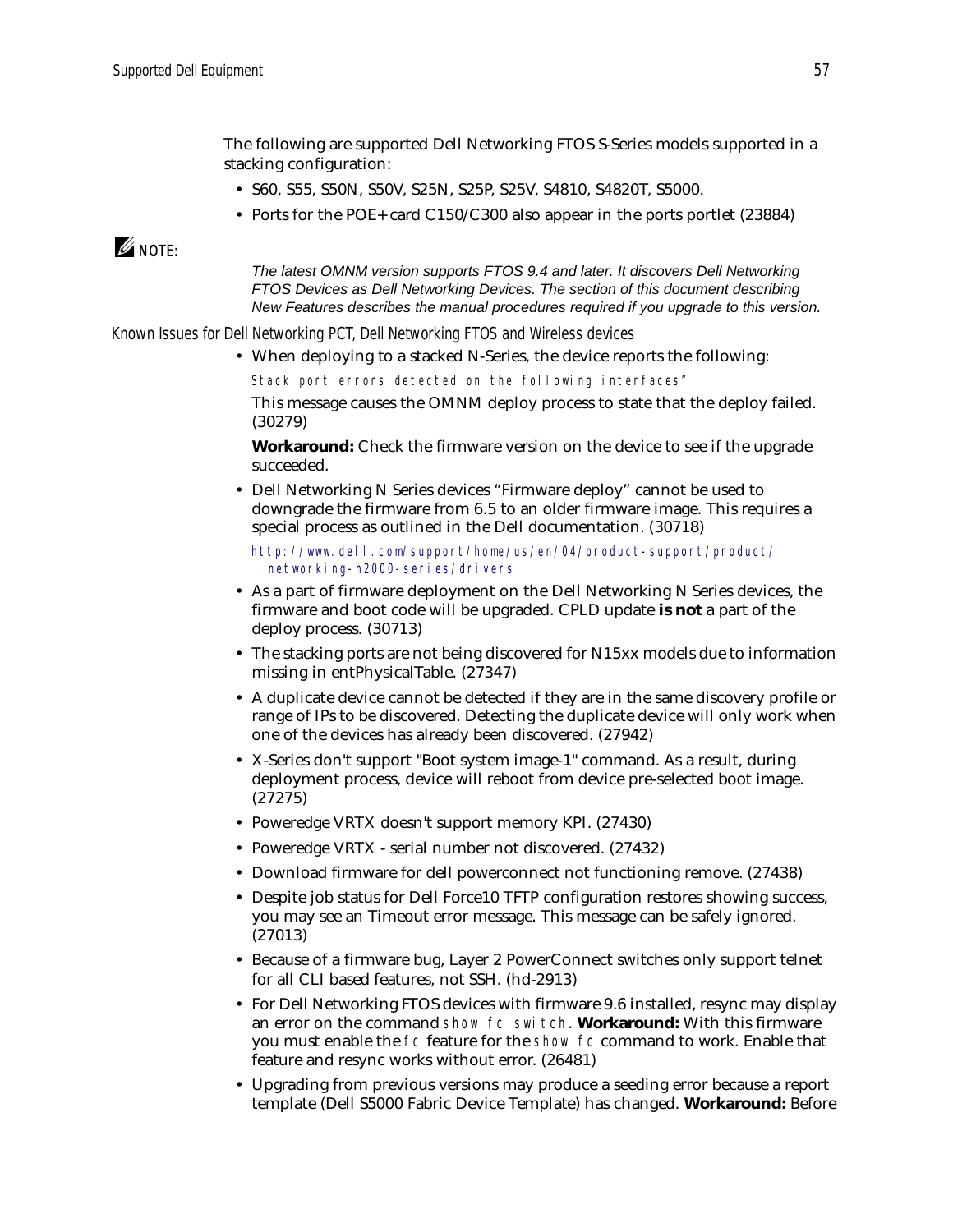The following are supported Dell Networking FTOS S-Series models supported in a stacking configuration:

- S60, S55, S50N, S50V, S25N, S25P, S25V, S4810, S4820T, S5000.
- Ports for the POE+ card C150/C300 also appear in the ports portlet (23884)

### $\mathscr{Q}$  note:

*The latest OMNM version supports FTOS 9.4 and later. It discovers Dell Networking FTOS Devices as Dell Networking Devices. The section of this document describing New Features describes the manual procedures required if you upgrade to this version.*

*Known Issues for Dell Networking PCT, Dell Networking FTOS and Wireless devices*

• When deploying to a stacked N-Series, the device reports the following:

Stack port errors detected on the following interfaces" This message causes the OMNM deploy process to state that the deploy failed. (30279)

**Workaround:** Check the firmware version on the device to see if the upgrade succeeded.

• Dell Networking N Series devices "Firmware deploy" cannot be used to downgrade the firmware from 6.5 to an older firmware image. This requires a special process as outlined in the Dell documentation. (30718)

[http://www.dell.com/support/home/us/en/04/product-support/product/](http://www.dell.com/support/home/us/en/04/product-support/product/networking-n2000-series/drivers) networking-n2000-series/drivers

- As a part of firmware deployment on the Dell Networking N Series devices, the firmware and boot code will be upgraded. CPLD update **is not** a part of the deploy process. (30713)
- The stacking ports are not being discovered for N15xx models due to information missing in entPhysicalTable. (27347)
- A duplicate device cannot be detected if they are in the same discovery profile or range of IPs to be discovered. Detecting the duplicate device will only work when one of the devices has already been discovered. (27942)
- X-Series don't support "Boot system image-1" command. As a result, during deployment process, device will reboot from device pre-selected boot image. (27275)
- Poweredge VRTX doesn't support memory KPI. (27430)
- Poweredge VRTX serial number not discovered.  $(27432)$
- Download firmware for dell powerconnect not functioning remove. (27438)
- Despite job status for Dell Force10 TFTP configuration restores showing success, you may see an Timeout error message. This message can be safely ignored. (27013)
- Because of a firmware bug, Layer 2 PowerConnect switches only support telnet for all CLI based features, not SSH. (hd-2913)
- For Dell Networking FTOS devices with firmware 9.6 installed, resync may display an error on the command show fc switch. **Workaround:** With this firmware you must enable the fc feature for the show fc command to work. Enable that feature and resync works without error. (26481)
- Upgrading from previous versions may produce a seeding error because a report template (Dell S5000 Fabric Device Template) has changed. **Workaround:** Before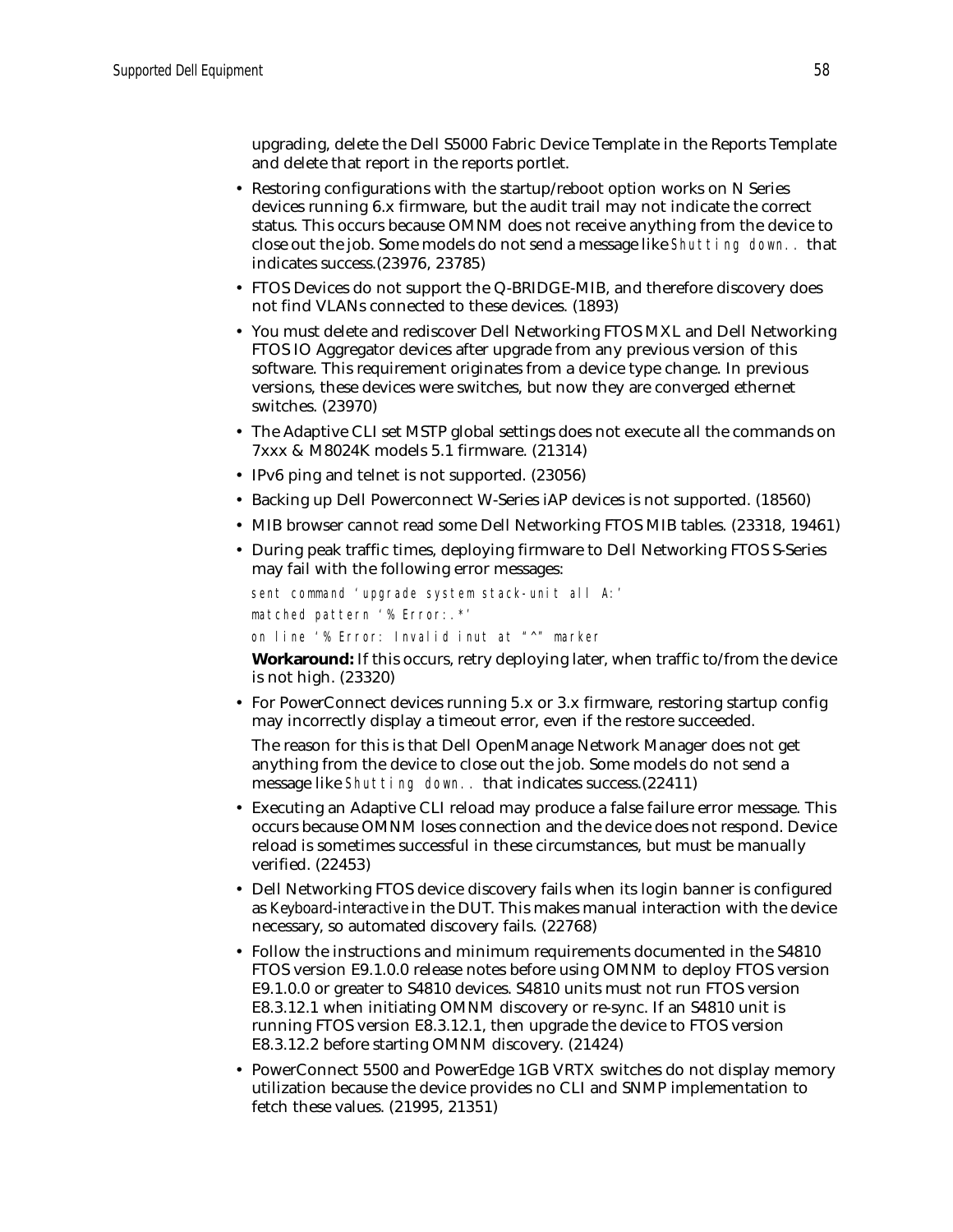upgrading, delete the Dell S5000 Fabric Device Template in the Reports Template and delete that report in the reports portlet.

- Restoring configurations with the startup/reboot option works on N Series devices running 6.x firmware, but the audit trail may not indicate the correct status. This occurs because OMNM does not receive anything from the device to close out the job. Some models do not send a message like Shutting down.. that indicates success.(23976, 23785)
- FTOS Devices do not support the Q-BRIDGE-MIB, and therefore discovery does not find VLANs connected to these devices. (1893)
- You must delete and rediscover Dell Networking FTOS MXL and Dell Networking FTOS IO Aggregator devices after upgrade from any previous version of this software. This requirement originates from a device type change. In previous versions, these devices were switches, but now they are converged ethernet switches. (23970)
- The Adaptive CLI set MSTP global settings does not execute all the commands on 7xxx & M8024K models 5.1 firmware. (21314)
- IPv6 ping and telnet is not supported. (23056)
- Backing up Dell Powerconnect W-Series iAP devices is not supported. (18560)
- MIB browser cannot read some Dell Networking FTOS MIB tables. (23318, 19461)
- During peak traffic times, deploying firmware to Dell Networking FTOS S-Series may fail with the following error messages:

```
sent command 'upgrade system stack-unit all A:'
matched pattern '% Error:.*'
on line '% Error: Invalid inut at "^" marker
```
**Workaround:** If this occurs, retry deploying later, when traffic to/from the device is not high. (23320)

• For PowerConnect devices running 5.x or 3.x firmware, restoring startup config may incorrectly display a timeout error, even if the restore succeeded.

The reason for this is that Dell OpenManage Network Manager does not get anything from the device to close out the job. Some models do not send a message like Shutting down.. that indicates success.(22411)

- Executing an Adaptive CLI reload may produce a false failure error message. This occurs because OMNM loses connection and the device does not respond. Device reload is sometimes successful in these circumstances, but must be manually verified. (22453)
- Dell Networking FTOS device discovery fails when its login banner is configured as *Keyboard-interactive* in the DUT. This makes manual interaction with the device necessary, so automated discovery fails. (22768)
- Follow the instructions and minimum requirements documented in the S4810 FTOS version E9.1.0.0 release notes before using OMNM to deploy FTOS version E9.1.0.0 or greater to S4810 devices. S4810 units must not run FTOS version E8.3.12.1 when initiating OMNM discovery or re-sync. If an S4810 unit is running FTOS version E8.3.12.1, then upgrade the device to FTOS version E8.3.12.2 before starting OMNM discovery. (21424)
- PowerConnect 5500 and PowerEdge 1GB VRTX switches do not display memory utilization because the device provides no CLI and SNMP implementation to fetch these values. (21995, 21351)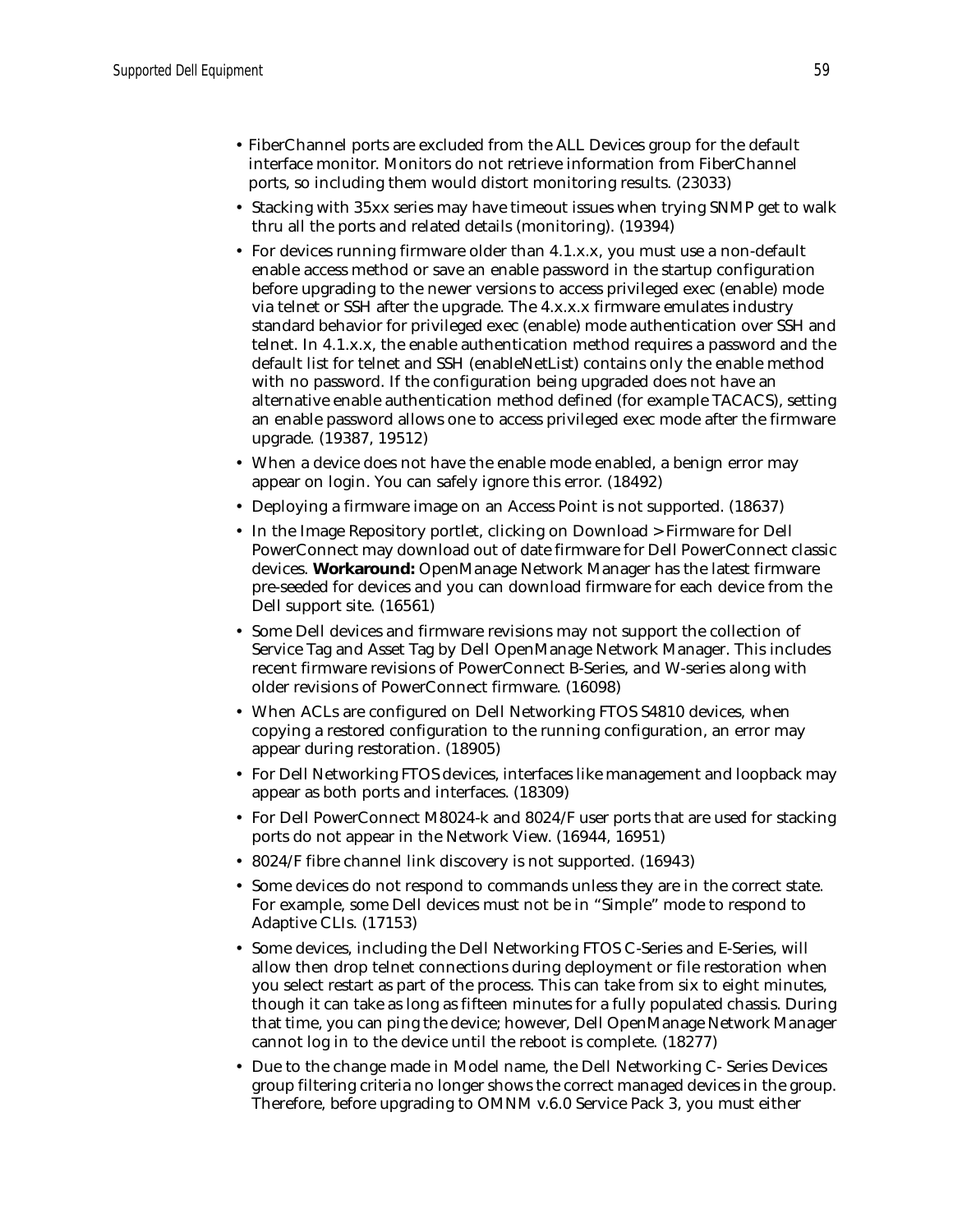- FiberChannel ports are excluded from the ALL Devices group for the default interface monitor. Monitors do not retrieve information from FiberChannel ports, so including them would distort monitoring results. (23033)
- Stacking with 35xx series may have timeout issues when trying SNMP get to walk thru all the ports and related details (monitoring). (19394)
- For devices running firmware older than 4.1.x.x, you must use a non-default enable access method or save an enable password in the startup configuration before upgrading to the newer versions to access privileged exec (enable) mode via telnet or SSH after the upgrade. The 4.x.x.x firmware emulates industry standard behavior for privileged exec (enable) mode authentication over SSH and telnet. In 4.1.x.x, the enable authentication method requires a password and the default list for telnet and SSH (enableNetList) contains only the enable method with no password. If the configuration being upgraded does not have an alternative enable authentication method defined (for example TACACS), setting an enable password allows one to access privileged exec mode after the firmware upgrade. (19387, 19512)
- When a device does not have the enable mode enabled, a benign error may appear on login. You can safely ignore this error. (18492)
- Deploying a firmware image on an Access Point is not supported. (18637)
- In the Image Repository portlet, clicking on Download > Firmware for Dell PowerConnect may download out of date firmware for Dell PowerConnect classic devices. **Workaround:** OpenManage Network Manager has the latest firmware pre-seeded for devices and you can download firmware for each device from the Dell support site. (16561)
- Some Dell devices and firmware revisions may not support the collection of Service Tag and Asset Tag by Dell OpenManage Network Manager. This includes recent firmware revisions of PowerConnect B-Series, and W-series along with older revisions of PowerConnect firmware. (16098)
- When ACLs are configured on Dell Networking FTOS S4810 devices, when copying a restored configuration to the running configuration, an error may appear during restoration. (18905)
- For Dell Networking FTOS devices, interfaces like management and loopback may appear as both ports and interfaces. (18309)
- For Dell PowerConnect M8024-k and 8024/F user ports that are used for stacking ports do not appear in the Network View. (16944, 16951)
- 8024/F fibre channel link discovery is not supported. (16943)
- Some devices do not respond to commands unless they are in the correct state. For example, some Dell devices must not be in "Simple" mode to respond to Adaptive CLIs. (17153)
- Some devices, including the Dell Networking FTOS C-Series and E-Series, will allow then drop telnet connections during deployment or file restoration when you select restart as part of the process. This can take from six to eight minutes, though it can take as long as fifteen minutes for a fully populated chassis. During that time, you can ping the device; however, Dell OpenManage Network Manager cannot log in to the device until the reboot is complete. (18277)
- Due to the change made in Model name, the Dell Networking C- Series Devices group filtering criteria no longer shows the correct managed devices in the group. Therefore, before upgrading to OMNM v.6.0 Service Pack 3, you must either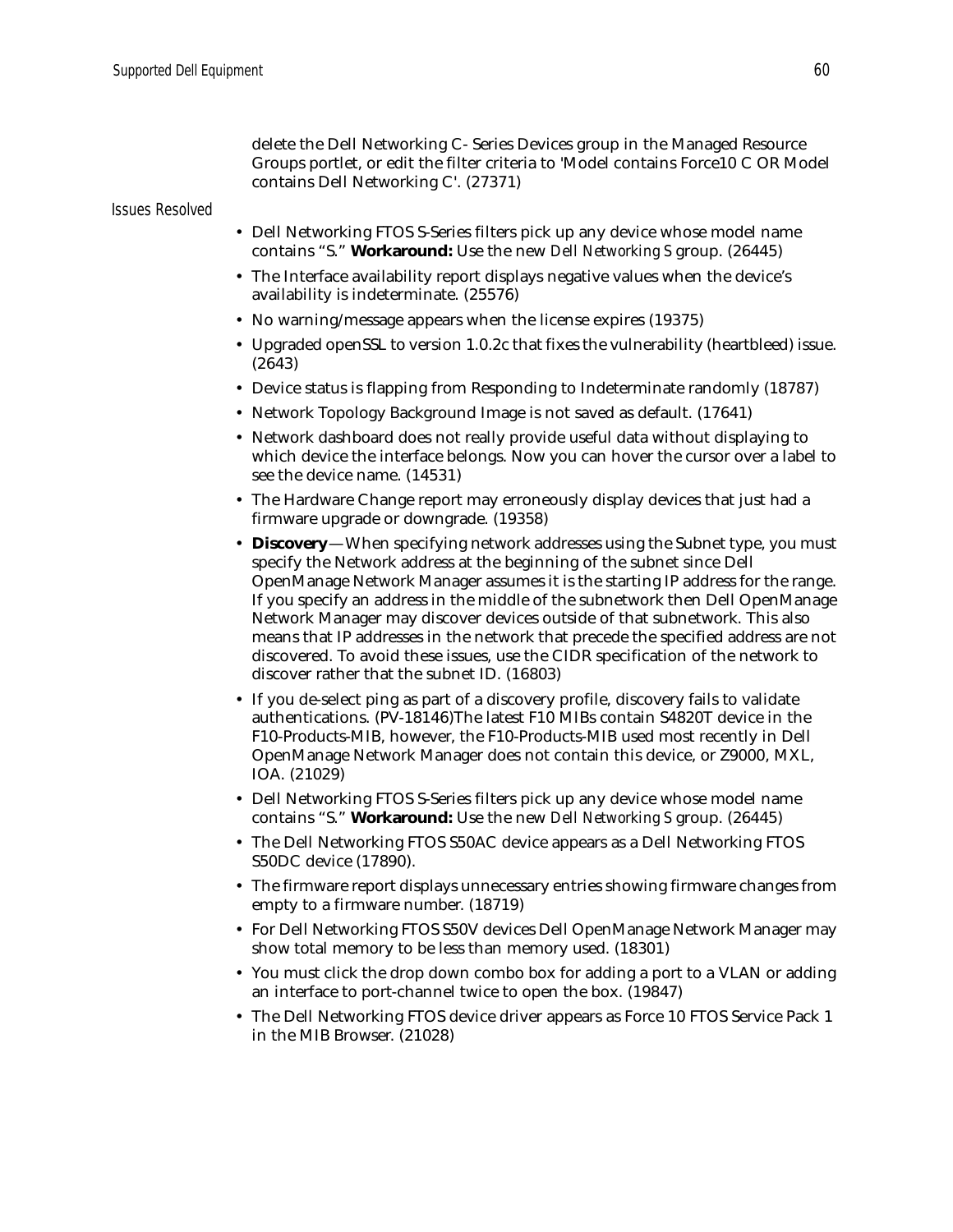delete the Dell Networking C- Series Devices group in the Managed Resource Groups portlet, or edit the filter criteria to 'Model contains Force10 C OR Model contains Dell Networking C'. (27371)

#### *Issues Resolved*

- Dell Networking FTOS S-Series filters pick up any device whose model name contains "S." **Workaround:** Use the new *Dell Networking S* group. (26445)
- The Interface availability report displays negative values when the device's availability is indeterminate. (25576)
- No warning/message appears when the license expires (19375)
- Upgraded openSSL to version 1.0.2c that fixes the vulnerability (heartbleed) issue. (2643)
- Device status is flapping from Responding to Indeterminate randomly (18787)
- Network Topology Background Image is not saved as default. (17641)
- Network dashboard does not really provide useful data without displaying to which device the interface belongs. Now you can hover the cursor over a label to see the device name. (14531)
- The Hardware Change report may erroneously display devices that just had a firmware upgrade or downgrade. (19358)
- **Discovery**—When specifying network addresses using the Subnet type, you must specify the Network address at the beginning of the subnet since Dell OpenManage Network Manager assumes it is the starting IP address for the range. If you specify an address in the middle of the subnetwork then Dell OpenManage Network Manager may discover devices outside of that subnetwork. This also means that IP addresses in the network that precede the specified address are not discovered. To avoid these issues, use the CIDR specification of the network to discover rather that the subnet ID. (16803)
- If you de-select ping as part of a discovery profile, discovery fails to validate authentications. (PV-18146)The latest F10 MIBs contain S4820T device in the F10-Products-MIB, however, the F10-Products-MIB used most recently in Dell OpenManage Network Manager does not contain this device, or Z9000, MXL, IOA. (21029)
- Dell Networking FTOS S-Series filters pick up any device whose model name contains "S." **Workaround:** Use the new *Dell Networking S* group. (26445)
- The Dell Networking FTOS S50AC device appears as a Dell Networking FTOS S50DC device (17890).
- The firmware report displays unnecessary entries showing firmware changes from empty to a firmware number. (18719)
- For Dell Networking FTOS S50V devices Dell OpenManage Network Manager may show total memory to be less than memory used. (18301)
- You must click the drop down combo box for adding a port to a VLAN or adding an interface to port-channel twice to open the box. (19847)
- The Dell Networking FTOS device driver appears as Force 10 FTOS Service Pack 1 in the MIB Browser. (21028)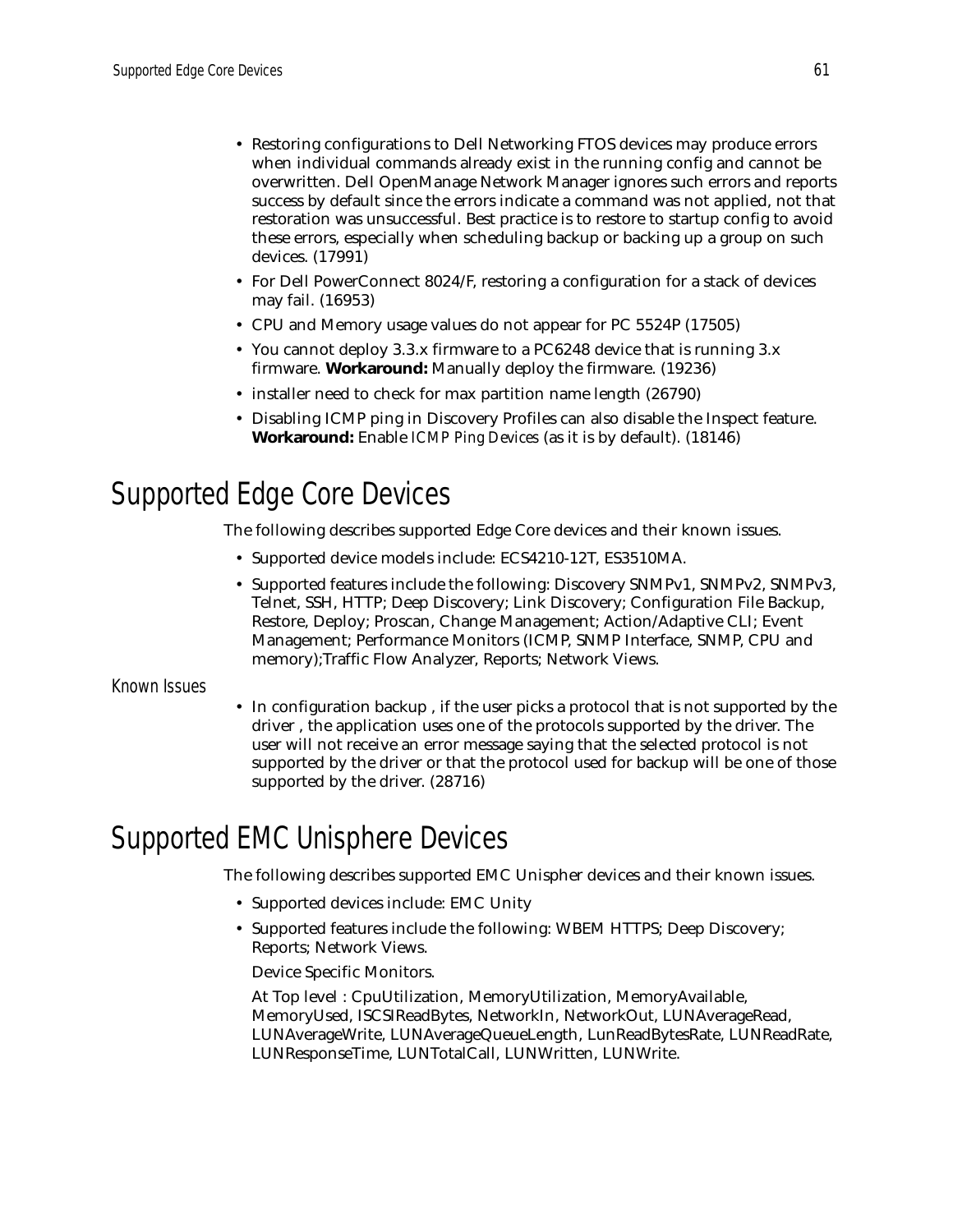- Restoring configurations to Dell Networking FTOS devices may produce errors when individual commands already exist in the running config and cannot be overwritten. Dell OpenManage Network Manager ignores such errors and reports success by default since the errors indicate a command was not applied, not that restoration was unsuccessful. Best practice is to restore to startup config to avoid these errors, especially when scheduling backup or backing up a group on such devices. (17991)
- For Dell PowerConnect 8024/F, restoring a configuration for a stack of devices may fail. (16953)
- CPU and Memory usage values do not appear for PC 5524P (17505)
- You cannot deploy 3.3.x firmware to a PC6248 device that is running 3.x firmware. **Workaround:** Manually deploy the firmware. (19236)
- installer need to check for max partition name length (26790)
- Disabling ICMP ping in Discovery Profiles can also disable the Inspect feature. **Workaround:** Enable *ICMP Ping Devices* (as it is by default). (18146)

# <span id="page-60-1"></span>Supported Edge Core Devices

The following describes supported Edge Core devices and their known issues.

- Supported device models include: ECS4210-12T, ES3510MA.
- Supported features include the following: Discovery SNMPv1, SNMPv2, SNMPv3, Telnet, SSH, HTTP; Deep Discovery; Link Discovery; Configuration File Backup, Restore, Deploy; Proscan, Change Management; Action/Adaptive CLI; Event Management; Performance Monitors (ICMP, SNMP Interface, SNMP, CPU and memory);Traffic Flow Analyzer, Reports; Network Views.

### Known Issues

• In configuration backup , if the user picks a protocol that is not supported by the driver , the application uses one of the protocols supported by the driver. The user will not receive an error message saying that the selected protocol is not supported by the driver or that the protocol used for backup will be one of those supported by the driver. (28716)

# <span id="page-60-0"></span>Supported EMC Unisphere Devices

The following describes supported EMC Unispher devices and their known issues.

- Supported devices include: EMC Unity
- Supported features include the following: WBEM HTTPS; Deep Discovery; Reports; Network Views.

Device Specific Monitors.

At Top level : CpuUtilization, MemoryUtilization, MemoryAvailable, MemoryUsed, ISCSIReadBytes, NetworkIn, NetworkOut, LUNAverageRead, LUNAverageWrite, LUNAverageQueueLength, LunReadBytesRate, LUNReadRate, LUNResponseTime, LUNTotalCall, LUNWritten, LUNWrite.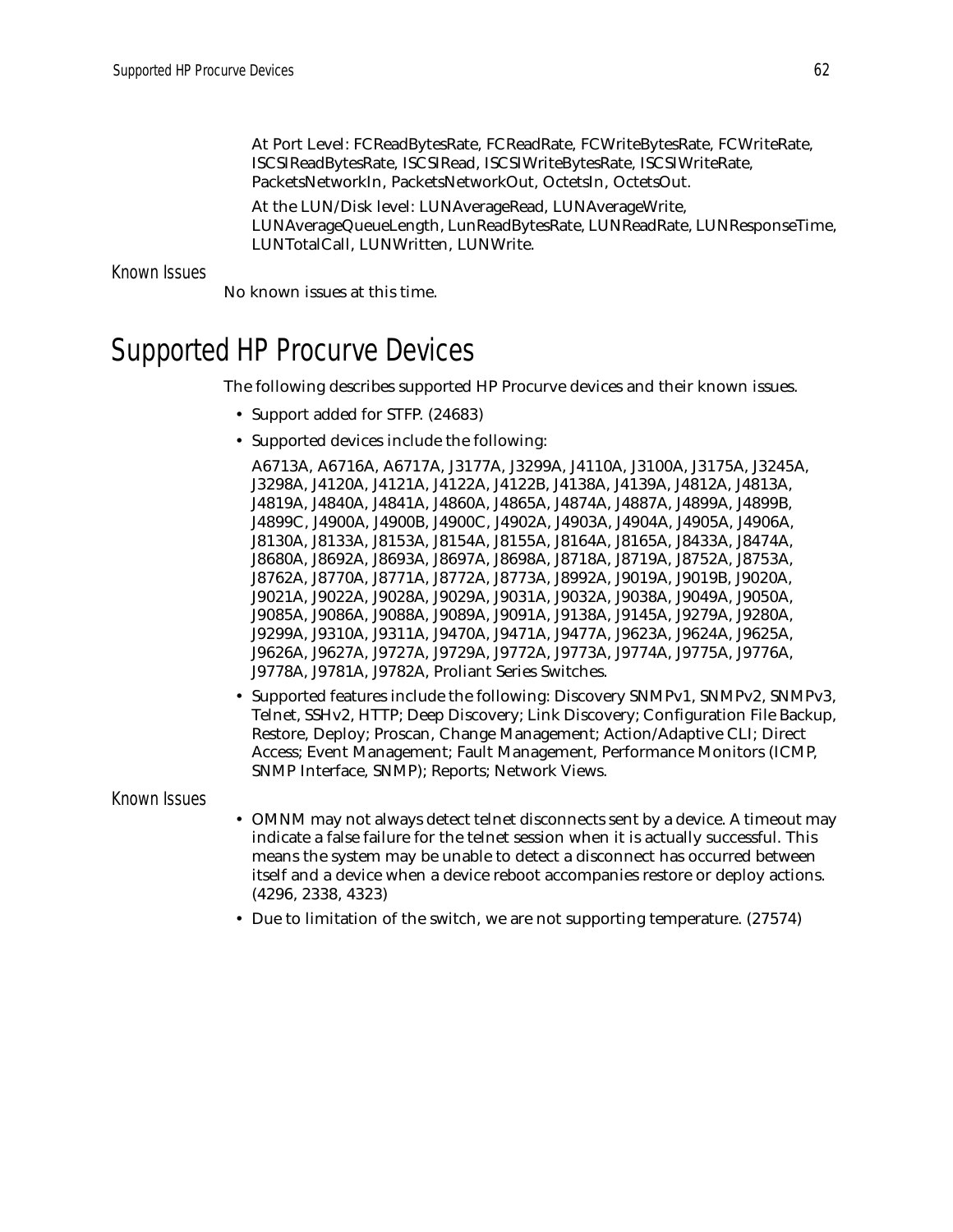At Port Level: FCReadBytesRate, FCReadRate, FCWriteBytesRate, FCWriteRate, ISCSIReadBytesRate, ISCSIRead, ISCSIWriteBytesRate, ISCSIWriteRate, PacketsNetworkIn, PacketsNetworkOut, OctetsIn, OctetsOut.

At the LUN/Disk level: LUNAverageRead, LUNAverageWrite, LUNAverageQueueLength, LunReadBytesRate, LUNReadRate, LUNResponseTime, LUNTotalCall, LUNWritten, LUNWrite.

Known Issues

No known issues at this time.

# <span id="page-61-0"></span>Supported HP Procurve Devices

The following describes supported HP Procurve devices and their known issues.

- Support added for STFP. (24683)
- Supported devices include the following:

A6713A, A6716A, A6717A, J3177A, J3299A, J4110A, J3100A, J3175A, J3245A, J3298A, J4120A, J4121A, J4122A, J4122B, J4138A, J4139A, J4812A, J4813A, J4819A, J4840A, J4841A, J4860A, J4865A, J4874A, J4887A, J4899A, J4899B, J4899C, J4900A, J4900B, J4900C, J4902A, J4903A, J4904A, J4905A, J4906A, J8130A, J8133A, J8153A, J8154A, J8155A, J8164A, J8165A, J8433A, J8474A, J8680A, J8692A, J8693A, J8697A, J8698A, J8718A, J8719A, J8752A, J8753A, J8762A, J8770A, J8771A, J8772A, J8773A, J8992A, J9019A, J9019B, J9020A, J9021A, J9022A, J9028A, J9029A, J9031A, J9032A, J9038A, J9049A, J9050A, J9085A, J9086A, J9088A, J9089A, J9091A, J9138A, J9145A, J9279A, J9280A, J9299A, J9310A, J9311A, J9470A, J9471A, J9477A, J9623A, J9624A, J9625A, J9626A, J9627A, J9727A, J9729A, J9772A, J9773A, J9774A, J9775A, J9776A, J9778A, J9781A, J9782A, Proliant Series Switches.

• Supported features include the following: Discovery SNMPv1, SNMPv2, SNMPv3, Telnet, SSHv2, HTTP; Deep Discovery; Link Discovery; Configuration File Backup, Restore, Deploy; Proscan, Change Management; Action/Adaptive CLI; Direct Access; Event Management; Fault Management, Performance Monitors (ICMP, SNMP Interface, SNMP); Reports; Network Views.

Known Issues

- OMNM may not always detect telnet disconnects sent by a device. A timeout may indicate a false failure for the telnet session when it is actually successful. This means the system may be unable to detect a disconnect has occurred between itself and a device when a device reboot accompanies restore or deploy actions. (4296, 2338, 4323)
- Due to limitation of the switch, we are not supporting temperature. (27574)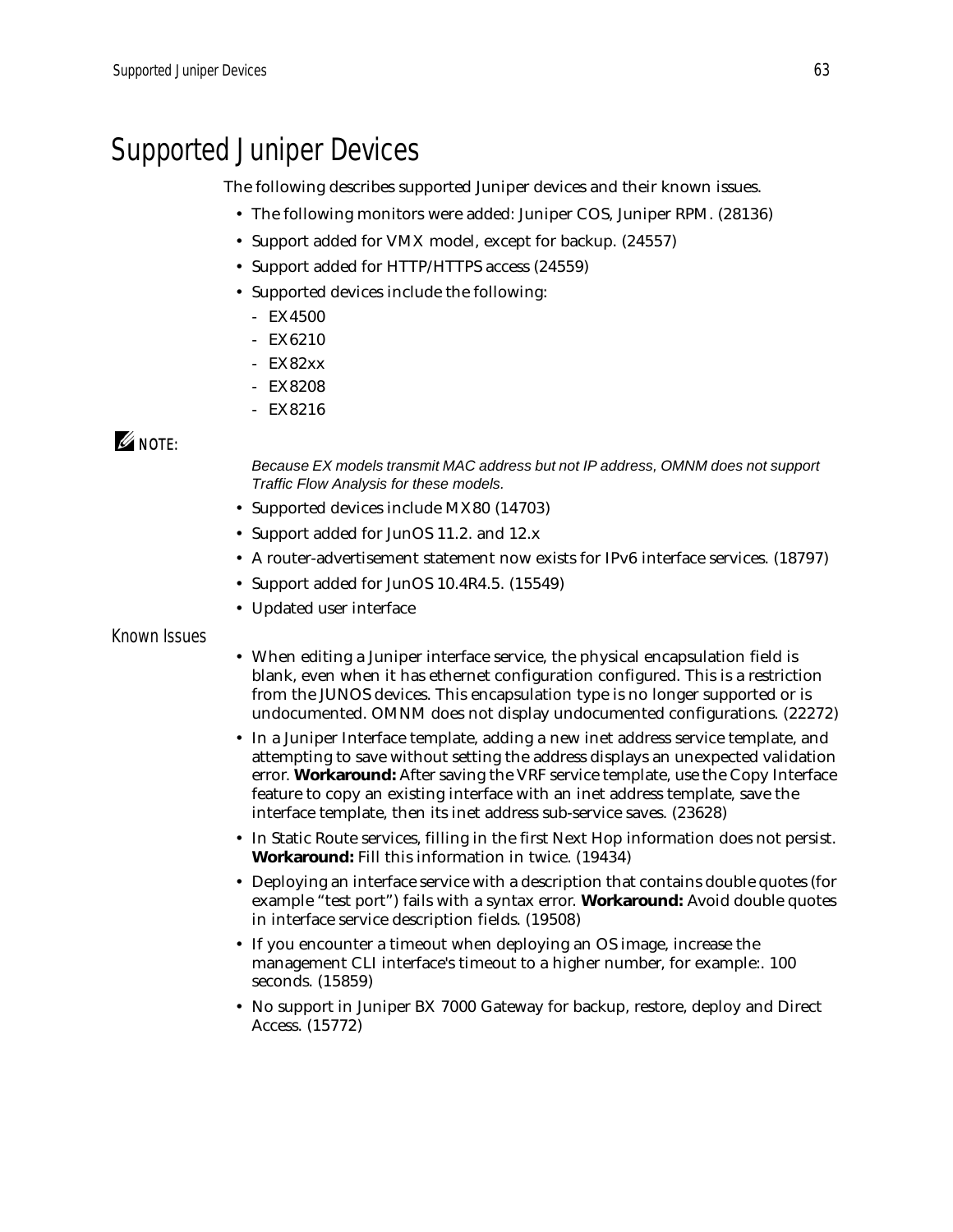# <span id="page-62-0"></span>Supported Juniper Devices

The following describes supported Juniper devices and their known issues.

- The following monitors were added: Juniper COS, Juniper RPM. (28136)
- Support added for VMX model, except for backup. (24557)
- Support added for HTTP/HTTPS access (24559)
- Supported devices include the following:
	- EX4500
	- EX6210
	- EX82xx
	- EX8208
	- EX8216

### $\mathscr{Q}$  note:

*Because EX models transmit MAC address but not IP address, OMNM does not support Traffic Flow Analysis for these models.*

- Supported devices include MX80 (14703)
- Support added for JunOS 11.2. and 12.x
- A router-advertisement statement now exists for IPv6 interface services. (18797)
- Support added for JunOS 10.4R4.5. (15549)
- Updated user interface

### Known Issues

- When editing a Juniper interface service, the physical encapsulation field is blank, even when it has ethernet configuration configured. This is a restriction from the JUNOS devices. This encapsulation type is no longer supported or is undocumented. OMNM does not display undocumented configurations. (22272)
- In a Juniper Interface template, adding a new inet address service template, and attempting to save without setting the address displays an unexpected validation error. **Workaround:** After saving the VRF service template, use the Copy Interface feature to copy an existing interface with an inet address template, save the interface template, then its inet address sub-service saves. (23628)
- In Static Route services, filling in the first Next Hop information does not persist. **Workaround:** Fill this information in twice. (19434)
- Deploying an interface service with a description that contains double quotes (for example "test port") fails with a syntax error. **Workaround:** Avoid double quotes in interface service description fields. (19508)
- If you encounter a timeout when deploying an OS image, increase the management CLI interface's timeout to a higher number, for example:. 100 seconds. (15859)
- No support in Juniper BX 7000 Gateway for backup, restore, deploy and Direct Access. (15772)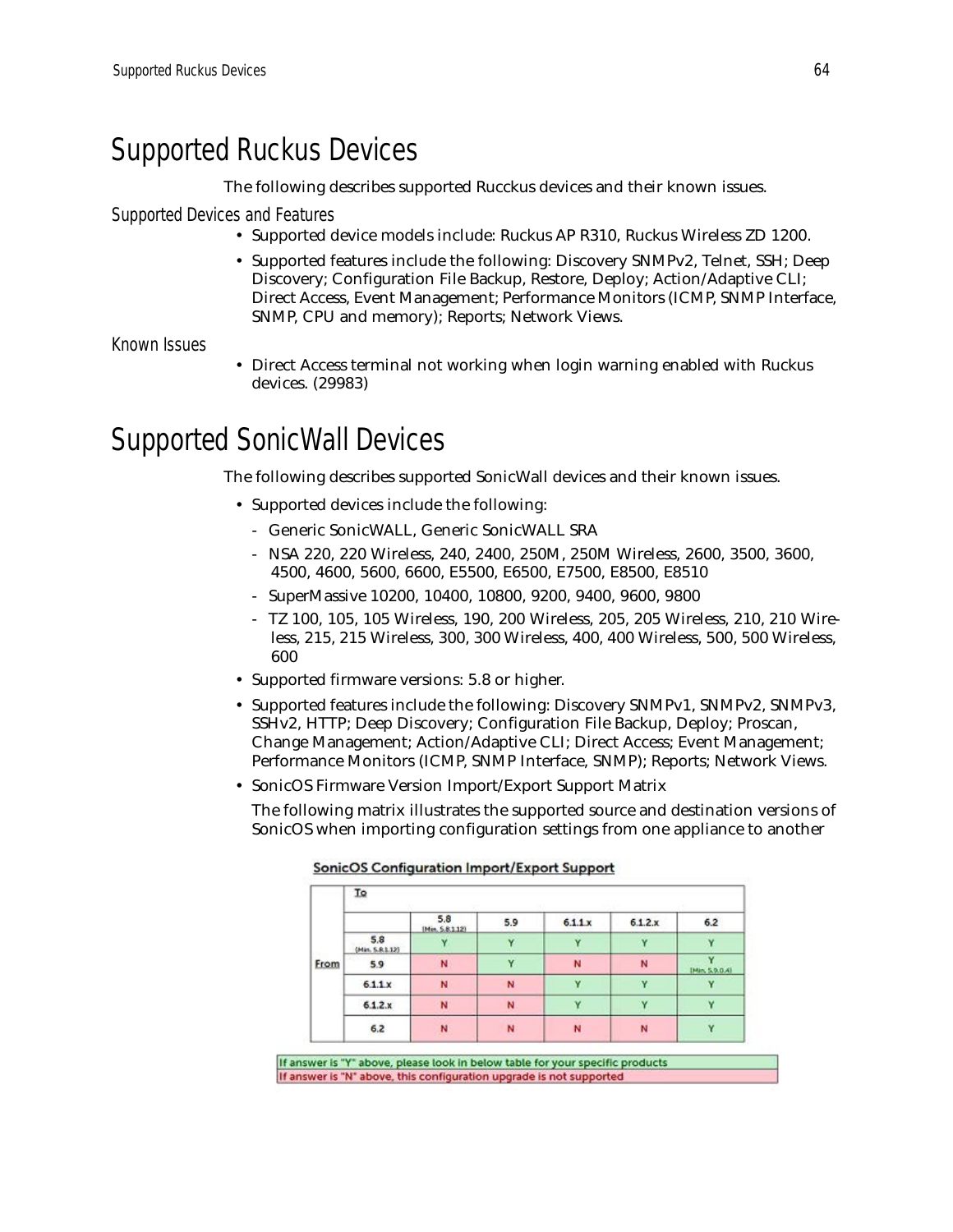# <span id="page-63-0"></span>Supported Ruckus Devices

The following describes supported Rucckus devices and their known issues.

Supported Devices and Features

- Supported device models include: Ruckus AP R310, Ruckus Wireless ZD 1200.
- Supported features include the following: Discovery SNMPv2, Telnet, SSH; Deep Discovery; Configuration File Backup, Restore, Deploy; Action/Adaptive CLI; Direct Access, Event Management; Performance Monitors (ICMP, SNMP Interface, SNMP, CPU and memory); Reports; Network Views.

Known Issues

• Direct Access terminal not working when login warning enabled with Ruckus devices. (29983)

# <span id="page-63-1"></span>Supported SonicWall Devices

The following describes supported SonicWall devices and their known issues.

- Supported devices include the following:
	- Generic SonicWALL, Generic SonicWALL SRA
	- NSA 220, 220 Wireless, 240, 2400, 250M, 250M Wireless, 2600, 3500, 3600, 4500, 4600, 5600, 6600, E5500, E6500, E7500, E8500, E8510
	- SuperMassive 10200, 10400, 10800, 9200, 9400, 9600, 9800
	- TZ 100, 105, 105 Wireless, 190, 200 Wireless, 205, 205 Wireless, 210, 210 Wireless, 215, 215 Wireless, 300, 300 Wireless, 400, 400 Wireless, 500, 500 Wireless, 600
- Supported firmware versions: 5.8 or higher.
- Supported features include the following: Discovery SNMPv1, SNMPv2, SNMPv3, SSHv2, HTTP; Deep Discovery; Configuration File Backup, Deploy; Proscan, Change Management; Action/Adaptive CLI; Direct Access; Event Management; Performance Monitors (ICMP, SNMP Interface, SNMP); Reports; Network Views.
- SonicOS Firmware Version Import/Export Support Matrix

The following matrix illustrates the supported source and destination versions of SonicOS when importing configuration settings from one appliance to another

| To<br>w                |     |                 |              |             |                |  |  |  |
|------------------------|-----|-----------------|--------------|-------------|----------------|--|--|--|
|                        | 5.8 | 5.9             | 6.1.1x       | 6.1.2.x     | 6.2            |  |  |  |
| 5.8<br>(Min. S.R.1.12) |     |                 |              |             |                |  |  |  |
| 5.9                    | N   | v               | N            | N           | (Min. 5.9.0.4) |  |  |  |
| 6.1.1 x                | N   | N               | $\checkmark$ | $\mathbf v$ |                |  |  |  |
| 6.1.2.x                | N   | N               |              |             |                |  |  |  |
| 6.2                    | N   | N               | N            | N           |                |  |  |  |
|                        |     | (Min. 5.8.1.12) |              |             |                |  |  |  |

**SonicOS Configuration Import/Export Support** 

If answer is "Y" above, please look in below table for your specific products If answer is "N" above, this configuration upgrade is not supported